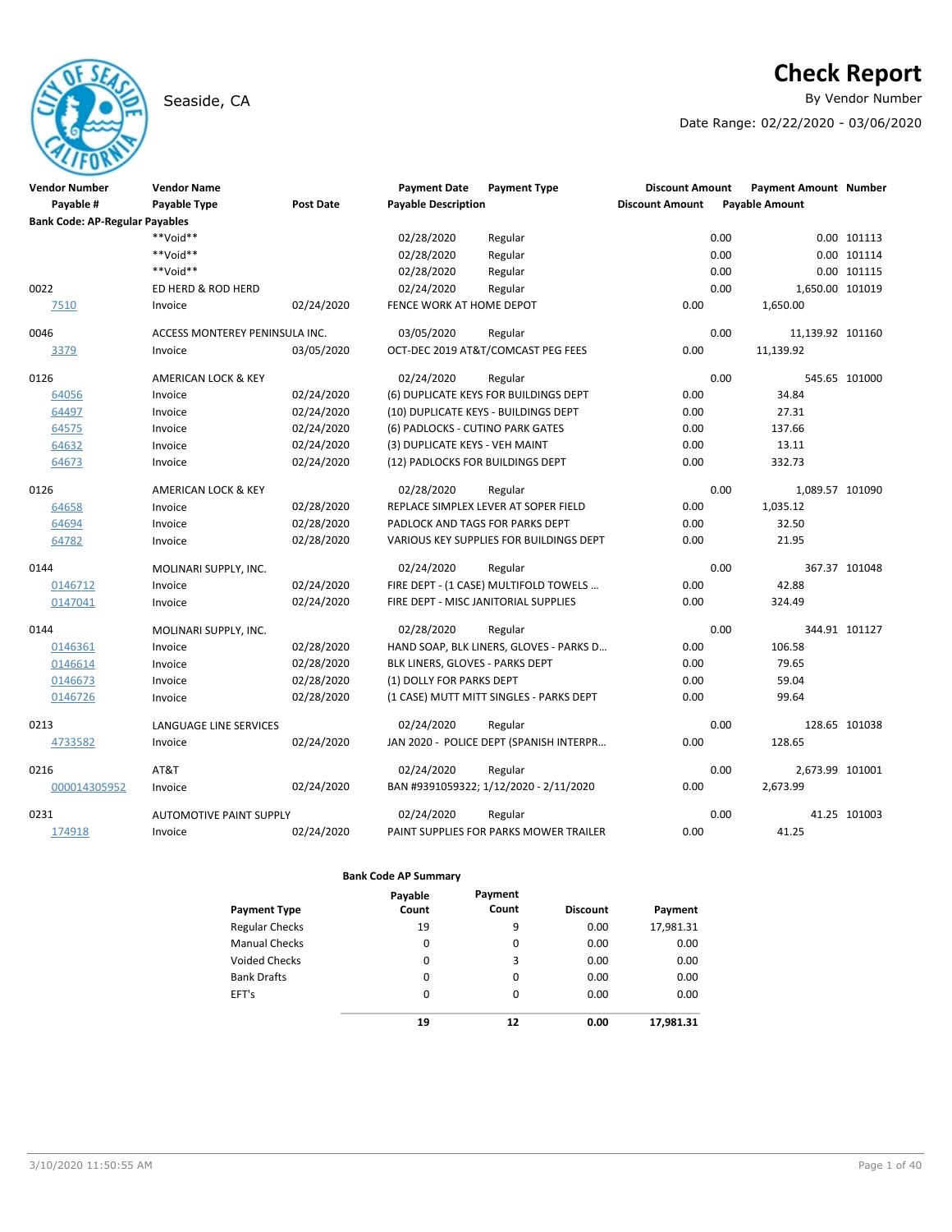# Seaside, CA **By Vendor Number**

# **Check Report**

Date Range: 02/22/2020 - 03/06/2020

| <b>Vendor Number</b>                  | <b>Vendor Name</b>             |                  | <b>Payment Date</b>              | <b>Payment Type</b>                     | <b>Discount Amount</b> | <b>Payment Amount Number</b> |               |
|---------------------------------------|--------------------------------|------------------|----------------------------------|-----------------------------------------|------------------------|------------------------------|---------------|
| Payable #                             | Payable Type                   | <b>Post Date</b> | <b>Payable Description</b>       |                                         | <b>Discount Amount</b> | <b>Payable Amount</b>        |               |
| <b>Bank Code: AP-Regular Payables</b> |                                |                  |                                  |                                         |                        |                              |               |
|                                       | **Void**                       |                  | 02/28/2020                       | Regular                                 |                        | 0.00                         | 0.00 101113   |
|                                       | **Void**                       |                  | 02/28/2020                       | Regular                                 |                        | 0.00                         | 0.00 101114   |
|                                       | **Void**                       |                  | 02/28/2020                       | Regular                                 |                        | 0.00                         | 0.00 101115   |
| 0022                                  | ED HERD & ROD HERD             |                  | 02/24/2020                       | Regular                                 |                        | 0.00<br>1,650.00 101019      |               |
| 7510                                  | Invoice                        | 02/24/2020       | FENCE WORK AT HOME DEPOT         |                                         | 0.00                   | 1,650.00                     |               |
| 0046                                  | ACCESS MONTEREY PENINSULA INC. |                  | 03/05/2020                       | Regular                                 |                        | 0.00<br>11,139.92 101160     |               |
| 3379                                  | Invoice                        | 03/05/2020       |                                  | OCT-DEC 2019 AT&T/COMCAST PEG FEES      | 0.00                   | 11,139.92                    |               |
| 0126                                  | AMERICAN LOCK & KEY            |                  | 02/24/2020                       | Regular                                 |                        | 0.00                         | 545.65 101000 |
| 64056                                 | Invoice                        | 02/24/2020       |                                  | (6) DUPLICATE KEYS FOR BUILDINGS DEPT   | 0.00                   | 34.84                        |               |
| 64497                                 | Invoice                        | 02/24/2020       |                                  | (10) DUPLICATE KEYS - BUILDINGS DEPT    | 0.00                   | 27.31                        |               |
| 64575                                 | Invoice                        | 02/24/2020       | (6) PADLOCKS - CUTINO PARK GATES |                                         | 0.00                   | 137.66                       |               |
| 64632                                 | Invoice                        | 02/24/2020       | (3) DUPLICATE KEYS - VEH MAINT   |                                         | 0.00                   | 13.11                        |               |
| 64673                                 | Invoice                        | 02/24/2020       | (12) PADLOCKS FOR BUILDINGS DEPT |                                         | 0.00                   | 332.73                       |               |
| 0126                                  | <b>AMERICAN LOCK &amp; KEY</b> |                  | 02/28/2020                       | Regular                                 |                        | 0.00<br>1,089.57 101090      |               |
| 64658                                 | Invoice                        | 02/28/2020       |                                  | REPLACE SIMPLEX LEVER AT SOPER FIELD    | 0.00                   | 1,035.12                     |               |
| 64694                                 | Invoice                        | 02/28/2020       | PADLOCK AND TAGS FOR PARKS DEPT  |                                         | 0.00                   | 32.50                        |               |
| 64782                                 | Invoice                        | 02/28/2020       |                                  | VARIOUS KEY SUPPLIES FOR BUILDINGS DEPT | 0.00                   | 21.95                        |               |
| 0144                                  | MOLINARI SUPPLY, INC.          |                  | 02/24/2020                       | Regular                                 |                        | 0.00                         | 367.37 101048 |
| 0146712                               | Invoice                        | 02/24/2020       |                                  | FIRE DEPT - (1 CASE) MULTIFOLD TOWELS   | 0.00                   | 42.88                        |               |
| 0147041                               | Invoice                        | 02/24/2020       |                                  | FIRE DEPT - MISC JANITORIAL SUPPLIES    | 0.00                   | 324.49                       |               |
| 0144                                  | MOLINARI SUPPLY, INC.          |                  | 02/28/2020                       | Regular                                 |                        | 0.00                         | 344.91 101127 |
| 0146361                               | Invoice                        | 02/28/2020       |                                  | HAND SOAP, BLK LINERS, GLOVES - PARKS D | 0.00                   | 106.58                       |               |
| 0146614                               | Invoice                        | 02/28/2020       | BLK LINERS, GLOVES - PARKS DEPT  |                                         | 0.00                   | 79.65                        |               |
| 0146673                               | Invoice                        | 02/28/2020       | (1) DOLLY FOR PARKS DEPT         |                                         | 0.00                   | 59.04                        |               |
| 0146726                               | Invoice                        | 02/28/2020       |                                  | (1 CASE) MUTT MITT SINGLES - PARKS DEPT | 0.00                   | 99.64                        |               |
| 0213                                  | LANGUAGE LINE SERVICES         |                  | 02/24/2020                       | Regular                                 |                        | 0.00                         | 128.65 101038 |
| 4733582                               | Invoice                        | 02/24/2020       |                                  | JAN 2020 - POLICE DEPT (SPANISH INTERPR | 0.00                   | 128.65                       |               |
| 0216                                  | AT&T                           |                  | 02/24/2020                       | Regular                                 |                        | 0.00<br>2,673.99 101001      |               |
| 000014305952                          | Invoice                        | 02/24/2020       |                                  | BAN #9391059322; 1/12/2020 - 2/11/2020  | 0.00                   | 2,673.99                     |               |
| 0231                                  | <b>AUTOMOTIVE PAINT SUPPLY</b> |                  | 02/24/2020                       | Regular                                 |                        | 0.00                         | 41.25 101003  |
| 174918                                | Invoice                        | 02/24/2020       |                                  | PAINT SUPPLIES FOR PARKS MOWER TRAILER  | 0.00                   | 41.25                        |               |

|                       | Payable | Payment |                 |           |
|-----------------------|---------|---------|-----------------|-----------|
| <b>Payment Type</b>   | Count   | Count   | <b>Discount</b> | Payment   |
| <b>Regular Checks</b> | 19      | 9       | 0.00            | 17,981.31 |
| <b>Manual Checks</b>  | 0       | 0       | 0.00            | 0.00      |
| Voided Checks         | 0       | 3       | 0.00            | 0.00      |
| <b>Bank Drafts</b>    | 0       | 0       | 0.00            | 0.00      |
| EFT's                 | 0       | 0       | 0.00            | 0.00      |
|                       | 19      | 12      | 0.00            | 17,981.31 |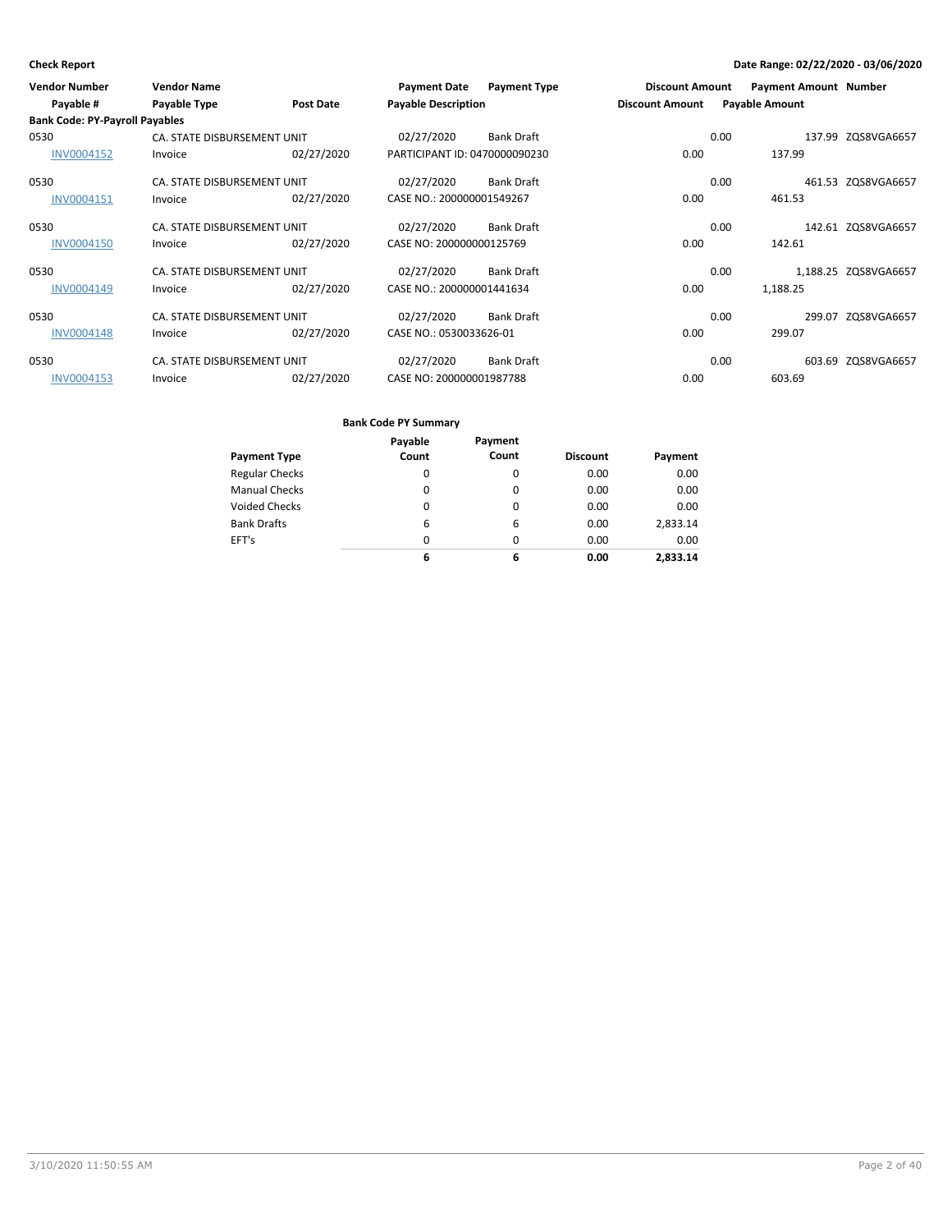| <b>Vendor Number</b>                               | <b>Vendor Name</b>          |            | <b>Payment Date</b>           | <b>Payment Type</b> | <b>Discount Amount</b> |      | <b>Payment Amount Number</b> |                      |
|----------------------------------------------------|-----------------------------|------------|-------------------------------|---------------------|------------------------|------|------------------------------|----------------------|
| Payable #<br><b>Bank Code: PY-Payroll Payables</b> | Payable Type                | Post Date  | <b>Payable Description</b>    |                     | <b>Discount Amount</b> |      | <b>Payable Amount</b>        |                      |
|                                                    |                             |            |                               |                     |                        |      |                              |                      |
| 0530                                               | CA. STATE DISBURSEMENT UNIT |            | 02/27/2020                    | <b>Bank Draft</b>   |                        | 0.00 |                              | 137.99 ZQS8VGA6657   |
| INV0004152                                         | Invoice                     | 02/27/2020 | PARTICIPANT ID: 0470000090230 |                     | 0.00                   |      | 137.99                       |                      |
| 0530                                               | CA. STATE DISBURSEMENT UNIT |            | 02/27/2020                    | <b>Bank Draft</b>   |                        | 0.00 |                              | 461.53 ZQS8VGA6657   |
| INV0004151                                         | Invoice                     | 02/27/2020 | CASE NO.: 200000001549267     |                     | 0.00                   |      | 461.53                       |                      |
| 0530                                               | CA. STATE DISBURSEMENT UNIT |            | 02/27/2020                    | <b>Bank Draft</b>   |                        | 0.00 |                              | 142.61 ZQS8VGA6657   |
| <b>INV0004150</b>                                  | Invoice                     | 02/27/2020 | CASE NO: 200000000125769      |                     | 0.00                   |      | 142.61                       |                      |
| 0530                                               | CA. STATE DISBURSEMENT UNIT |            | 02/27/2020                    | <b>Bank Draft</b>   |                        | 0.00 |                              | 1,188.25 ZQS8VGA6657 |
| INV0004149                                         | Invoice                     | 02/27/2020 | CASE NO.: 200000001441634     |                     | 0.00                   |      | 1,188.25                     |                      |
| 0530                                               | CA. STATE DISBURSEMENT UNIT |            | 02/27/2020                    | <b>Bank Draft</b>   |                        | 0.00 | 299.07                       | ZQS8VGA6657          |
| <b>INV0004148</b>                                  | Invoice                     | 02/27/2020 | CASE NO.: 0530033626-01       |                     | 0.00                   |      | 299.07                       |                      |
| 0530                                               | CA. STATE DISBURSEMENT UNIT |            | 02/27/2020                    | <b>Bank Draft</b>   |                        | 0.00 |                              | 603.69 ZQS8VGA6657   |
| INV0004153                                         | Invoice                     | 02/27/2020 | CASE NO: 200000001987788      |                     | 0.00                   |      | 603.69                       |                      |

|                       | Payable | Payment |                 |          |
|-----------------------|---------|---------|-----------------|----------|
| <b>Payment Type</b>   | Count   | Count   | <b>Discount</b> | Payment  |
| <b>Regular Checks</b> | 0       | 0       | 0.00            | 0.00     |
| <b>Manual Checks</b>  | 0       | 0       | 0.00            | 0.00     |
| <b>Voided Checks</b>  | 0       | 0       | 0.00            | 0.00     |
| <b>Bank Drafts</b>    | 6       | 6       | 0.00            | 2,833.14 |
| EFT's                 | 0       | 0       | 0.00            | 0.00     |
|                       | 6       | 6       | 0.00            | 2.833.14 |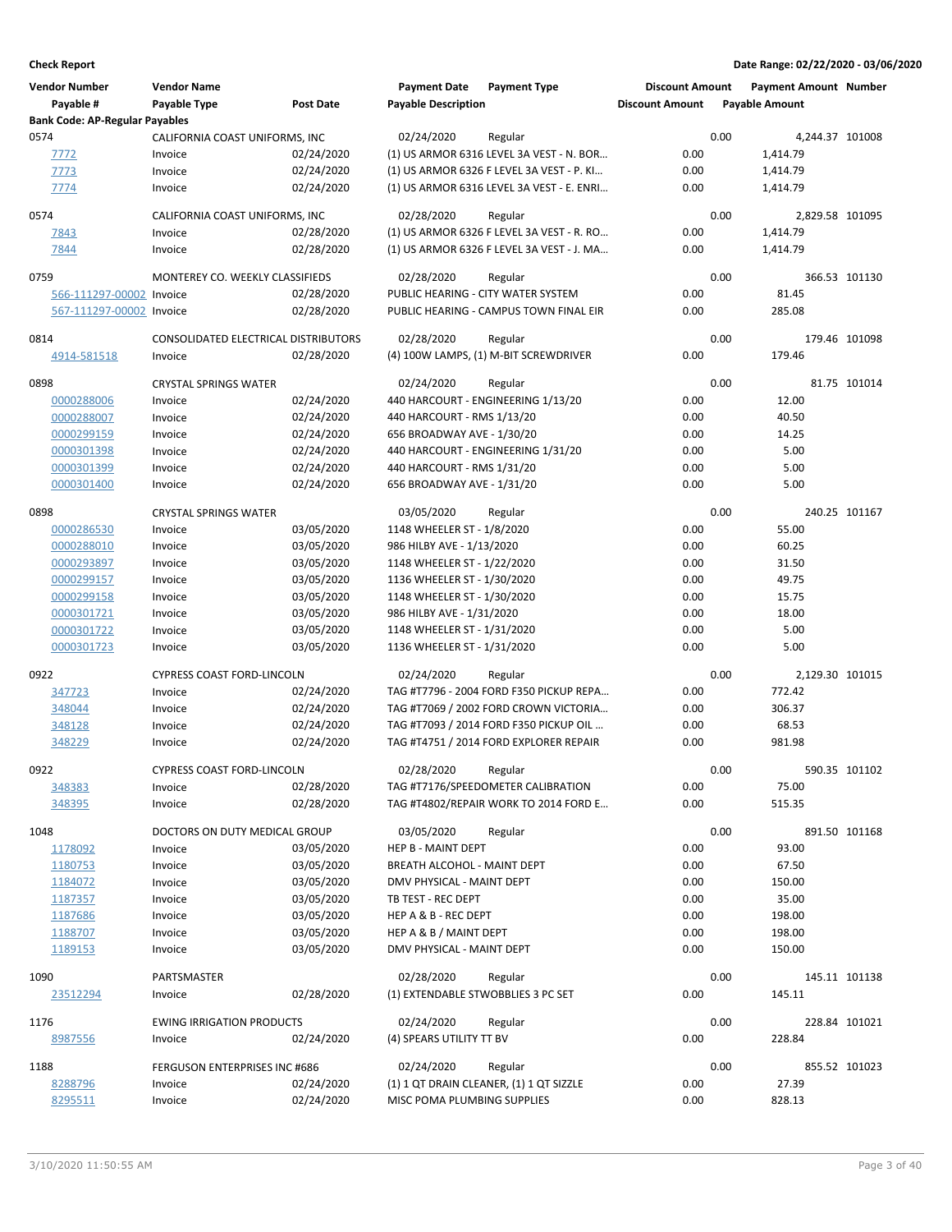| <b>Vendor Number</b><br>Payable #     | <b>Vendor Name</b><br>Payable Type    | <b>Post Date</b>         | <b>Payment Date</b><br><b>Payable Description</b> | <b>Payment Type</b>                           | <b>Discount Amount</b><br><b>Discount Amount</b> |      | <b>Payment Amount Number</b><br><b>Payable Amount</b> |               |
|---------------------------------------|---------------------------------------|--------------------------|---------------------------------------------------|-----------------------------------------------|--------------------------------------------------|------|-------------------------------------------------------|---------------|
| <b>Bank Code: AP-Regular Payables</b> |                                       |                          |                                                   |                                               |                                                  |      |                                                       |               |
| 0574                                  | CALIFORNIA COAST UNIFORMS, INC        |                          | 02/24/2020                                        | Regular                                       |                                                  | 0.00 | 4,244.37 101008                                       |               |
| 7772                                  | Invoice                               | 02/24/2020               |                                                   | (1) US ARMOR 6316 LEVEL 3A VEST - N. BOR      | 0.00                                             |      | 1,414.79                                              |               |
| 7773                                  | Invoice                               | 02/24/2020               |                                                   | (1) US ARMOR 6326 F LEVEL 3A VEST - P. KI     | 0.00                                             |      | 1,414.79                                              |               |
| 7774                                  | Invoice                               | 02/24/2020               |                                                   | (1) US ARMOR 6316 LEVEL 3A VEST - E. ENRI     | 0.00                                             |      | 1,414.79                                              |               |
| 0574                                  | CALIFORNIA COAST UNIFORMS, INC        |                          | 02/28/2020                                        | Regular                                       |                                                  | 0.00 | 2,829.58 101095                                       |               |
| 7843                                  | Invoice                               | 02/28/2020               |                                                   | (1) US ARMOR 6326 F LEVEL 3A VEST - R. RO     | 0.00                                             |      | 1,414.79                                              |               |
| 7844                                  | Invoice                               | 02/28/2020               |                                                   | (1) US ARMOR 6326 F LEVEL 3A VEST - J. MA     | 0.00                                             |      | 1,414.79                                              |               |
| 0759                                  | MONTEREY CO. WEEKLY CLASSIFIEDS       |                          | 02/28/2020                                        | Regular                                       |                                                  | 0.00 |                                                       | 366.53 101130 |
| 566-111297-00002 Invoice              |                                       | 02/28/2020               |                                                   | PUBLIC HEARING - CITY WATER SYSTEM            | 0.00                                             |      | 81.45                                                 |               |
| 567-111297-00002 Invoice              |                                       | 02/28/2020               |                                                   | PUBLIC HEARING - CAMPUS TOWN FINAL EIR        | 0.00                                             |      | 285.08                                                |               |
|                                       |                                       |                          |                                                   |                                               |                                                  |      |                                                       |               |
| 0814                                  | CONSOLIDATED ELECTRICAL DISTRIBUTORS  |                          | 02/28/2020                                        | Regular                                       |                                                  | 0.00 |                                                       | 179.46 101098 |
| 4914-581518                           | Invoice                               | 02/28/2020               |                                                   | (4) 100W LAMPS, (1) M-BIT SCREWDRIVER         | 0.00                                             |      | 179.46                                                |               |
| 0898                                  | <b>CRYSTAL SPRINGS WATER</b>          |                          | 02/24/2020                                        | Regular                                       |                                                  | 0.00 |                                                       | 81.75 101014  |
| 0000288006                            | Invoice                               | 02/24/2020               |                                                   | 440 HARCOURT - ENGINEERING 1/13/20            | 0.00                                             |      | 12.00                                                 |               |
| 0000288007                            | Invoice                               | 02/24/2020               | 440 HARCOURT - RMS 1/13/20                        |                                               | 0.00                                             |      | 40.50                                                 |               |
| 0000299159                            | Invoice                               | 02/24/2020               | 656 BROADWAY AVE - 1/30/20                        |                                               | 0.00                                             |      | 14.25                                                 |               |
| 0000301398                            | Invoice                               | 02/24/2020               |                                                   | 440 HARCOURT - ENGINEERING 1/31/20            | 0.00                                             |      | 5.00                                                  |               |
| 0000301399                            | Invoice                               | 02/24/2020               | 440 HARCOURT - RMS 1/31/20                        |                                               | 0.00                                             |      | 5.00                                                  |               |
| 0000301400                            | Invoice                               | 02/24/2020               | 656 BROADWAY AVE - 1/31/20                        |                                               | 0.00                                             |      | 5.00                                                  |               |
| 0898                                  | <b>CRYSTAL SPRINGS WATER</b>          |                          | 03/05/2020                                        | Regular                                       |                                                  | 0.00 |                                                       | 240.25 101167 |
| 0000286530                            | Invoice                               | 03/05/2020               | 1148 WHEELER ST - 1/8/2020                        |                                               | 0.00                                             |      | 55.00                                                 |               |
| 0000288010                            | Invoice                               | 03/05/2020               | 986 HILBY AVE - 1/13/2020                         |                                               | 0.00                                             |      | 60.25                                                 |               |
| 0000293897                            | Invoice                               | 03/05/2020               | 1148 WHEELER ST - 1/22/2020                       |                                               | 0.00                                             |      | 31.50                                                 |               |
| 0000299157                            | Invoice                               | 03/05/2020               | 1136 WHEELER ST - 1/30/2020                       |                                               | 0.00                                             |      | 49.75                                                 |               |
| 0000299158                            | Invoice                               | 03/05/2020               | 1148 WHEELER ST - 1/30/2020                       |                                               | 0.00                                             |      | 15.75                                                 |               |
| 0000301721                            | Invoice                               | 03/05/2020               | 986 HILBY AVE - 1/31/2020                         |                                               | 0.00                                             |      | 18.00                                                 |               |
| 0000301722                            | Invoice                               | 03/05/2020               | 1148 WHEELER ST - 1/31/2020                       |                                               | 0.00                                             |      | 5.00                                                  |               |
| 0000301723                            | Invoice                               | 03/05/2020               | 1136 WHEELER ST - 1/31/2020                       |                                               | 0.00                                             |      | 5.00                                                  |               |
| 0922                                  | <b>CYPRESS COAST FORD-LINCOLN</b>     |                          | 02/24/2020                                        | Regular                                       |                                                  | 0.00 | 2,129.30 101015                                       |               |
| 347723                                | Invoice                               | 02/24/2020               |                                                   | TAG #T7796 - 2004 FORD F350 PICKUP REPA       | 0.00                                             |      | 772.42                                                |               |
| 348044                                | Invoice                               | 02/24/2020               |                                                   | TAG #T7069 / 2002 FORD CROWN VICTORIA         | 0.00                                             |      | 306.37                                                |               |
| 348128                                | Invoice                               | 02/24/2020               |                                                   | TAG #T7093 / 2014 FORD F350 PICKUP OIL        | 0.00                                             |      | 68.53                                                 |               |
| 348229                                | Invoice                               | 02/24/2020               |                                                   | TAG #T4751 / 2014 FORD EXPLORER REPAIR        | 0.00                                             |      | 981.98                                                |               |
|                                       |                                       |                          |                                                   |                                               |                                                  |      |                                                       |               |
| 0922<br>348383                        | CYPRESS COAST FORD-LINCOLN<br>Invoice | 02/28/2020               | 02/28/2020                                        | Regular<br>TAG #T7176/SPEEDOMETER CALIBRATION | 0.00                                             | 0.00 | 75.00                                                 | 590.35 101102 |
| 348395                                | Invoice                               | 02/28/2020               |                                                   | TAG #T4802/REPAIR WORK TO 2014 FORD E         | 0.00                                             |      | 515.35                                                |               |
|                                       |                                       |                          |                                                   |                                               |                                                  |      |                                                       |               |
| 1048                                  | DOCTORS ON DUTY MEDICAL GROUP         |                          | 03/05/2020                                        | Regular                                       |                                                  | 0.00 |                                                       | 891.50 101168 |
| 1178092                               | Invoice                               | 03/05/2020               | HEP B - MAINT DEPT                                |                                               | 0.00                                             |      | 93.00                                                 |               |
| 1180753                               | Invoice                               | 03/05/2020               | BREATH ALCOHOL - MAINT DEPT                       |                                               | 0.00                                             |      | 67.50                                                 |               |
| 1184072                               | Invoice                               | 03/05/2020               | DMV PHYSICAL - MAINT DEPT                         |                                               | 0.00                                             |      | 150.00                                                |               |
| 1187357                               | Invoice                               | 03/05/2020               | TB TEST - REC DEPT                                |                                               | 0.00                                             |      | 35.00                                                 |               |
| 1187686<br>1188707                    | Invoice<br>Invoice                    | 03/05/2020<br>03/05/2020 | HEP A & B - REC DEPT<br>HEP A & B / MAINT DEPT    |                                               | 0.00<br>0.00                                     |      | 198.00<br>198.00                                      |               |
| 1189153                               | Invoice                               | 03/05/2020               | DMV PHYSICAL - MAINT DEPT                         |                                               | 0.00                                             |      | 150.00                                                |               |
|                                       |                                       |                          |                                                   |                                               |                                                  |      |                                                       |               |
| 1090                                  | PARTSMASTER                           |                          | 02/28/2020                                        | Regular                                       |                                                  | 0.00 |                                                       | 145.11 101138 |
| 23512294                              | Invoice                               | 02/28/2020               |                                                   | (1) EXTENDABLE STWOBBLIES 3 PC SET            | 0.00                                             |      | 145.11                                                |               |
| 1176                                  | <b>EWING IRRIGATION PRODUCTS</b>      |                          | 02/24/2020                                        | Regular                                       |                                                  | 0.00 |                                                       | 228.84 101021 |
| 8987556                               | Invoice                               | 02/24/2020               | (4) SPEARS UTILITY TT BV                          |                                               | 0.00                                             |      | 228.84                                                |               |
|                                       |                                       |                          |                                                   |                                               |                                                  |      |                                                       |               |
| 1188                                  | FERGUSON ENTERPRISES INC #686         |                          | 02/24/2020                                        | Regular                                       |                                                  | 0.00 |                                                       | 855.52 101023 |
| 8288796                               | Invoice                               | 02/24/2020               |                                                   | (1) 1 QT DRAIN CLEANER, (1) 1 QT SIZZLE       | 0.00                                             |      | 27.39                                                 |               |
| 8295511                               | Invoice                               | 02/24/2020               | MISC POMA PLUMBING SUPPLIES                       |                                               | 0.00                                             |      | 828.13                                                |               |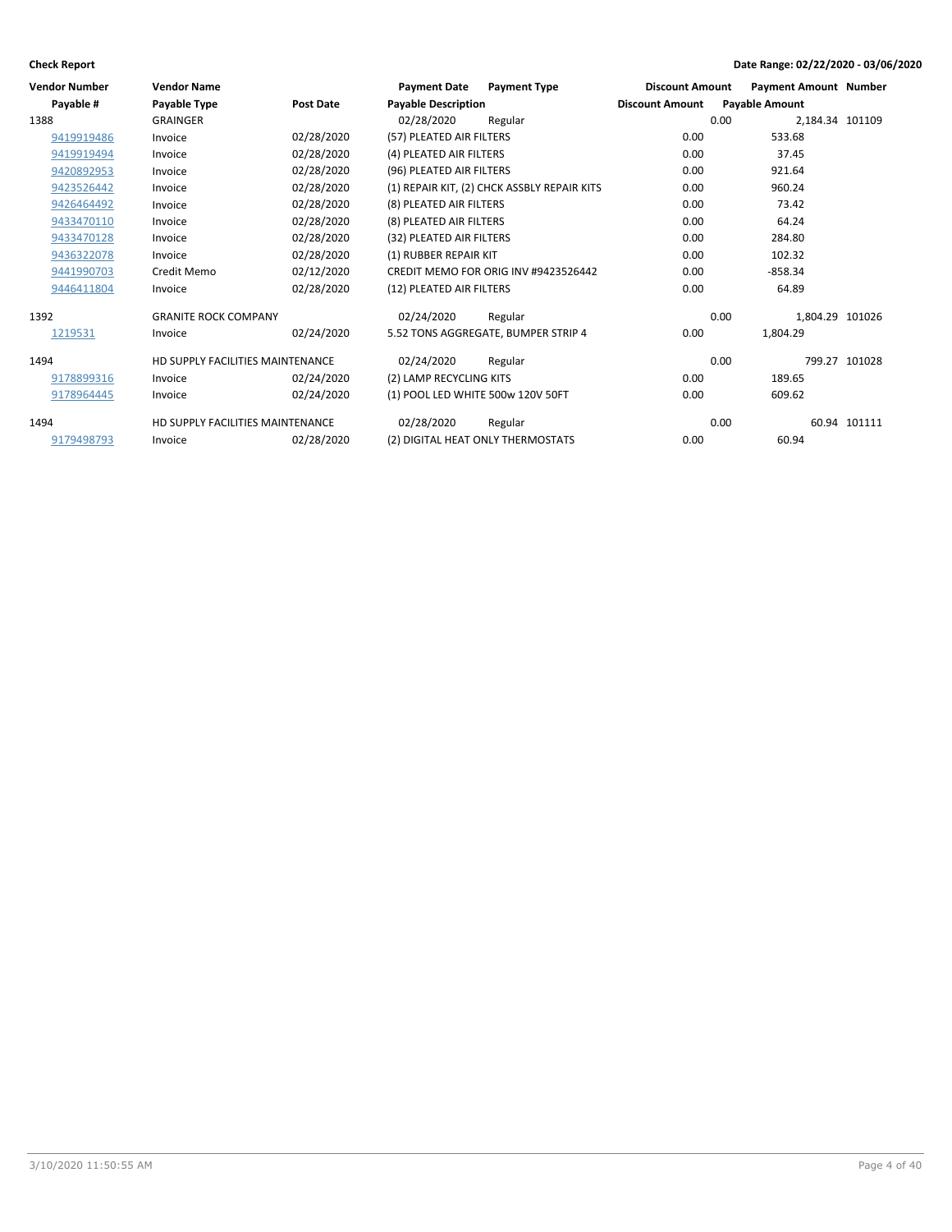| <b>Vendor Number</b> | <b>Vendor Name</b>               |                  | <b>Payment Date</b>               | <b>Payment Type</b>                         | <b>Discount Amount</b> | <b>Payment Amount Number</b> |               |
|----------------------|----------------------------------|------------------|-----------------------------------|---------------------------------------------|------------------------|------------------------------|---------------|
| Payable #            | Payable Type                     | <b>Post Date</b> | <b>Payable Description</b>        |                                             | <b>Discount Amount</b> | <b>Payable Amount</b>        |               |
| 1388                 | <b>GRAINGER</b>                  |                  | 02/28/2020                        | Regular                                     |                        | 0.00<br>2,184.34 101109      |               |
| 9419919486           | Invoice                          | 02/28/2020       | (57) PLEATED AIR FILTERS          |                                             | 0.00                   | 533.68                       |               |
| 9419919494           | Invoice                          | 02/28/2020       | (4) PLEATED AIR FILTERS           |                                             | 0.00                   | 37.45                        |               |
| 9420892953           | Invoice                          | 02/28/2020       | (96) PLEATED AIR FILTERS          |                                             | 0.00                   | 921.64                       |               |
| 9423526442           | Invoice                          | 02/28/2020       |                                   | (1) REPAIR KIT, (2) CHCK ASSBLY REPAIR KITS | 0.00                   | 960.24                       |               |
| 9426464492           | Invoice                          | 02/28/2020       | (8) PLEATED AIR FILTERS           |                                             | 0.00                   | 73.42                        |               |
| 9433470110           | Invoice                          | 02/28/2020       | (8) PLEATED AIR FILTERS           |                                             | 0.00                   | 64.24                        |               |
| 9433470128           | Invoice                          | 02/28/2020       | (32) PLEATED AIR FILTERS          |                                             | 0.00                   | 284.80                       |               |
| 9436322078           | Invoice                          | 02/28/2020       | (1) RUBBER REPAIR KIT             |                                             | 0.00                   | 102.32                       |               |
| 9441990703           | Credit Memo                      | 02/12/2020       |                                   | CREDIT MEMO FOR ORIG INV #9423526442        | 0.00                   | $-858.34$                    |               |
| 9446411804           | Invoice                          | 02/28/2020       | (12) PLEATED AIR FILTERS          |                                             | 0.00                   | 64.89                        |               |
| 1392                 | <b>GRANITE ROCK COMPANY</b>      |                  | 02/24/2020                        | Regular                                     |                        | 0.00<br>1,804.29 101026      |               |
| 1219531              | Invoice                          | 02/24/2020       |                                   | 5.52 TONS AGGREGATE, BUMPER STRIP 4         | 0.00                   | 1,804.29                     |               |
| 1494                 | HD SUPPLY FACILITIES MAINTENANCE |                  | 02/24/2020                        | Regular                                     |                        | 0.00                         | 799.27 101028 |
| 9178899316           | Invoice                          | 02/24/2020       | (2) LAMP RECYCLING KITS           |                                             | 0.00                   | 189.65                       |               |
| 9178964445           | Invoice                          | 02/24/2020       | (1) POOL LED WHITE 500w 120V 50FT |                                             | 0.00                   | 609.62                       |               |
| 1494                 | HD SUPPLY FACILITIES MAINTENANCE |                  | 02/28/2020                        | Regular                                     |                        | 0.00                         | 60.94 101111  |
| 9179498793           | Invoice                          | 02/28/2020       | (2) DIGITAL HEAT ONLY THERMOSTATS |                                             | 0.00                   | 60.94                        |               |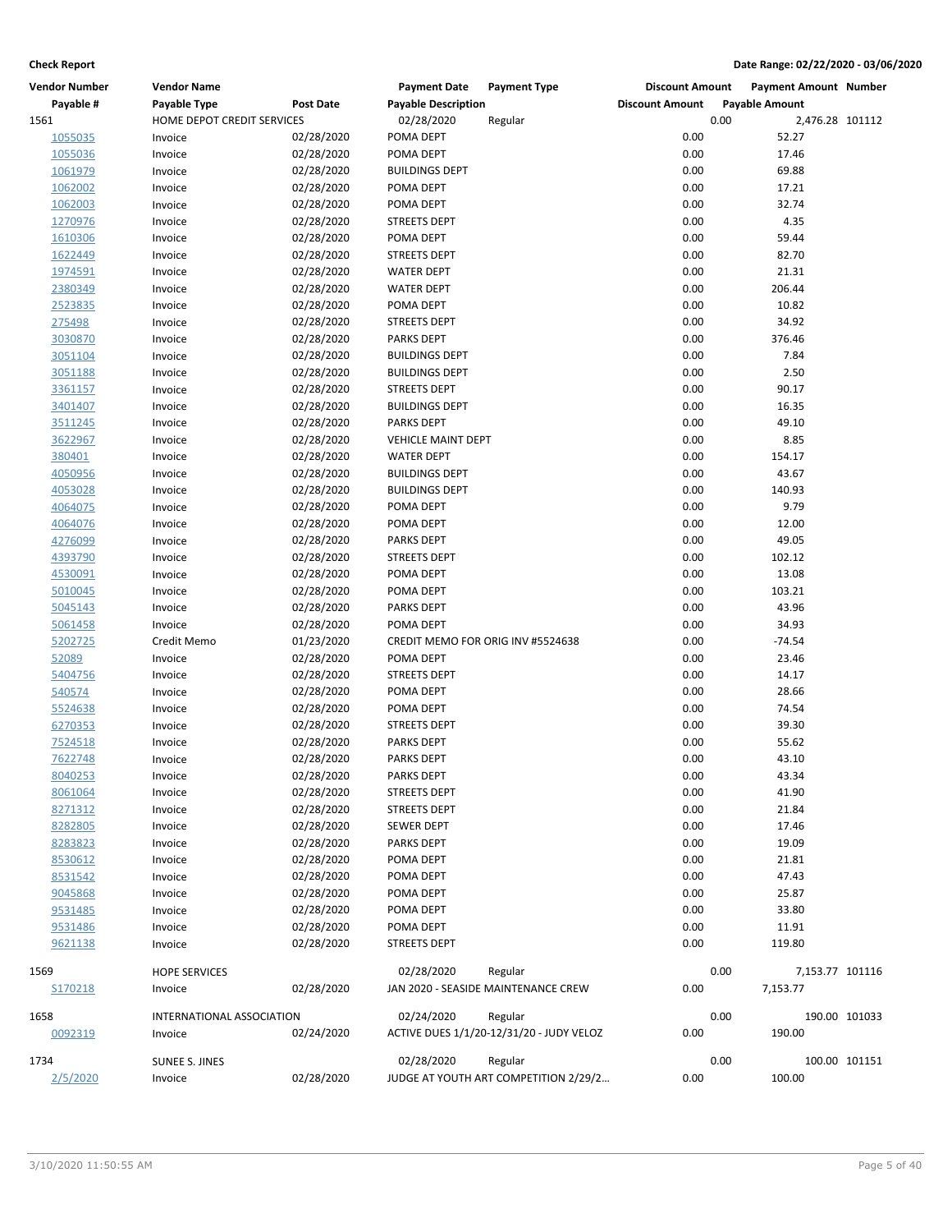| <b>Vendor Number</b> | <b>Vendor Name</b>         |                  | <b>Payment Date</b>               | <b>Payment Type</b>                      | <b>Discount Amount</b> |      | <b>Payment Amount Number</b> |               |
|----------------------|----------------------------|------------------|-----------------------------------|------------------------------------------|------------------------|------|------------------------------|---------------|
| Payable #            | Payable Type               | <b>Post Date</b> | <b>Payable Description</b>        |                                          | <b>Discount Amount</b> |      | <b>Payable Amount</b>        |               |
| 1561                 | HOME DEPOT CREDIT SERVICES |                  | 02/28/2020                        | Regular                                  |                        | 0.00 | 2,476.28 101112              |               |
| 1055035              | Invoice                    | 02/28/2020       | POMA DEPT                         |                                          | 0.00                   |      | 52.27                        |               |
| 1055036              | Invoice                    | 02/28/2020       | POMA DEPT                         |                                          | 0.00                   |      | 17.46                        |               |
| 1061979              | Invoice                    | 02/28/2020       | <b>BUILDINGS DEPT</b>             |                                          | 0.00                   |      | 69.88                        |               |
| 1062002              | Invoice                    | 02/28/2020       | POMA DEPT                         |                                          | 0.00                   |      | 17.21                        |               |
| 1062003              | Invoice                    | 02/28/2020       | POMA DEPT                         |                                          | 0.00                   |      | 32.74                        |               |
| 1270976              | Invoice                    | 02/28/2020       | <b>STREETS DEPT</b>               |                                          | 0.00                   |      | 4.35                         |               |
| 1610306              | Invoice                    | 02/28/2020       | POMA DEPT                         |                                          | 0.00                   |      | 59.44                        |               |
| 1622449              | Invoice                    | 02/28/2020       | <b>STREETS DEPT</b>               |                                          | 0.00                   |      | 82.70                        |               |
| 1974591              | Invoice                    | 02/28/2020       | <b>WATER DEPT</b>                 |                                          | 0.00                   |      | 21.31                        |               |
| 2380349              | Invoice                    | 02/28/2020       | <b>WATER DEPT</b>                 |                                          | 0.00                   |      | 206.44                       |               |
| 2523835              | Invoice                    | 02/28/2020       | POMA DEPT                         |                                          | 0.00                   |      | 10.82                        |               |
| 275498               | Invoice                    | 02/28/2020       | <b>STREETS DEPT</b>               |                                          | 0.00                   |      | 34.92                        |               |
| 3030870              | Invoice                    | 02/28/2020       | <b>PARKS DEPT</b>                 |                                          | 0.00                   |      | 376.46                       |               |
| 3051104              | Invoice                    | 02/28/2020       | <b>BUILDINGS DEPT</b>             |                                          | 0.00                   |      | 7.84                         |               |
| 3051188              | Invoice                    | 02/28/2020       | <b>BUILDINGS DEPT</b>             |                                          | 0.00                   |      | 2.50                         |               |
| 3361157              | Invoice                    | 02/28/2020       | <b>STREETS DEPT</b>               |                                          | 0.00                   |      | 90.17                        |               |
| 3401407              | Invoice                    | 02/28/2020       | <b>BUILDINGS DEPT</b>             |                                          | 0.00                   |      | 16.35                        |               |
| 3511245              | Invoice                    | 02/28/2020       | <b>PARKS DEPT</b>                 |                                          | 0.00                   |      | 49.10                        |               |
| 3622967              | Invoice                    | 02/28/2020       | <b>VEHICLE MAINT DEPT</b>         |                                          | 0.00                   |      | 8.85                         |               |
| 380401               | Invoice                    | 02/28/2020       | <b>WATER DEPT</b>                 |                                          | 0.00                   |      | 154.17                       |               |
| 4050956              | Invoice                    | 02/28/2020       | <b>BUILDINGS DEPT</b>             |                                          | 0.00                   |      | 43.67                        |               |
| 4053028              | Invoice                    | 02/28/2020       | <b>BUILDINGS DEPT</b>             |                                          | 0.00                   |      | 140.93                       |               |
| 4064075              | Invoice                    | 02/28/2020       | POMA DEPT                         |                                          | 0.00                   |      | 9.79                         |               |
| 4064076              | Invoice                    | 02/28/2020       | POMA DEPT                         |                                          | 0.00                   |      | 12.00                        |               |
| 4276099              | Invoice                    | 02/28/2020       | <b>PARKS DEPT</b>                 |                                          | 0.00                   |      | 49.05                        |               |
| 4393790              | Invoice                    | 02/28/2020       | <b>STREETS DEPT</b>               |                                          | 0.00                   |      | 102.12                       |               |
| 4530091              | Invoice                    | 02/28/2020       | POMA DEPT                         |                                          | 0.00                   |      | 13.08                        |               |
| 5010045              | Invoice                    | 02/28/2020       | POMA DEPT                         |                                          | 0.00                   |      | 103.21                       |               |
| 5045143              | Invoice                    | 02/28/2020       | <b>PARKS DEPT</b>                 |                                          | 0.00                   |      | 43.96                        |               |
| 5061458              | Invoice                    | 02/28/2020       | POMA DEPT                         |                                          | 0.00                   |      | 34.93                        |               |
| 5202725              | Credit Memo                | 01/23/2020       | CREDIT MEMO FOR ORIG INV #5524638 |                                          | 0.00                   |      | $-74.54$                     |               |
| 52089                | Invoice                    | 02/28/2020       | POMA DEPT                         |                                          | 0.00                   |      | 23.46                        |               |
| 5404756              | Invoice                    | 02/28/2020       | <b>STREETS DEPT</b>               |                                          | 0.00                   |      | 14.17                        |               |
| 540574               | Invoice                    | 02/28/2020       | POMA DEPT                         |                                          | 0.00                   |      | 28.66                        |               |
| 5524638              | Invoice                    | 02/28/2020       | POMA DEPT                         |                                          | 0.00                   |      | 74.54                        |               |
| 6270353              | Invoice                    | 02/28/2020       | <b>STREETS DEPT</b>               |                                          | 0.00                   |      | 39.30                        |               |
| 7524518              | Invoice                    | 02/28/2020       | <b>PARKS DEPT</b>                 |                                          | 0.00                   |      | 55.62                        |               |
| 7622748              | Invoice                    | 02/28/2020       | <b>PARKS DEPT</b>                 |                                          | 0.00                   |      | 43.10                        |               |
| 8040253              | Invoice                    | 02/28/2020       | <b>PARKS DEPT</b>                 |                                          | 0.00                   |      | 43.34                        |               |
| 8061064              | Invoice                    | 02/28/2020       | <b>STREETS DEPT</b>               |                                          | 0.00                   |      | 41.90                        |               |
| 8271312              | Invoice                    | 02/28/2020       | <b>STREETS DEPT</b>               |                                          | 0.00                   |      | 21.84                        |               |
| 8282805              | Invoice                    | 02/28/2020       | <b>SEWER DEPT</b>                 |                                          | 0.00                   |      | 17.46                        |               |
| 8283823              | Invoice                    | 02/28/2020       | <b>PARKS DEPT</b>                 |                                          | 0.00                   |      | 19.09                        |               |
| 8530612              | Invoice                    | 02/28/2020       | POMA DEPT                         |                                          | 0.00                   |      | 21.81                        |               |
| 8531542              | Invoice                    | 02/28/2020       | POMA DEPT                         |                                          | 0.00                   |      | 47.43                        |               |
| 9045868              | Invoice                    | 02/28/2020       | POMA DEPT                         |                                          | 0.00                   |      | 25.87                        |               |
| 9531485              | Invoice                    | 02/28/2020       | POMA DEPT                         |                                          | 0.00                   |      | 33.80                        |               |
| 9531486              | Invoice                    | 02/28/2020       | POMA DEPT                         |                                          | 0.00                   |      | 11.91                        |               |
| 9621138              | Invoice                    | 02/28/2020       | <b>STREETS DEPT</b>               |                                          | 0.00                   |      | 119.80                       |               |
|                      |                            |                  |                                   |                                          |                        |      |                              |               |
| 1569                 | <b>HOPE SERVICES</b>       |                  | 02/28/2020                        | Regular                                  |                        | 0.00 | 7,153.77 101116              |               |
| S170218              | Invoice                    | 02/28/2020       |                                   | JAN 2020 - SEASIDE MAINTENANCE CREW      | 0.00                   |      | 7,153.77                     |               |
| 1658                 | INTERNATIONAL ASSOCIATION  |                  | 02/24/2020                        | Regular                                  |                        | 0.00 |                              | 190.00 101033 |
| 0092319              | Invoice                    | 02/24/2020       |                                   | ACTIVE DUES 1/1/20-12/31/20 - JUDY VELOZ | 0.00                   |      | 190.00                       |               |
|                      |                            |                  |                                   |                                          |                        |      |                              |               |
| 1734                 | <b>SUNEE S. JINES</b>      |                  | 02/28/2020                        | Regular                                  |                        | 0.00 |                              | 100.00 101151 |
| 2/5/2020             | Invoice                    | 02/28/2020       |                                   | JUDGE AT YOUTH ART COMPETITION 2/29/2    | 0.00                   |      | 100.00                       |               |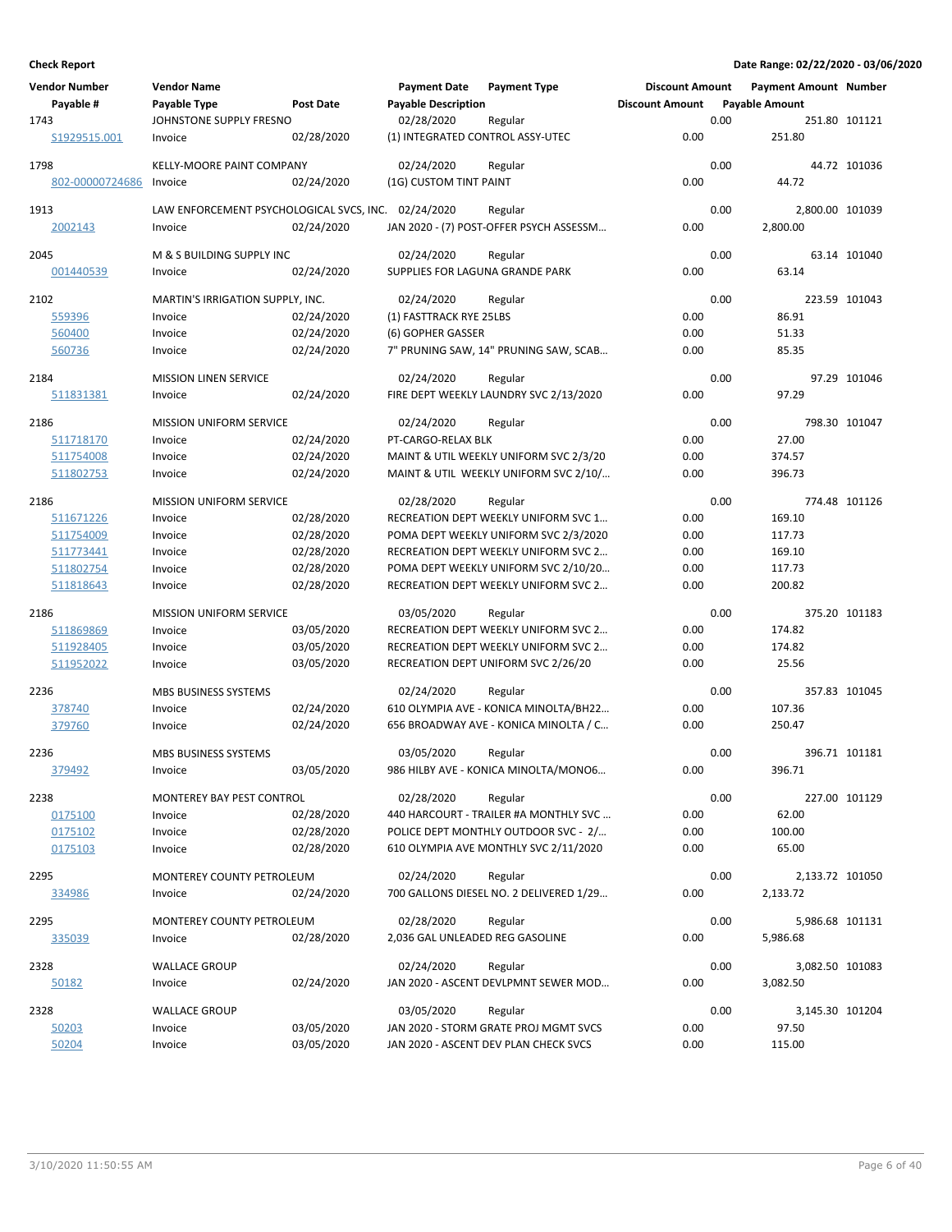| <b>Vendor Number</b>   | <b>Vendor Name</b>                                  |                          | <b>Payment Date</b>              | <b>Payment Type</b>                                                            | <b>Discount Amount</b> |      | <b>Payment Amount Number</b> |               |
|------------------------|-----------------------------------------------------|--------------------------|----------------------------------|--------------------------------------------------------------------------------|------------------------|------|------------------------------|---------------|
| Payable #              | Payable Type                                        | <b>Post Date</b>         | <b>Payable Description</b>       |                                                                                | <b>Discount Amount</b> |      | <b>Payable Amount</b>        |               |
| 1743                   | JOHNSTONE SUPPLY FRESNO                             |                          | 02/28/2020                       | Regular                                                                        |                        | 0.00 |                              | 251.80 101121 |
| S1929515.001           | Invoice                                             | 02/28/2020               | (1) INTEGRATED CONTROL ASSY-UTEC |                                                                                | 0.00                   |      | 251.80                       |               |
| 1798                   | KELLY-MOORE PAINT COMPANY                           |                          | 02/24/2020                       | Regular                                                                        |                        | 0.00 |                              | 44.72 101036  |
| 802-00000724686        | Invoice                                             | 02/24/2020               | (1G) CUSTOM TINT PAINT           |                                                                                | 0.00                   |      | 44.72                        |               |
| 1913                   | LAW ENFORCEMENT PSYCHOLOGICAL SVCS, INC. 02/24/2020 |                          |                                  | Regular                                                                        |                        | 0.00 | 2,800.00 101039              |               |
| 2002143                | Invoice                                             | 02/24/2020               |                                  | JAN 2020 - (7) POST-OFFER PSYCH ASSESSM                                        | 0.00                   |      | 2,800.00                     |               |
|                        |                                                     |                          |                                  |                                                                                |                        |      |                              |               |
| 2045                   | M & S BUILDING SUPPLY INC                           |                          | 02/24/2020                       | Regular                                                                        |                        | 0.00 |                              | 63.14 101040  |
| 001440539              | Invoice                                             | 02/24/2020               | SUPPLIES FOR LAGUNA GRANDE PARK  |                                                                                | 0.00                   |      | 63.14                        |               |
| 2102                   | MARTIN'S IRRIGATION SUPPLY, INC.                    |                          | 02/24/2020                       | Regular                                                                        |                        | 0.00 |                              | 223.59 101043 |
| 559396                 | Invoice                                             | 02/24/2020               | (1) FASTTRACK RYE 25LBS          |                                                                                | 0.00                   |      | 86.91                        |               |
| 560400                 | Invoice                                             | 02/24/2020               | (6) GOPHER GASSER                |                                                                                | 0.00                   |      | 51.33                        |               |
| 560736                 | Invoice                                             | 02/24/2020               |                                  | 7" PRUNING SAW, 14" PRUNING SAW, SCAB                                          | 0.00                   |      | 85.35                        |               |
| 2184                   | <b>MISSION LINEN SERVICE</b>                        |                          | 02/24/2020                       | Regular                                                                        |                        | 0.00 |                              | 97.29 101046  |
| <u>511831381</u>       | Invoice                                             | 02/24/2020               |                                  | FIRE DEPT WEEKLY LAUNDRY SVC 2/13/2020                                         | 0.00                   |      | 97.29                        |               |
|                        |                                                     |                          |                                  |                                                                                |                        | 0.00 |                              |               |
| 2186<br>511718170      | <b>MISSION UNIFORM SERVICE</b><br>Invoice           | 02/24/2020               | 02/24/2020<br>PT-CARGO-RELAX BLK | Regular                                                                        | 0.00                   |      | 27.00                        | 798.30 101047 |
| 511754008              | Invoice                                             | 02/24/2020               |                                  | MAINT & UTIL WEEKLY UNIFORM SVC 2/3/20                                         | 0.00                   |      | 374.57                       |               |
| 511802753              | Invoice                                             | 02/24/2020               |                                  | MAINT & UTIL WEEKLY UNIFORM SVC 2/10/                                          | 0.00                   |      | 396.73                       |               |
|                        |                                                     |                          |                                  |                                                                                |                        |      |                              |               |
| 2186                   | <b>MISSION UNIFORM SERVICE</b>                      |                          | 02/28/2020                       | Regular                                                                        |                        | 0.00 |                              | 774.48 101126 |
| 511671226              | Invoice                                             | 02/28/2020               |                                  | RECREATION DEPT WEEKLY UNIFORM SVC 1                                           | 0.00                   |      | 169.10                       |               |
| 511754009<br>511773441 | Invoice<br>Invoice                                  | 02/28/2020<br>02/28/2020 |                                  | POMA DEPT WEEKLY UNIFORM SVC 2/3/2020<br>RECREATION DEPT WEEKLY UNIFORM SVC 2  | 0.00<br>0.00           |      | 117.73<br>169.10             |               |
| 511802754              | Invoice                                             | 02/28/2020               |                                  | POMA DEPT WEEKLY UNIFORM SVC 2/10/20                                           | 0.00                   |      | 117.73                       |               |
| 511818643              | Invoice                                             | 02/28/2020               |                                  | RECREATION DEPT WEEKLY UNIFORM SVC 2                                           | 0.00                   |      | 200.82                       |               |
|                        |                                                     |                          |                                  |                                                                                |                        |      |                              |               |
| 2186                   | <b>MISSION UNIFORM SERVICE</b>                      |                          | 03/05/2020                       | Regular                                                                        |                        | 0.00 |                              | 375.20 101183 |
| 511869869              | Invoice                                             | 03/05/2020               |                                  | RECREATION DEPT WEEKLY UNIFORM SVC 2                                           | 0.00                   |      | 174.82                       |               |
| 511928405<br>511952022 | Invoice<br>Invoice                                  | 03/05/2020<br>03/05/2020 |                                  | RECREATION DEPT WEEKLY UNIFORM SVC 2<br>RECREATION DEPT UNIFORM SVC 2/26/20    | 0.00<br>0.00           |      | 174.82<br>25.56              |               |
|                        |                                                     |                          |                                  |                                                                                |                        |      |                              |               |
| 2236                   | <b>MBS BUSINESS SYSTEMS</b>                         |                          | 02/24/2020                       | Regular                                                                        |                        | 0.00 |                              | 357.83 101045 |
| 378740                 | Invoice                                             | 02/24/2020               |                                  | 610 OLYMPIA AVE - KONICA MINOLTA/BH22                                          | 0.00                   |      | 107.36                       |               |
| 379760                 | Invoice                                             | 02/24/2020               |                                  | 656 BROADWAY AVE - KONICA MINOLTA / C                                          | 0.00                   |      | 250.47                       |               |
| 2236                   | <b>MBS BUSINESS SYSTEMS</b>                         |                          | 03/05/2020                       | Regular                                                                        |                        | 0.00 |                              | 396.71 101181 |
| 379492                 | Invoice                                             | 03/05/2020               |                                  | 986 HILBY AVE - KONICA MINOLTA/MONO6                                           | 0.00                   |      | 396.71                       |               |
| 2238                   |                                                     |                          |                                  |                                                                                |                        | 0.00 |                              | 227.00 101129 |
| 0175100                | MONTEREY BAY PEST CONTROL<br>Invoice                | 02/28/2020               | 02/28/2020                       | Regular<br>440 HARCOURT - TRAILER #A MONTHLY SVC                               | 0.00                   |      | 62.00                        |               |
| 0175102                | Invoice                                             | 02/28/2020               |                                  | POLICE DEPT MONTHLY OUTDOOR SVC - 2/                                           | 0.00                   |      | 100.00                       |               |
| 0175103                | Invoice                                             | 02/28/2020               |                                  | 610 OLYMPIA AVE MONTHLY SVC 2/11/2020                                          | 0.00                   |      | 65.00                        |               |
|                        |                                                     |                          |                                  |                                                                                |                        |      |                              |               |
| 2295                   | MONTEREY COUNTY PETROLEUM                           |                          | 02/24/2020                       | Regular<br>700 GALLONS DIESEL NO. 2 DELIVERED 1/29                             |                        | 0.00 | 2,133.72 101050              |               |
| 334986                 | Invoice                                             | 02/24/2020               |                                  |                                                                                | 0.00                   |      | 2,133.72                     |               |
| 2295                   | MONTEREY COUNTY PETROLEUM                           |                          | 02/28/2020                       | Regular                                                                        |                        | 0.00 | 5,986.68 101131              |               |
| <u>335039</u>          | Invoice                                             | 02/28/2020               | 2,036 GAL UNLEADED REG GASOLINE  |                                                                                | 0.00                   |      | 5,986.68                     |               |
| 2328                   | <b>WALLACE GROUP</b>                                |                          | 02/24/2020                       | Regular                                                                        |                        | 0.00 | 3,082.50 101083              |               |
| 50182                  | Invoice                                             | 02/24/2020               |                                  | JAN 2020 - ASCENT DEVLPMNT SEWER MOD                                           | 0.00                   |      | 3,082.50                     |               |
|                        |                                                     |                          |                                  |                                                                                |                        |      |                              |               |
| 2328                   | <b>WALLACE GROUP</b>                                |                          | 03/05/2020                       | Regular                                                                        |                        | 0.00 | 3,145.30 101204              |               |
| 50203<br>50204         | Invoice<br>Invoice                                  | 03/05/2020<br>03/05/2020 |                                  | JAN 2020 - STORM GRATE PROJ MGMT SVCS<br>JAN 2020 - ASCENT DEV PLAN CHECK SVCS | 0.00<br>0.00           |      | 97.50<br>115.00              |               |
|                        |                                                     |                          |                                  |                                                                                |                        |      |                              |               |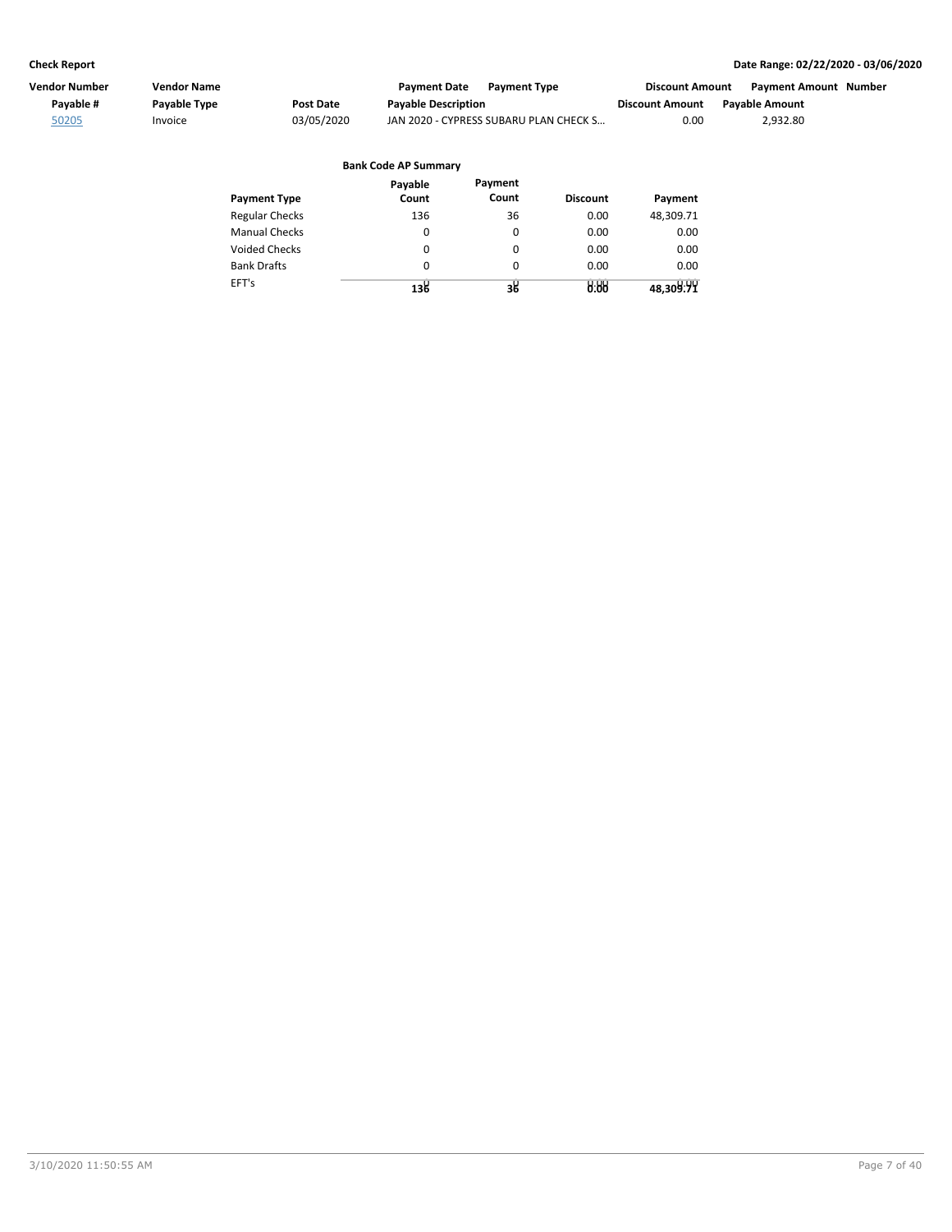| Vendor Number | Vendor Name         |            | <b>Payment Date</b><br><b>Payment Type</b> | <b>Discount Amount</b> | <b>Payment Amount Number</b> |  |
|---------------|---------------------|------------|--------------------------------------------|------------------------|------------------------------|--|
| Pavable #     | <b>Pavable Type</b> | Post Date  | <b>Payable Description</b>                 | <b>Discount Amount</b> | <b>Pavable Amount</b>        |  |
| 50205         | Invoice             | 03/05/2020 | JAN 2020 - CYPRESS SUBARU PLAN CHECK S     | 0.00                   | 2.932.80                     |  |

|                       | <b>Bank Code AP Summary</b> |                  |                 |           |
|-----------------------|-----------------------------|------------------|-----------------|-----------|
| <b>Payment Type</b>   | Payable<br>Count            | Payment<br>Count | <b>Discount</b> | Payment   |
| <b>Regular Checks</b> | 136                         | 36               | 0.00            | 48,309.71 |
| <b>Manual Checks</b>  | 0                           | 0                | 0.00            | 0.00      |
| <b>Voided Checks</b>  | 0                           | 0                | 0.00            | 0.00      |
| <b>Bank Drafts</b>    | $\Omega$                    | $\Omega$         | 0.00            | 0.00      |
| EFT's                 | 138                         | з8               | 9.99            | 48,309.99 |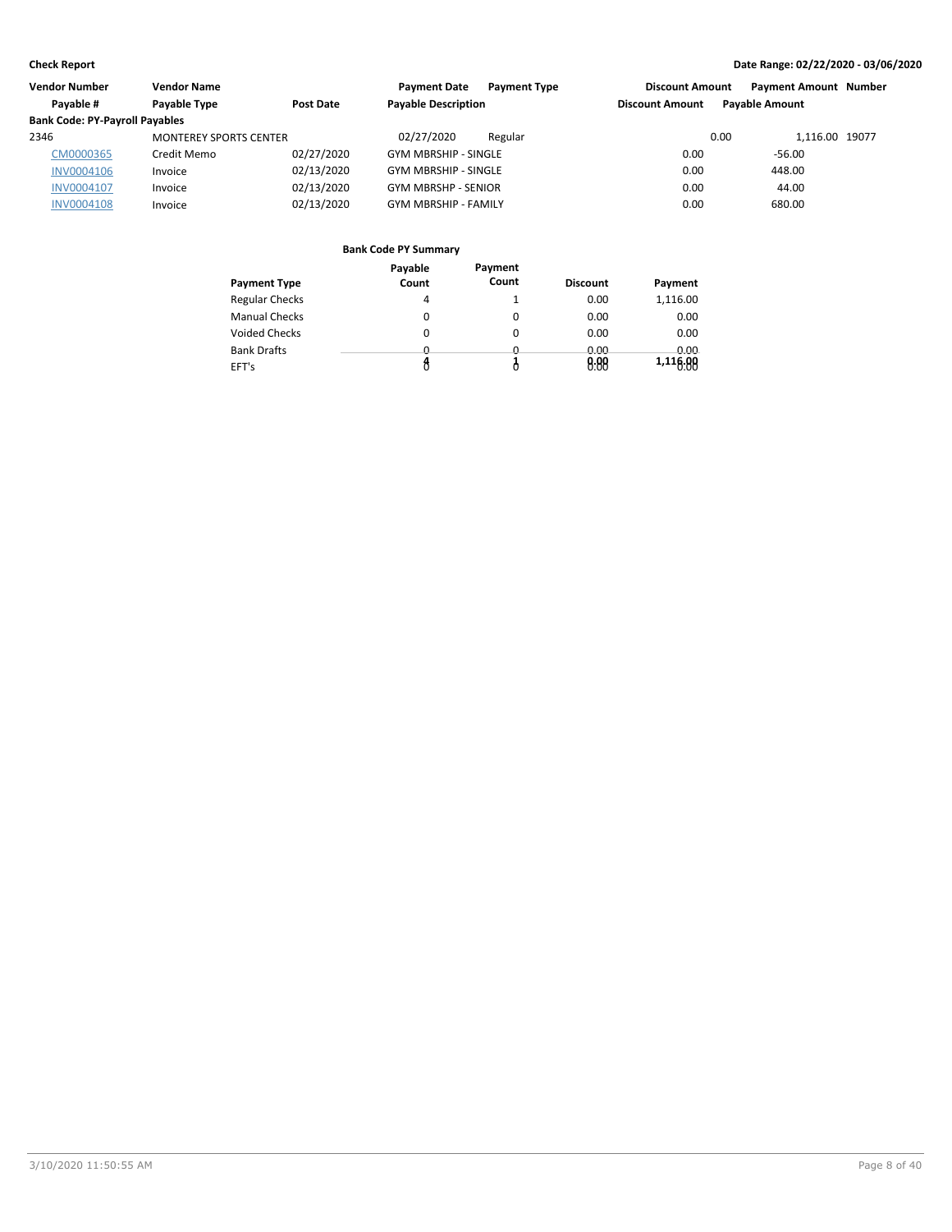| Vendor Number                         | <b>Vendor Name</b>            |            | <b>Payment Date</b><br><b>Payment Type</b> | <b>Discount Amount</b> | <b>Payment Amount Number</b> |  |
|---------------------------------------|-------------------------------|------------|--------------------------------------------|------------------------|------------------------------|--|
| Pavable #                             | Payable Type                  | Post Date  | <b>Payable Description</b>                 | <b>Discount Amount</b> | <b>Payable Amount</b>        |  |
| <b>Bank Code: PY-Payroll Payables</b> |                               |            |                                            |                        |                              |  |
| 2346                                  | <b>MONTEREY SPORTS CENTER</b> |            | 02/27/2020<br>Regular                      | 0.00                   | 1.116.00 19077               |  |
| CM0000365                             | Credit Memo                   | 02/27/2020 | <b>GYM MBRSHIP - SINGLE</b>                | 0.00                   | $-56.00$                     |  |
| <b>INV0004106</b>                     | Invoice                       | 02/13/2020 | <b>GYM MBRSHIP - SINGLE</b>                | 0.00                   | 448.00                       |  |
| INV0004107                            | Invoice                       | 02/13/2020 | <b>GYM MBRSHP - SENIOR</b>                 | 0.00                   | 44.00                        |  |
| <b>INV0004108</b>                     | Invoice                       | 02/13/2020 | <b>GYM MBRSHIP - FAMILY</b>                | 0.00                   | 680.00                       |  |

|                       | Payable  | Payment  |                 |             |
|-----------------------|----------|----------|-----------------|-------------|
| <b>Payment Type</b>   | Count    | Count    | <b>Discount</b> | Payment     |
| <b>Regular Checks</b> | 4        |          | 0.00            | 1,116.00    |
| <b>Manual Checks</b>  | 0        | 0        | 0.00            | 0.00        |
| <b>Voided Checks</b>  | 0        | 0        | 0.00            | 0.00        |
| <b>Bank Drafts</b>    | <u>n</u> | <u>n</u> | 0.00            | <u>n vv</u> |
| EFT's                 |          |          | 0.88            | 1,116.00    |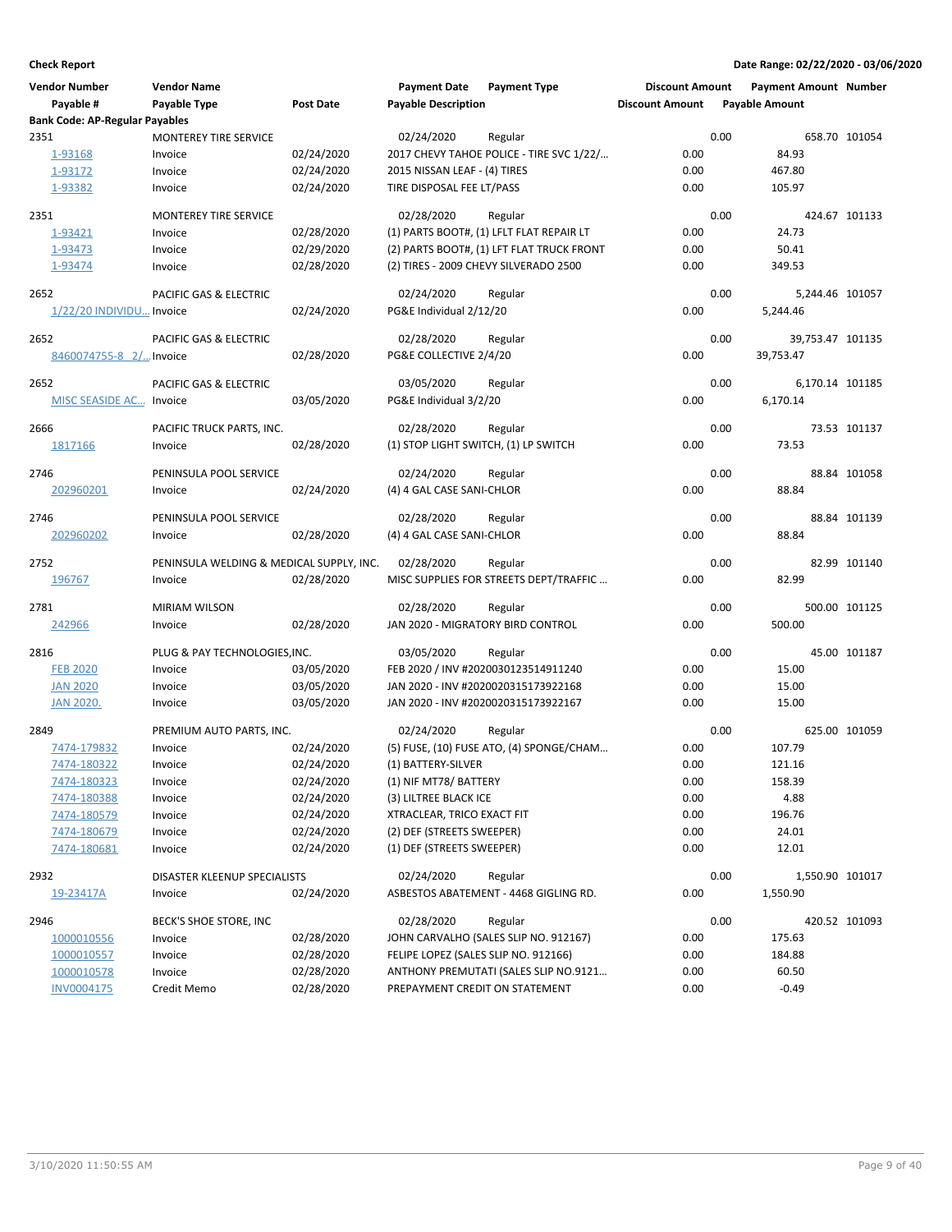| <b>Vendor Number</b><br>Payable #     | <b>Vendor Name</b><br>Payable Type       | <b>Post Date</b> | <b>Payment Date</b><br><b>Payable Description</b> | <b>Payment Type</b>                       | <b>Discount Amount</b><br><b>Discount Amount</b> |      | <b>Payment Amount Number</b><br><b>Payable Amount</b> |               |
|---------------------------------------|------------------------------------------|------------------|---------------------------------------------------|-------------------------------------------|--------------------------------------------------|------|-------------------------------------------------------|---------------|
| <b>Bank Code: AP-Regular Payables</b> |                                          |                  |                                                   |                                           |                                                  |      |                                                       |               |
| 2351                                  | <b>MONTEREY TIRE SERVICE</b>             |                  | 02/24/2020                                        | Regular                                   |                                                  | 0.00 |                                                       | 658.70 101054 |
| 1-93168                               | Invoice                                  | 02/24/2020       |                                                   | 2017 CHEVY TAHOE POLICE - TIRE SVC 1/22/  | 0.00                                             |      | 84.93                                                 |               |
| 1-93172                               | Invoice                                  | 02/24/2020       | 2015 NISSAN LEAF - (4) TIRES                      |                                           | 0.00                                             |      | 467.80                                                |               |
| 1-93382                               | Invoice                                  | 02/24/2020       | TIRE DISPOSAL FEE LT/PASS                         |                                           | 0.00                                             |      | 105.97                                                |               |
| 2351                                  | <b>MONTEREY TIRE SERVICE</b>             |                  | 02/28/2020                                        | Regular                                   |                                                  | 0.00 |                                                       | 424.67 101133 |
| 1-93421                               | Invoice                                  | 02/28/2020       |                                                   | (1) PARTS BOOT#, (1) LFLT FLAT REPAIR LT  | 0.00                                             |      | 24.73                                                 |               |
| 1-93473                               | Invoice                                  | 02/29/2020       |                                                   | (2) PARTS BOOT#, (1) LFT FLAT TRUCK FRONT | 0.00                                             |      | 50.41                                                 |               |
| 1-93474                               | Invoice                                  | 02/28/2020       |                                                   | (2) TIRES - 2009 CHEVY SILVERADO 2500     | 0.00                                             |      | 349.53                                                |               |
| 2652                                  | PACIFIC GAS & ELECTRIC                   |                  | 02/24/2020                                        | Regular                                   |                                                  | 0.00 | 5,244.46 101057                                       |               |
| 1/22/20 INDIVIDU Invoice              |                                          | 02/24/2020       | PG&E Individual 2/12/20                           |                                           | 0.00                                             |      | 5,244.46                                              |               |
| 2652                                  | PACIFIC GAS & ELECTRIC                   |                  | 02/28/2020                                        | Regular                                   |                                                  | 0.00 | 39,753.47 101135                                      |               |
| 8460074755-8 2/ Invoice               |                                          | 02/28/2020       | PG&E COLLECTIVE 2/4/20                            |                                           | 0.00                                             |      | 39,753.47                                             |               |
| 2652                                  | PACIFIC GAS & ELECTRIC                   |                  | 03/05/2020                                        | Regular                                   |                                                  | 0.00 | 6,170.14 101185                                       |               |
| <b>MISC SEASIDE AC Invoice</b>        |                                          | 03/05/2020       | PG&E Individual 3/2/20                            |                                           | 0.00                                             |      | 6.170.14                                              |               |
| 2666                                  | PACIFIC TRUCK PARTS, INC.                |                  | 02/28/2020                                        | Regular                                   |                                                  | 0.00 |                                                       | 73.53 101137  |
| 1817166                               | Invoice                                  | 02/28/2020       | (1) STOP LIGHT SWITCH, (1) LP SWITCH              |                                           | 0.00                                             |      | 73.53                                                 |               |
| 2746                                  | PENINSULA POOL SERVICE                   |                  | 02/24/2020                                        | Regular                                   |                                                  | 0.00 |                                                       | 88.84 101058  |
| 202960201                             | Invoice                                  | 02/24/2020       | (4) 4 GAL CASE SANI-CHLOR                         |                                           | 0.00                                             |      | 88.84                                                 |               |
| 2746                                  | PENINSULA POOL SERVICE                   |                  | 02/28/2020                                        | Regular                                   |                                                  | 0.00 |                                                       | 88.84 101139  |
| 202960202                             | Invoice                                  | 02/28/2020       | (4) 4 GAL CASE SANI-CHLOR                         |                                           | 0.00                                             |      | 88.84                                                 |               |
| 2752                                  | PENINSULA WELDING & MEDICAL SUPPLY, INC. |                  | 02/28/2020                                        | Regular                                   |                                                  | 0.00 |                                                       | 82.99 101140  |
| 196767                                | Invoice                                  | 02/28/2020       |                                                   | MISC SUPPLIES FOR STREETS DEPT/TRAFFIC    | 0.00                                             |      | 82.99                                                 |               |
| 2781                                  | <b>MIRIAM WILSON</b>                     |                  | 02/28/2020                                        | Regular                                   |                                                  | 0.00 |                                                       | 500.00 101125 |
| 242966                                | Invoice                                  | 02/28/2020       | JAN 2020 - MIGRATORY BIRD CONTROL                 |                                           | 0.00                                             |      | 500.00                                                |               |
| 2816                                  | PLUG & PAY TECHNOLOGIES, INC.            |                  | 03/05/2020                                        | Regular                                   |                                                  | 0.00 |                                                       | 45.00 101187  |
| <b>FEB 2020</b>                       | Invoice                                  | 03/05/2020       |                                                   | FEB 2020 / INV #2020030123514911240       | 0.00                                             |      | 15.00                                                 |               |
| <b>JAN 2020</b>                       | Invoice                                  | 03/05/2020       |                                                   | JAN 2020 - INV #2020020315173922168       | 0.00                                             |      | 15.00                                                 |               |
| <b>JAN 2020.</b>                      | Invoice                                  | 03/05/2020       |                                                   | JAN 2020 - INV #2020020315173922167       | 0.00                                             |      | 15.00                                                 |               |
| 2849                                  | PREMIUM AUTO PARTS, INC.                 |                  | 02/24/2020                                        | Regular                                   |                                                  | 0.00 |                                                       | 625.00 101059 |
| 7474-179832                           | Invoice                                  | 02/24/2020       |                                                   | (5) FUSE, (10) FUSE ATO, (4) SPONGE/CHAM  | 0.00                                             |      | 107.79                                                |               |
| 7474-180322                           | Invoice                                  | 02/24/2020       | (1) BATTERY-SILVER                                |                                           | 0.00                                             |      | 121.16                                                |               |
| 7474-180323                           | Invoice                                  | 02/24/2020       | (1) NIF MT78/ BATTERY                             |                                           | 0.00                                             |      | 158.39                                                |               |
| 7474-180388                           | Invoice                                  | 02/24/2020       | (3) LILTREE BLACK ICE                             |                                           | 0.00                                             |      | 4.88                                                  |               |
| 7474-180579                           | Invoice                                  | 02/24/2020       | XTRACLEAR, TRICO EXACT FIT                        |                                           | 0.00                                             |      | 196.76                                                |               |
| 7474-180679                           | Invoice                                  | 02/24/2020       | (2) DEF (STREETS SWEEPER)                         |                                           | 0.00                                             |      | 24.01                                                 |               |
| 7474-180681                           | Invoice                                  | 02/24/2020       | (1) DEF (STREETS SWEEPER)                         |                                           | 0.00                                             |      | 12.01                                                 |               |
| 2932                                  | DISASTER KLEENUP SPECIALISTS             |                  | 02/24/2020                                        | Regular                                   |                                                  | 0.00 | 1,550.90 101017                                       |               |
| 19-23417A                             | Invoice                                  | 02/24/2020       |                                                   | ASBESTOS ABATEMENT - 4468 GIGLING RD.     | 0.00                                             |      | 1,550.90                                              |               |
| 2946                                  | BECK'S SHOE STORE, INC                   |                  | 02/28/2020                                        | Regular                                   |                                                  | 0.00 |                                                       | 420.52 101093 |
| 1000010556                            | Invoice                                  | 02/28/2020       |                                                   | JOHN CARVALHO (SALES SLIP NO. 912167)     | 0.00                                             |      | 175.63                                                |               |
| 1000010557                            | Invoice                                  | 02/28/2020       | FELIPE LOPEZ (SALES SLIP NO. 912166)              |                                           | 0.00                                             |      | 184.88                                                |               |
| 1000010578                            | Invoice                                  | 02/28/2020       |                                                   | ANTHONY PREMUTATI (SALES SLIP NO.9121     | 0.00                                             |      | 60.50                                                 |               |
| INV0004175                            | Credit Memo                              | 02/28/2020       | PREPAYMENT CREDIT ON STATEMENT                    |                                           | 0.00                                             |      | $-0.49$                                               |               |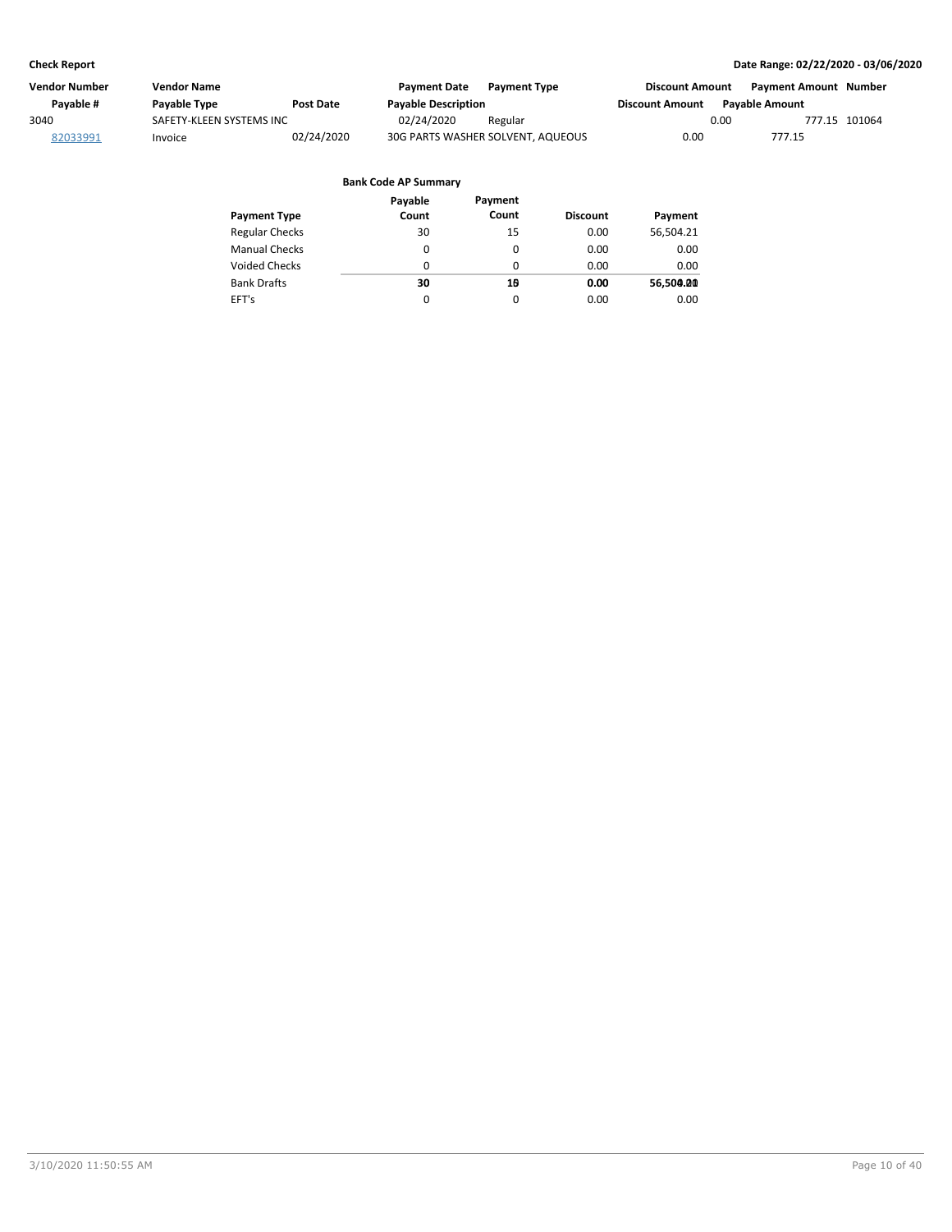| Vendor Number | Vendor Name              |            | <b>Payment Date</b>        | <b>Payment Type</b>               | <b>Discount Amount</b> |                | Payment Amount Number |  |
|---------------|--------------------------|------------|----------------------------|-----------------------------------|------------------------|----------------|-----------------------|--|
| Pavable #     | Payable Type             | Post Date  | <b>Payable Description</b> |                                   | <b>Discount Amount</b> | Pavable Amount |                       |  |
| 3040          | SAFETY-KLEEN SYSTEMS INC |            | 02/24/2020                 | Regular                           |                        | 0.00           | 777.15 101064         |  |
| 82033991      | Invoice                  | 02/24/2020 |                            | 30G PARTS WASHER SOLVENT, AQUEOUS | 0.00                   |                | 777.15                |  |

| <b>Payment Type</b>   | Payable<br>Count | Payment<br>Count | <b>Discount</b> | Payment   |
|-----------------------|------------------|------------------|-----------------|-----------|
|                       |                  |                  |                 |           |
| <b>Regular Checks</b> | 30               | 15               | 0.00            | 56,504.21 |
| <b>Manual Checks</b>  | 0                | $\Omega$         | 0.00            | 0.00      |
| <b>Voided Checks</b>  | 0                | $\Omega$         | 0.00            | 0.00      |
| <b>Bank Drafts</b>    | 30               | 10               | 0.00            | 56,500.00 |
| EFT's                 | $\Omega$         | 0                | 0.00            | 0.00      |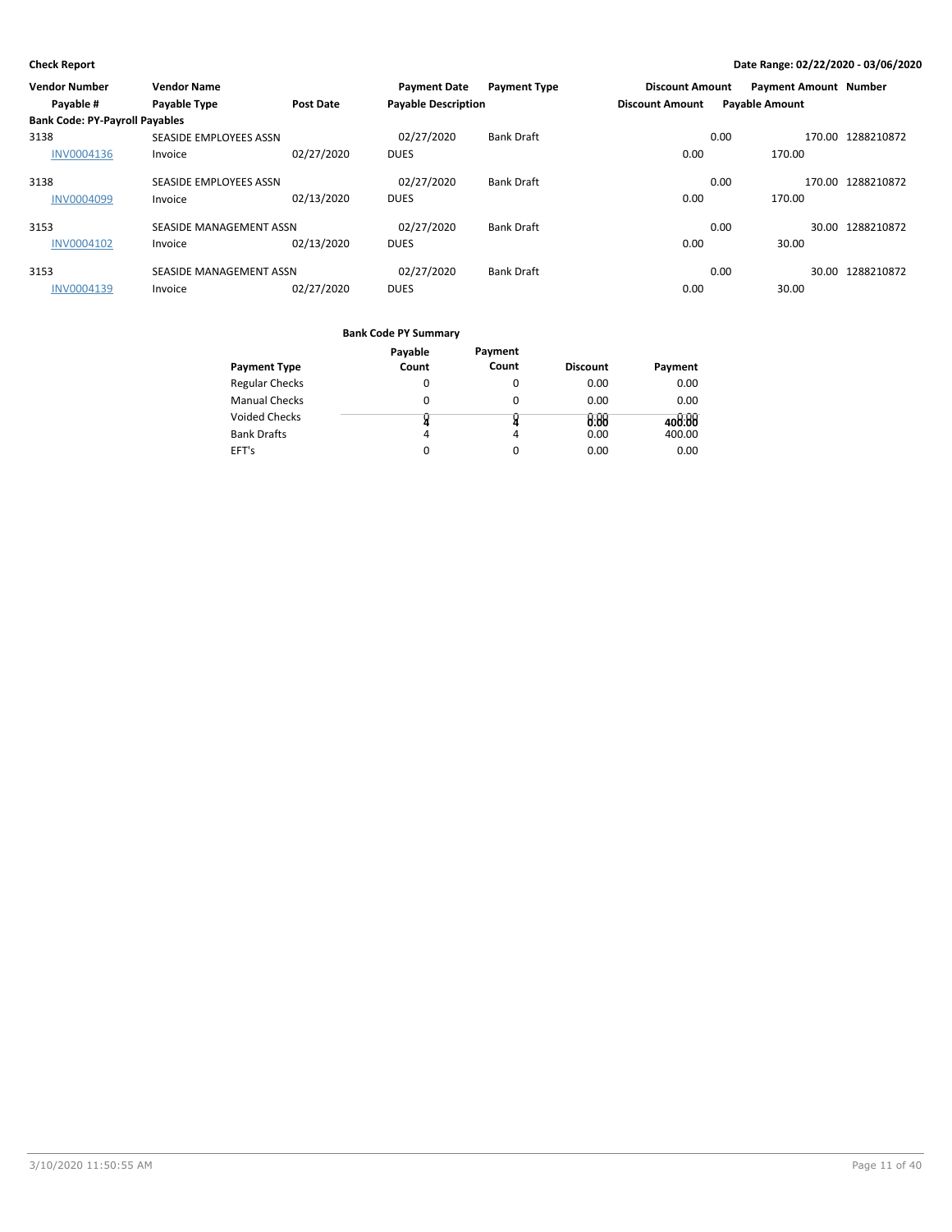| <b>Vendor Number</b>                  | <b>Vendor Name</b>      |            | <b>Payment Date</b>        | <b>Payment Type</b> | <b>Discount Amount</b> |                       | <b>Payment Amount Number</b> |                   |
|---------------------------------------|-------------------------|------------|----------------------------|---------------------|------------------------|-----------------------|------------------------------|-------------------|
| Payable #                             | <b>Payable Type</b>     | Post Date  | <b>Payable Description</b> |                     | <b>Discount Amount</b> | <b>Payable Amount</b> |                              |                   |
| <b>Bank Code: PY-Payroll Payables</b> |                         |            |                            |                     |                        |                       |                              |                   |
| 3138                                  | SEASIDE EMPLOYEES ASSN  |            | 02/27/2020                 | <b>Bank Draft</b>   |                        | 0.00                  |                              | 170.00 1288210872 |
| <b>INV0004136</b>                     | Invoice                 | 02/27/2020 | <b>DUES</b>                |                     | 0.00                   |                       | 170.00                       |                   |
| 3138                                  | SEASIDE EMPLOYEES ASSN  |            | 02/27/2020                 | <b>Bank Draft</b>   |                        | 0.00                  |                              | 170.00 1288210872 |
| <b>INV0004099</b>                     | Invoice                 | 02/13/2020 | <b>DUES</b>                |                     | 0.00                   |                       | 170.00                       |                   |
| 3153                                  | SEASIDE MANAGEMENT ASSN |            | 02/27/2020                 | <b>Bank Draft</b>   |                        | 0.00                  |                              | 30.00 1288210872  |
| <b>INV0004102</b>                     | Invoice                 | 02/13/2020 | <b>DUES</b>                |                     | 0.00                   |                       | 30.00                        |                   |
| 3153                                  | SEASIDE MANAGEMENT ASSN |            | 02/27/2020                 | <b>Bank Draft</b>   |                        | 0.00                  |                              | 30.00 1288210872  |
| <b>INV0004139</b>                     | Invoice                 | 02/27/2020 | <b>DUES</b>                |                     | 0.00                   |                       | 30.00                        |                   |

|                       | Payable | Payment  |                 |         |
|-----------------------|---------|----------|-----------------|---------|
| <b>Payment Type</b>   | Count   | Count    | <b>Discount</b> | Payment |
| <b>Regular Checks</b> | 0       | 0        | 0.00            | 0.00    |
| <b>Manual Checks</b>  | 0       | 0        | 0.00            | 0.00    |
| Voided Checks         |         |          | 0.88            | 408.88  |
| <b>Bank Drafts</b>    | 4       | 4        | 0.00            | 400.00  |
| EFT's                 |         | $\Omega$ | 0.00            | 0.00    |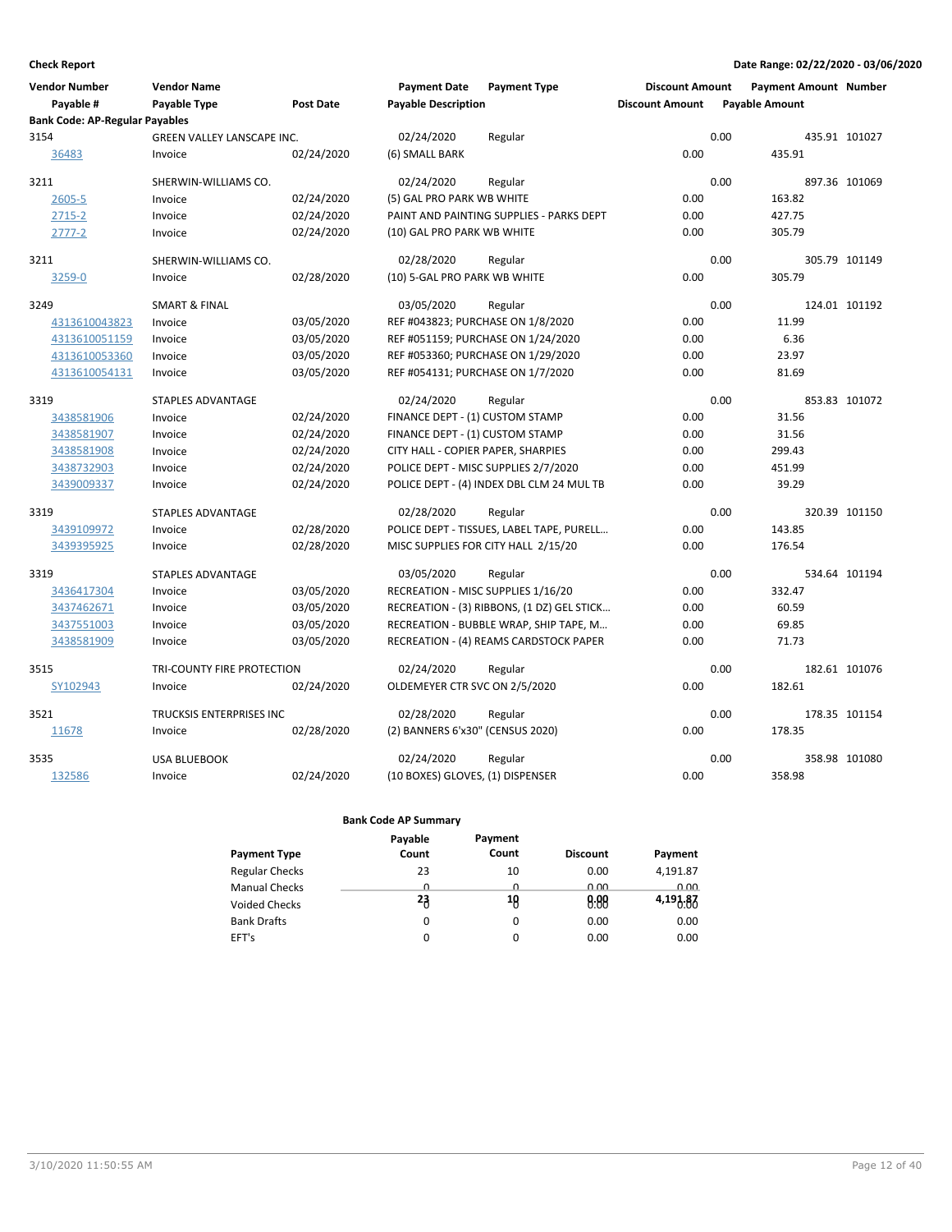| <b>Vendor Number</b><br>Payable #     | <b>Vendor Name</b><br>Payable Type           | <b>Post Date</b> | <b>Payment Date</b><br><b>Payable Description</b> | <b>Payment Type</b>                        | <b>Discount Amount</b><br><b>Discount Amount</b> | <b>Payment Amount Number</b><br><b>Payable Amount</b> |               |  |
|---------------------------------------|----------------------------------------------|------------------|---------------------------------------------------|--------------------------------------------|--------------------------------------------------|-------------------------------------------------------|---------------|--|
| <b>Bank Code: AP-Regular Payables</b> |                                              |                  |                                                   |                                            |                                                  |                                                       |               |  |
| 3154<br>36483                         | <b>GREEN VALLEY LANSCAPE INC.</b><br>Invoice | 02/24/2020       | 02/24/2020<br>(6) SMALL BARK                      | Regular                                    | 0.00                                             | 0.00<br>435.91                                        | 435.91 101027 |  |
| 3211                                  | SHERWIN-WILLIAMS CO.                         |                  | 02/24/2020                                        | Regular                                    |                                                  | 0.00                                                  | 897.36 101069 |  |
| $2605 - 5$                            | Invoice                                      | 02/24/2020       | (5) GAL PRO PARK WB WHITE                         |                                            | 0.00                                             | 163.82                                                |               |  |
| $2715 - 2$                            | Invoice                                      | 02/24/2020       |                                                   | PAINT AND PAINTING SUPPLIES - PARKS DEPT   | 0.00                                             | 427.75                                                |               |  |
| 2777-2                                | Invoice                                      | 02/24/2020       | (10) GAL PRO PARK WB WHITE                        |                                            | 0.00                                             | 305.79                                                |               |  |
| 3211                                  | SHERWIN-WILLIAMS CO.                         |                  | 02/28/2020                                        | Regular                                    |                                                  | 0.00                                                  | 305.79 101149 |  |
| 3259-0                                | Invoice                                      | 02/28/2020       | (10) 5-GAL PRO PARK WB WHITE                      |                                            | 0.00                                             | 305.79                                                |               |  |
| 3249                                  | <b>SMART &amp; FINAL</b>                     |                  | 03/05/2020                                        | Regular                                    |                                                  | 0.00                                                  | 124.01 101192 |  |
| 4313610043823                         | Invoice                                      | 03/05/2020       | REF #043823; PURCHASE ON 1/8/2020                 |                                            | 0.00                                             | 11.99                                                 |               |  |
| 4313610051159                         | Invoice                                      | 03/05/2020       |                                                   | REF #051159; PURCHASE ON 1/24/2020         | 0.00                                             | 6.36                                                  |               |  |
| 4313610053360                         | Invoice                                      | 03/05/2020       |                                                   | REF #053360; PURCHASE ON 1/29/2020         | 0.00                                             | 23.97                                                 |               |  |
| 4313610054131                         | Invoice                                      | 03/05/2020       | REF #054131; PURCHASE ON 1/7/2020                 |                                            | 0.00                                             | 81.69                                                 |               |  |
| 3319                                  | <b>STAPLES ADVANTAGE</b>                     |                  | 02/24/2020                                        | Regular                                    |                                                  | 0.00                                                  | 853.83 101072 |  |
| 3438581906                            | Invoice                                      | 02/24/2020       | FINANCE DEPT - (1) CUSTOM STAMP                   |                                            | 0.00                                             | 31.56                                                 |               |  |
| 3438581907                            | Invoice                                      | 02/24/2020       | FINANCE DEPT - (1) CUSTOM STAMP                   |                                            | 0.00                                             | 31.56                                                 |               |  |
| 3438581908                            | Invoice                                      | 02/24/2020       | CITY HALL - COPIER PAPER, SHARPIES                |                                            | 0.00                                             | 299.43                                                |               |  |
| 3438732903                            | Invoice                                      | 02/24/2020       |                                                   | POLICE DEPT - MISC SUPPLIES 2/7/2020       | 0.00                                             | 451.99                                                |               |  |
| 3439009337                            | Invoice                                      | 02/24/2020       |                                                   | POLICE DEPT - (4) INDEX DBL CLM 24 MUL TB  | 0.00                                             | 39.29                                                 |               |  |
| 3319                                  | <b>STAPLES ADVANTAGE</b>                     |                  | 02/28/2020                                        | Regular                                    |                                                  | 0.00                                                  | 320.39 101150 |  |
| 3439109972                            | Invoice                                      | 02/28/2020       |                                                   | POLICE DEPT - TISSUES, LABEL TAPE, PURELL  | 0.00                                             | 143.85                                                |               |  |
| 3439395925                            | Invoice                                      | 02/28/2020       |                                                   | MISC SUPPLIES FOR CITY HALL 2/15/20        | 0.00                                             | 176.54                                                |               |  |
| 3319                                  | <b>STAPLES ADVANTAGE</b>                     |                  | 03/05/2020                                        | Regular                                    |                                                  | 0.00                                                  | 534.64 101194 |  |
| 3436417304                            | Invoice                                      | 03/05/2020       | RECREATION - MISC SUPPLIES 1/16/20                |                                            | 0.00                                             | 332.47                                                |               |  |
| 3437462671                            | Invoice                                      | 03/05/2020       |                                                   | RECREATION - (3) RIBBONS, (1 DZ) GEL STICK | 0.00                                             | 60.59                                                 |               |  |
| 3437551003                            | Invoice                                      | 03/05/2020       |                                                   | RECREATION - BUBBLE WRAP, SHIP TAPE, M     | 0.00                                             | 69.85                                                 |               |  |
| 3438581909                            | Invoice                                      | 03/05/2020       |                                                   | RECREATION - (4) REAMS CARDSTOCK PAPER     | 0.00                                             | 71.73                                                 |               |  |
| 3515                                  | TRI-COUNTY FIRE PROTECTION                   |                  | 02/24/2020                                        | Regular                                    |                                                  | 0.00                                                  | 182.61 101076 |  |
| SY102943                              | Invoice                                      | 02/24/2020       | OLDEMEYER CTR SVC ON 2/5/2020                     |                                            | 0.00                                             | 182.61                                                |               |  |
| 3521                                  | <b>TRUCKSIS ENTERPRISES INC</b>              |                  | 02/28/2020                                        | Regular                                    |                                                  | 0.00                                                  | 178.35 101154 |  |
| 11678                                 | Invoice                                      | 02/28/2020       | (2) BANNERS 6'x30" (CENSUS 2020)                  |                                            | 0.00                                             | 178.35                                                |               |  |
| 3535                                  | <b>USA BLUEBOOK</b>                          |                  | 02/24/2020                                        | Regular                                    |                                                  | 0.00                                                  | 358.98 101080 |  |
| 132586                                | Invoice                                      | 02/24/2020       | (10 BOXES) GLOVES, (1) DISPENSER                  |                                            | 0.00                                             | 358.98                                                |               |  |

|                       | Payable | Payment  |                 |          |
|-----------------------|---------|----------|-----------------|----------|
| <b>Payment Type</b>   | Count   | Count    | <b>Discount</b> | Payment  |
| <b>Regular Checks</b> | 23      | 10       | 0.00            | 4,191.87 |
| <b>Manual Checks</b>  | 0       | 0        | 0.00            | 0.00     |
| <b>Voided Checks</b>  | 23      | 18       | 0.00            | 4,193.87 |
| <b>Bank Drafts</b>    | 0       | $\Omega$ | 0.00            | 0.00     |
| EFT's                 | 0       | $\Omega$ | 0.00            | 0.00     |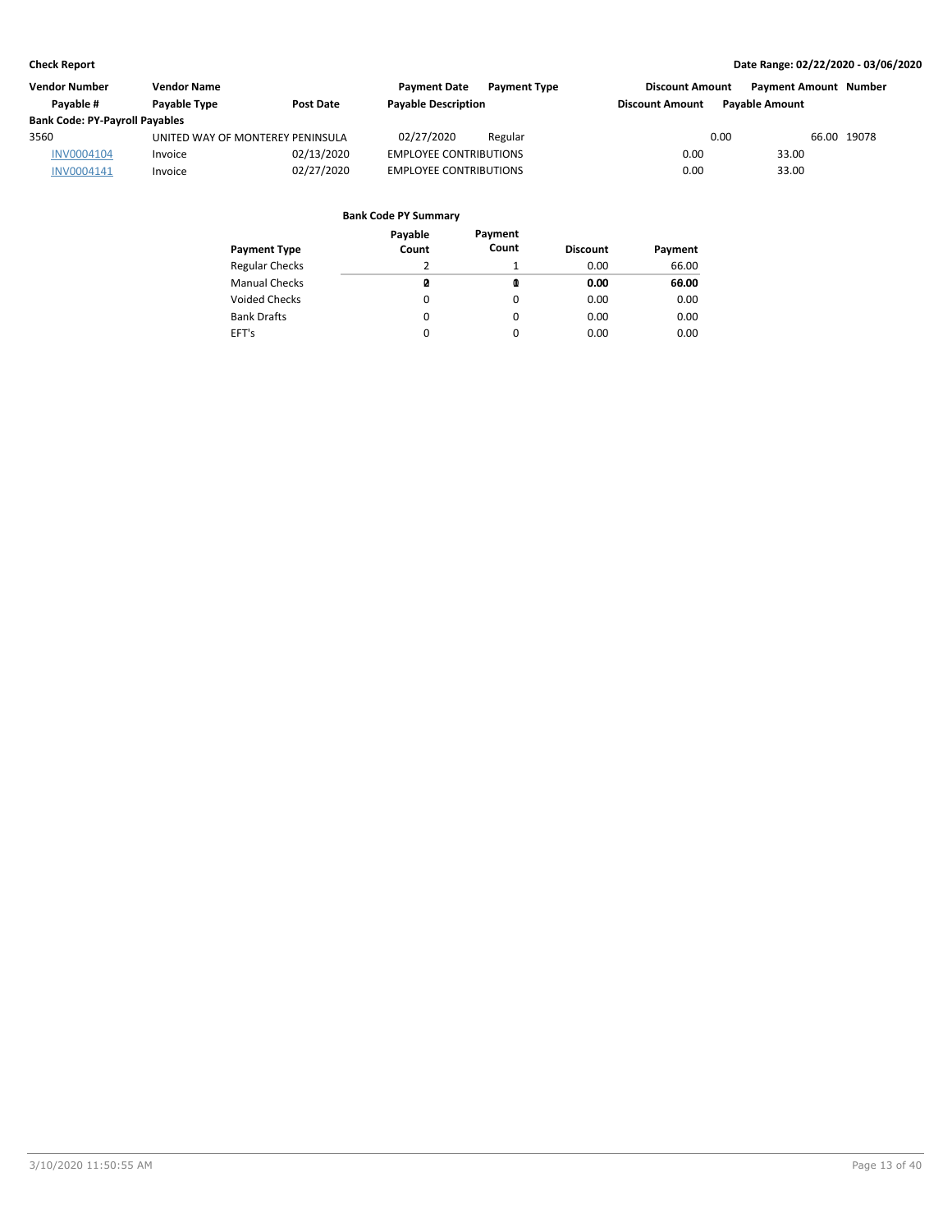| <b>Vendor Number</b>                  | <b>Vendor Name</b>               |                  | <b>Payment Date</b>           | <b>Payment Type</b> | <b>Discount Amount</b> | <b>Payment Amount Number</b> |             |
|---------------------------------------|----------------------------------|------------------|-------------------------------|---------------------|------------------------|------------------------------|-------------|
| Pavable #                             | Payable Type                     | <b>Post Date</b> | <b>Payable Description</b>    |                     | <b>Discount Amount</b> | <b>Pavable Amount</b>        |             |
| <b>Bank Code: PY-Payroll Payables</b> |                                  |                  |                               |                     |                        |                              |             |
| 3560                                  | UNITED WAY OF MONTEREY PENINSULA |                  | 02/27/2020                    | Regular             |                        | 0.00                         | 66.00 19078 |
| INV0004104                            | Invoice                          | 02/13/2020       | <b>EMPLOYEE CONTRIBUTIONS</b> |                     | 0.00                   | 33.00                        |             |
| INV0004141                            | Invoice                          | 02/27/2020       | <b>EMPLOYEE CONTRIBUTIONS</b> |                     | 0.00                   | 33.00                        |             |
|                                       |                                  |                  |                               |                     |                        |                              |             |

| <b>Payment Type</b>   | Payable<br>Count | Payment<br>Count | <b>Discount</b> | Payment |
|-----------------------|------------------|------------------|-----------------|---------|
| <b>Regular Checks</b> | 2                |                  | 0.00            | 66.00   |
| <b>Manual Checks</b>  | ø                | O                | 0.00            | 60.00   |
| <b>Voided Checks</b>  | 0                | 0                | 0.00            | 0.00    |
| <b>Bank Drafts</b>    | 0                | 0                | 0.00            | 0.00    |
| EFT's                 | 0                | $\Omega$         | 0.00            | 0.00    |
|                       |                  |                  |                 |         |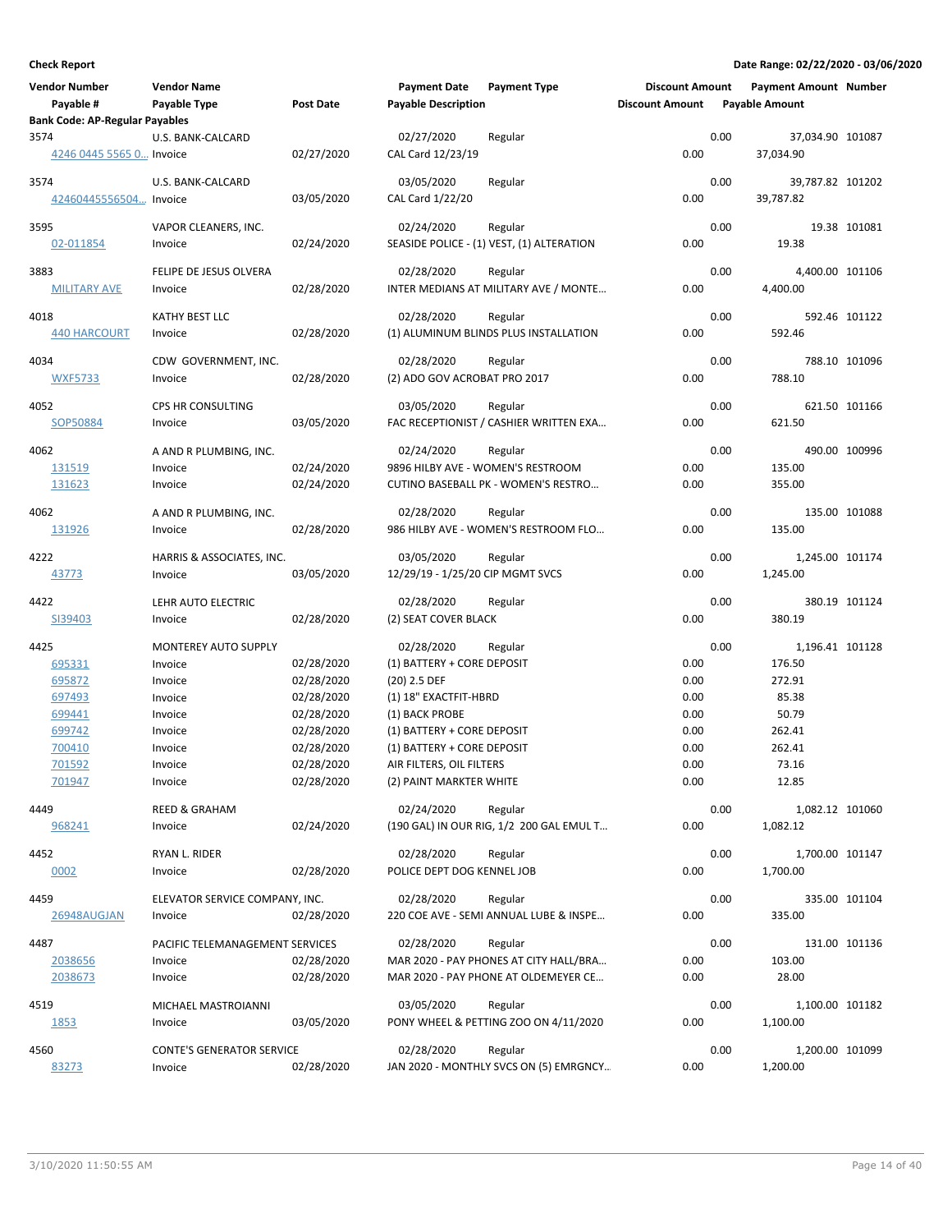| <b>Vendor Number</b><br>Payable #<br><b>Bank Code: AP-Regular Payables</b> | <b>Vendor Name</b><br>Payable Type           | <b>Post Date</b>         | <b>Payment Date</b><br><b>Payable Description</b> | <b>Payment Type</b>                                                                 | <b>Discount Amount</b><br><b>Discount Amount</b> |      | <b>Payment Amount Number</b><br><b>Payable Amount</b> |               |
|----------------------------------------------------------------------------|----------------------------------------------|--------------------------|---------------------------------------------------|-------------------------------------------------------------------------------------|--------------------------------------------------|------|-------------------------------------------------------|---------------|
| 3574                                                                       | U.S. BANK-CALCARD                            |                          | 02/27/2020                                        | Regular                                                                             |                                                  | 0.00 | 37,034.90 101087                                      |               |
| 4246 0445 5565 0 Invoice                                                   |                                              | 02/27/2020               | CAL Card 12/23/19                                 |                                                                                     | 0.00                                             |      | 37,034.90                                             |               |
| 3574<br>42460445556504 Invoice                                             | U.S. BANK-CALCARD                            | 03/05/2020               | 03/05/2020<br>CAL Card 1/22/20                    | Regular                                                                             | 0.00                                             | 0.00 | 39,787.82 101202<br>39,787.82                         |               |
| 3595<br>02-011854                                                          | VAPOR CLEANERS, INC.<br>Invoice              | 02/24/2020               | 02/24/2020                                        | Regular<br>SEASIDE POLICE - (1) VEST, (1) ALTERATION                                | 0.00                                             | 0.00 | 19.38                                                 | 19.38 101081  |
| 3883<br><b>MILITARY AVE</b>                                                | FELIPE DE JESUS OLVERA<br>Invoice            | 02/28/2020               | 02/28/2020                                        | Regular<br>INTER MEDIANS AT MILITARY AVE / MONTE                                    | 0.00                                             | 0.00 | 4,400.00 101106<br>4,400.00                           |               |
| 4018<br>440 HARCOURT                                                       | KATHY BEST LLC<br>Invoice                    | 02/28/2020               | 02/28/2020                                        | Regular<br>(1) ALUMINUM BLINDS PLUS INSTALLATION                                    | 0.00                                             | 0.00 | 592.46                                                | 592.46 101122 |
| 4034<br><b>WXF5733</b>                                                     | CDW GOVERNMENT, INC.<br>Invoice              | 02/28/2020               | 02/28/2020<br>(2) ADO GOV ACROBAT PRO 2017        | Regular                                                                             | 0.00                                             | 0.00 | 788.10                                                | 788.10 101096 |
| 4052<br>SOP50884                                                           | CPS HR CONSULTING<br>Invoice                 | 03/05/2020               | 03/05/2020                                        | Regular<br>FAC RECEPTIONIST / CASHIER WRITTEN EXA                                   | 0.00                                             | 0.00 | 621.50                                                | 621.50 101166 |
| 4062<br>131519<br>131623                                                   | A AND R PLUMBING, INC.<br>Invoice<br>Invoice | 02/24/2020<br>02/24/2020 | 02/24/2020                                        | Regular<br>9896 HILBY AVE - WOMEN'S RESTROOM<br>CUTINO BASEBALL PK - WOMEN'S RESTRO | 0.00<br>0.00                                     | 0.00 | 135.00<br>355.00                                      | 490.00 100996 |
| 4062<br>131926                                                             | A AND R PLUMBING, INC.<br>Invoice            | 02/28/2020               | 02/28/2020                                        | Regular<br>986 HILBY AVE - WOMEN'S RESTROOM FLO                                     | 0.00                                             | 0.00 | 135.00                                                | 135.00 101088 |
| 4222<br>43773                                                              | HARRIS & ASSOCIATES, INC.<br>Invoice         | 03/05/2020               | 03/05/2020<br>12/29/19 - 1/25/20 CIP MGMT SVCS    | Regular                                                                             | 0.00                                             | 0.00 | 1,245.00 101174<br>1,245.00                           |               |
| 4422<br>SI39403                                                            | LEHR AUTO ELECTRIC<br>Invoice                | 02/28/2020               | 02/28/2020<br>(2) SEAT COVER BLACK                | Regular                                                                             | 0.00                                             | 0.00 | 380.19                                                | 380.19 101124 |
| 4425                                                                       | MONTEREY AUTO SUPPLY                         |                          | 02/28/2020                                        | Regular                                                                             |                                                  | 0.00 | 1,196.41 101128                                       |               |
| 695331                                                                     | Invoice                                      | 02/28/2020               | (1) BATTERY + CORE DEPOSIT                        |                                                                                     | 0.00                                             |      | 176.50                                                |               |
| 695872                                                                     | Invoice                                      | 02/28/2020               | (20) 2.5 DEF                                      |                                                                                     | 0.00                                             |      | 272.91                                                |               |
| 697493                                                                     | Invoice                                      | 02/28/2020               | (1) 18" EXACTFIT-HBRD                             |                                                                                     | 0.00                                             |      | 85.38                                                 |               |
| 699441<br>699742                                                           | Invoice                                      | 02/28/2020<br>02/28/2020 | (1) BACK PROBE<br>(1) BATTERY + CORE DEPOSIT      |                                                                                     | 0.00<br>0.00                                     |      | 50.79<br>262.41                                       |               |
| 700410                                                                     | Invoice<br>Invoice                           | 02/28/2020               | (1) BATTERY + CORE DEPOSIT                        |                                                                                     | 0.00                                             |      | 262.41                                                |               |
| 701592                                                                     | Invoice                                      | 02/28/2020               | AIR FILTERS, OIL FILTERS                          |                                                                                     | 0.00                                             |      | 73.16                                                 |               |
| 701947                                                                     | Invoice                                      | 02/28/2020               | (2) PAINT MARKTER WHITE                           |                                                                                     | 0.00                                             |      | 12.85                                                 |               |
| 4449                                                                       | <b>REED &amp; GRAHAM</b>                     |                          | 02/24/2020                                        | Regular                                                                             |                                                  | 0.00 | 1,082.12 101060                                       |               |
| 968241                                                                     | Invoice                                      | 02/24/2020               |                                                   | (190 GAL) IN OUR RIG, 1/2 200 GAL EMUL T                                            | 0.00                                             |      | 1,082.12                                              |               |
| 4452                                                                       | RYAN L. RIDER                                |                          | 02/28/2020                                        | Regular                                                                             |                                                  | 0.00 | 1,700.00 101147                                       |               |
| 0002                                                                       | Invoice                                      | 02/28/2020               | POLICE DEPT DOG KENNEL JOB                        |                                                                                     | 0.00                                             |      | 1,700.00                                              |               |
| 4459                                                                       | ELEVATOR SERVICE COMPANY, INC.               |                          | 02/28/2020                                        | Regular                                                                             |                                                  | 0.00 |                                                       | 335.00 101104 |
| 26948AUGJAN                                                                | Invoice                                      | 02/28/2020               |                                                   | 220 COE AVE - SEMI ANNUAL LUBE & INSPE                                              | 0.00                                             |      | 335.00                                                |               |
| 4487                                                                       | PACIFIC TELEMANAGEMENT SERVICES              |                          | 02/28/2020                                        | Regular                                                                             |                                                  | 0.00 |                                                       | 131.00 101136 |
| 2038656                                                                    | Invoice                                      | 02/28/2020               |                                                   | MAR 2020 - PAY PHONES AT CITY HALL/BRA                                              | 0.00                                             |      | 103.00                                                |               |
| 2038673                                                                    | Invoice                                      | 02/28/2020               |                                                   | MAR 2020 - PAY PHONE AT OLDEMEYER CE                                                | 0.00                                             |      | 28.00                                                 |               |
| 4519                                                                       | MICHAEL MASTROIANNI                          |                          | 03/05/2020                                        | Regular                                                                             |                                                  | 0.00 | 1,100.00 101182                                       |               |
| 1853                                                                       | Invoice                                      | 03/05/2020               |                                                   | PONY WHEEL & PETTING ZOO ON 4/11/2020                                               | 0.00                                             |      | 1,100.00                                              |               |
| 4560                                                                       | <b>CONTE'S GENERATOR SERVICE</b>             |                          | 02/28/2020                                        | Regular                                                                             |                                                  | 0.00 | 1,200.00 101099                                       |               |
| 83273                                                                      | Invoice                                      | 02/28/2020               |                                                   | JAN 2020 - MONTHLY SVCS ON (5) EMRGNCY                                              | 0.00                                             |      | 1,200.00                                              |               |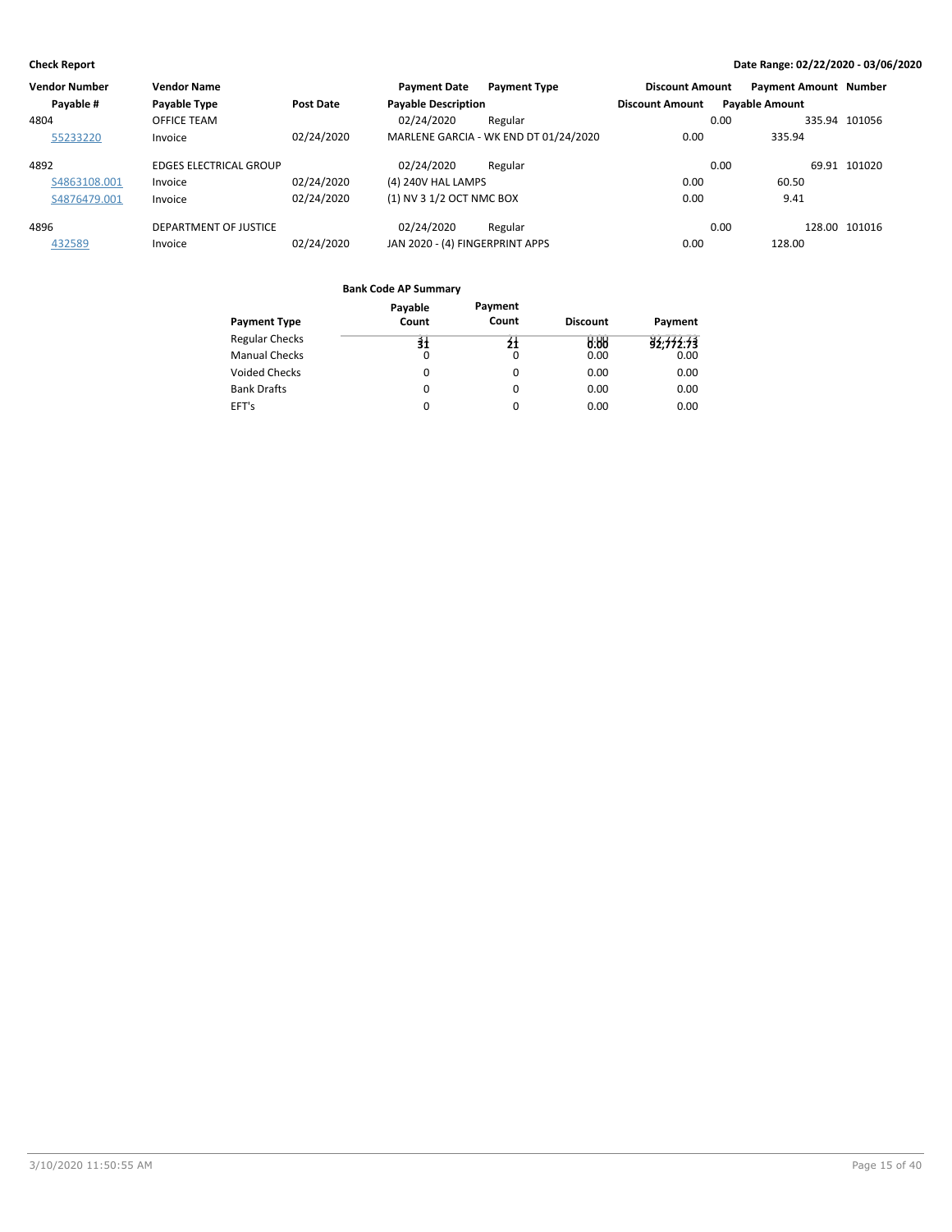| <b>Vendor Number</b> | <b>Vendor Name</b>            |                  | <b>Payment Date</b>             | <b>Payment Type</b>                   | <b>Discount Amount</b> | <b>Payment Amount Number</b> |               |
|----------------------|-------------------------------|------------------|---------------------------------|---------------------------------------|------------------------|------------------------------|---------------|
| Payable #            | Payable Type                  | <b>Post Date</b> | <b>Payable Description</b>      |                                       | <b>Discount Amount</b> | <b>Payable Amount</b>        |               |
| 4804                 | OFFICE TEAM                   |                  | 02/24/2020                      | Regular                               |                        | 0.00                         | 335.94 101056 |
| 55233220             | Invoice                       | 02/24/2020       |                                 | MARLENE GARCIA - WK END DT 01/24/2020 | 0.00                   | 335.94                       |               |
| 4892                 | <b>EDGES ELECTRICAL GROUP</b> |                  | 02/24/2020                      | Regular                               |                        | 0.00                         | 69.91 101020  |
| S4863108.001         | Invoice                       | 02/24/2020       | (4) 240V HAL LAMPS              |                                       | 0.00                   | 60.50                        |               |
| S4876479.001         | Invoice                       | 02/24/2020       | (1) NV 3 1/2 OCT NMC BOX        |                                       | 0.00                   | 9.41                         |               |
| 4896                 | DEPARTMENT OF JUSTICE         |                  | 02/24/2020                      | Regular                               |                        | 0.00                         | 128.00 101016 |
| 432589               | Invoice                       | 02/24/2020       | JAN 2020 - (4) FINGERPRINT APPS |                                       | 0.00                   | 128.00                       |               |

| Payment Type          | Payable<br>Count | Payment<br>Count | <b>Discount</b> | Payment   |
|-----------------------|------------------|------------------|-----------------|-----------|
|                       |                  |                  |                 |           |
| <b>Regular Checks</b> | $\frac{1}{2}$    | $\mathbf{H}$     | 9.99            | 92,772.73 |
| <b>Manual Checks</b>  | 0                |                  | 0.00            | 0.00      |
| <b>Voided Checks</b>  | 0                | 0                | 0.00            | 0.00      |
| <b>Bank Drafts</b>    | 0                | 0                | 0.00            | 0.00      |
| EFT's                 | 0                |                  | 0.00            | 0.00      |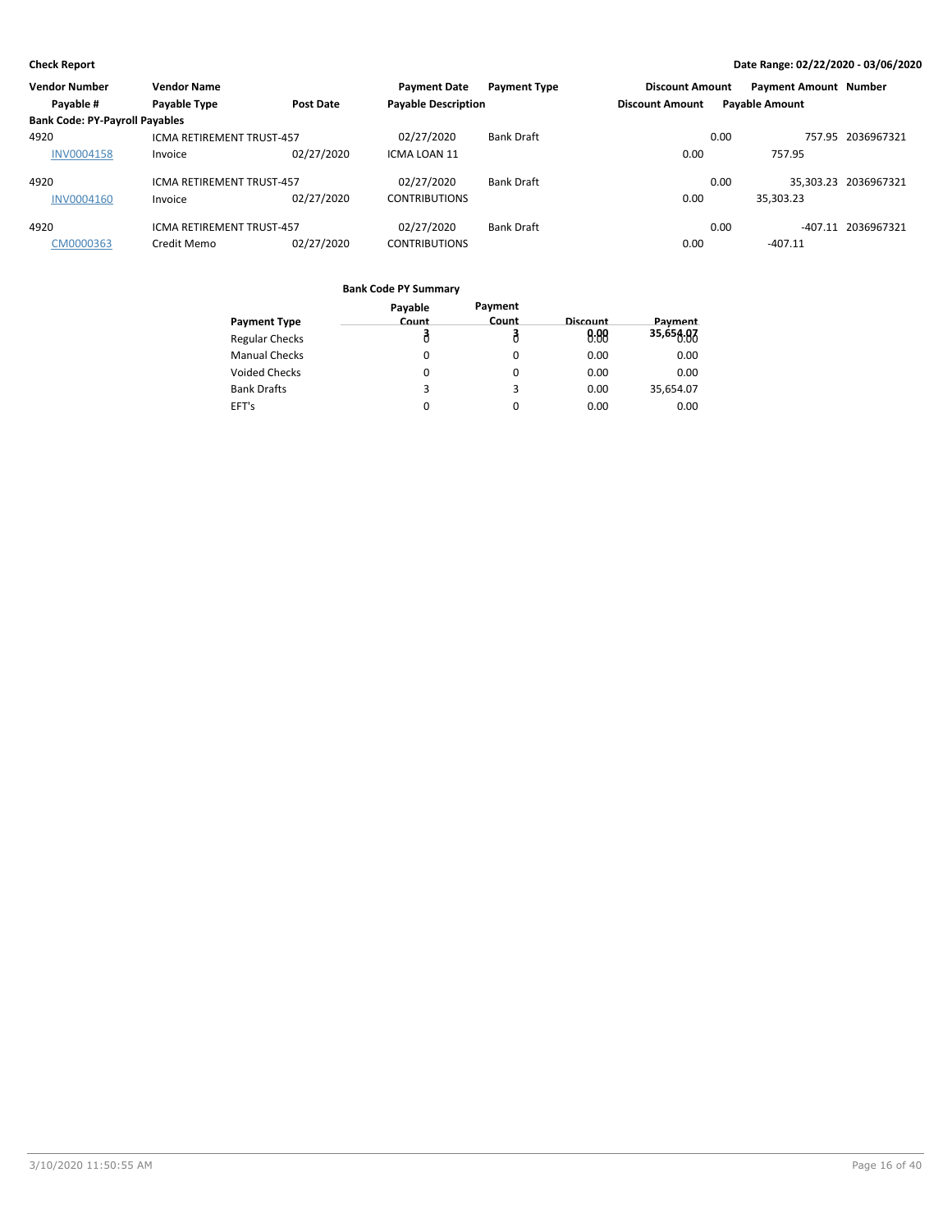| <b>Vendor Number</b>                  | <b>Vendor Name</b>               |                  | <b>Payment Date</b>        | <b>Payment Type</b> | <b>Discount Amount</b> | <b>Payment Amount Number</b> |                      |
|---------------------------------------|----------------------------------|------------------|----------------------------|---------------------|------------------------|------------------------------|----------------------|
| Payable #                             | Payable Type                     | <b>Post Date</b> | <b>Payable Description</b> |                     | <b>Discount Amount</b> | <b>Payable Amount</b>        |                      |
| <b>Bank Code: PY-Payroll Payables</b> |                                  |                  |                            |                     |                        |                              |                      |
| 4920                                  | <b>ICMA RETIREMENT TRUST-457</b> |                  | 02/27/2020                 | <b>Bank Draft</b>   |                        | 0.00                         | 757.95 2036967321    |
| <b>INV0004158</b>                     | Invoice                          | 02/27/2020       | ICMA LOAN 11               |                     | 0.00                   | 757.95                       |                      |
| 4920                                  | <b>ICMA RETIREMENT TRUST-457</b> |                  | 02/27/2020                 | <b>Bank Draft</b>   |                        | 0.00                         | 35.303.23 2036967321 |
| <b>INV0004160</b>                     | Invoice                          | 02/27/2020       | <b>CONTRIBUTIONS</b>       |                     | 0.00                   | 35.303.23                    |                      |
| 4920                                  | <b>ICMA RETIREMENT TRUST-457</b> |                  | 02/27/2020                 | <b>Bank Draft</b>   |                        | 0.00<br>$-407.11$            | 2036967321           |
| CM0000363                             | Credit Memo                      | 02/27/2020       | <b>CONTRIBUTIONS</b>       |                     | 0.00                   | -407.11                      |                      |

|                       | Payable | Payment |          |           |
|-----------------------|---------|---------|----------|-----------|
| <b>Payment Type</b>   | Count   | Count   | Discount | Payment   |
| <b>Regular Checks</b> |         |         | 0.88     | 35,654.87 |
| <b>Manual Checks</b>  | 0       | 0       | 0.00     | 0.00      |
| <b>Voided Checks</b>  | 0       | O       | 0.00     | 0.00      |
| <b>Bank Drafts</b>    | 3       | 3       | 0.00     | 35,654.07 |
| EFT's                 | 0       | 0       | 0.00     | 0.00      |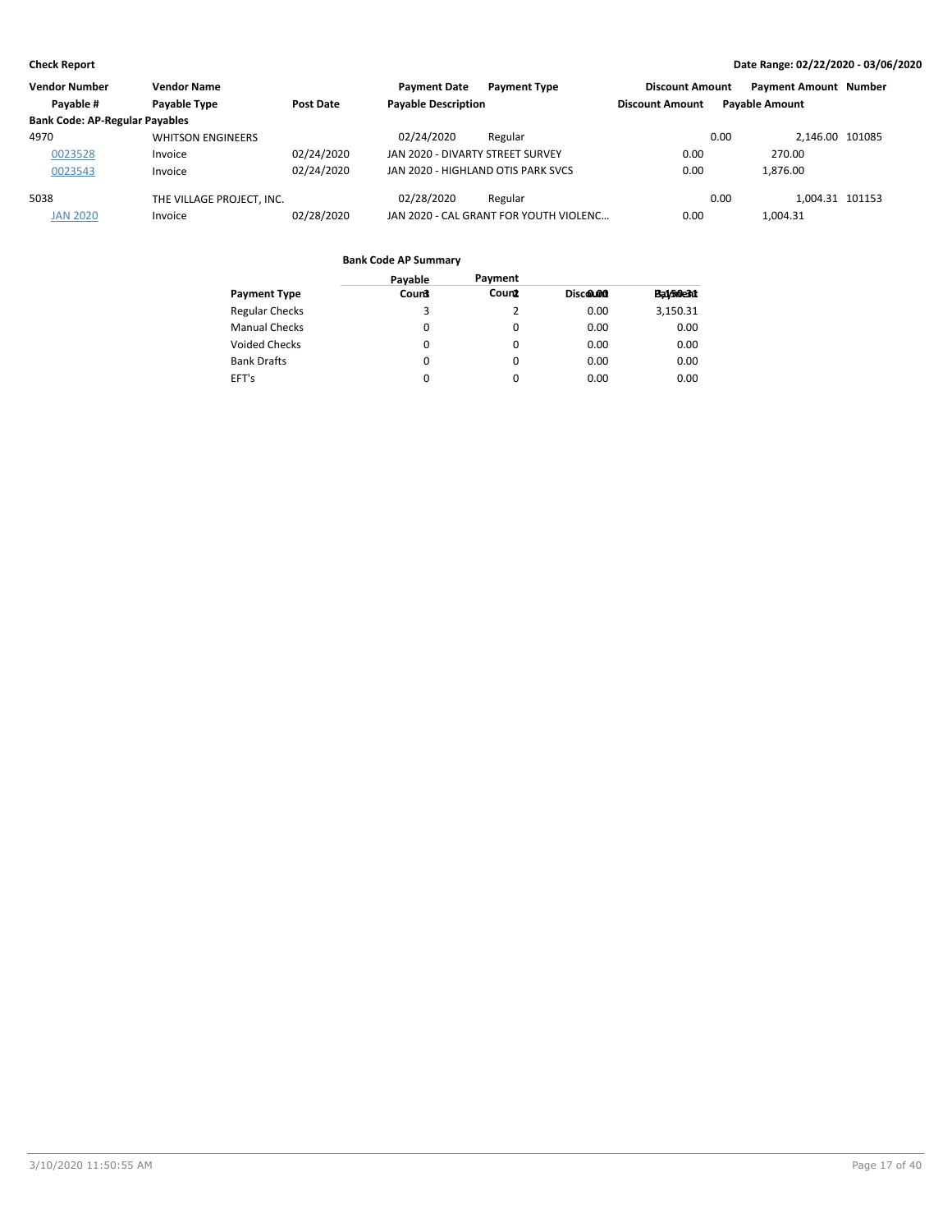| <b>Vendor Number</b>                  | <b>Vendor Name</b>        |            | <b>Payment Date</b>                | <b>Payment Type</b>                    | <b>Discount Amount</b> | <b>Payment Amount Number</b> |  |
|---------------------------------------|---------------------------|------------|------------------------------------|----------------------------------------|------------------------|------------------------------|--|
| Payable #                             | Payable Type              | Post Date  | <b>Payable Description</b>         |                                        | <b>Discount Amount</b> | <b>Pavable Amount</b>        |  |
| <b>Bank Code: AP-Regular Payables</b> |                           |            |                                    |                                        |                        |                              |  |
| 4970                                  | <b>WHITSON ENGINEERS</b>  |            | 02/24/2020                         | Regular                                |                        | 2.146.00 101085<br>0.00      |  |
| 0023528                               | Invoice                   | 02/24/2020 | JAN 2020 - DIVARTY STREET SURVEY   |                                        | 0.00                   | 270.00                       |  |
| 0023543                               | Invoice                   | 02/24/2020 | JAN 2020 - HIGHLAND OTIS PARK SVCS |                                        | 0.00                   | 1.876.00                     |  |
| 5038                                  | THE VILLAGE PROJECT. INC. |            | 02/28/2020                         | Regular                                |                        | 0.00<br>1.004.31 101153      |  |
| <b>JAN 2020</b>                       | Invoice                   | 02/28/2020 |                                    | JAN 2020 - CAL GRANT FOR YOUTH VIOLENC | 0.00                   | 1.004.31                     |  |

|                    | Payable      | Payment  |          |           |
|--------------------|--------------|----------|----------|-----------|
| Payment Type       | <b>Count</b> | Count    | Discolon | Ba1/50e31 |
| Regular Checks     | 3            | 2        | 0.00     | 3,150.31  |
| Manual Checks      | $\Omega$     | 0        | 0.00     | 0.00      |
| Voided Checks      | 0            | $\Omega$ | 0.00     | 0.00      |
| <b>Bank Drafts</b> | $\Omega$     | $\Omega$ | 0.00     | 0.00      |
| EFT's              | 0            | $\Omega$ | 0.00     | 0.00      |
|                    |              |          |          |           |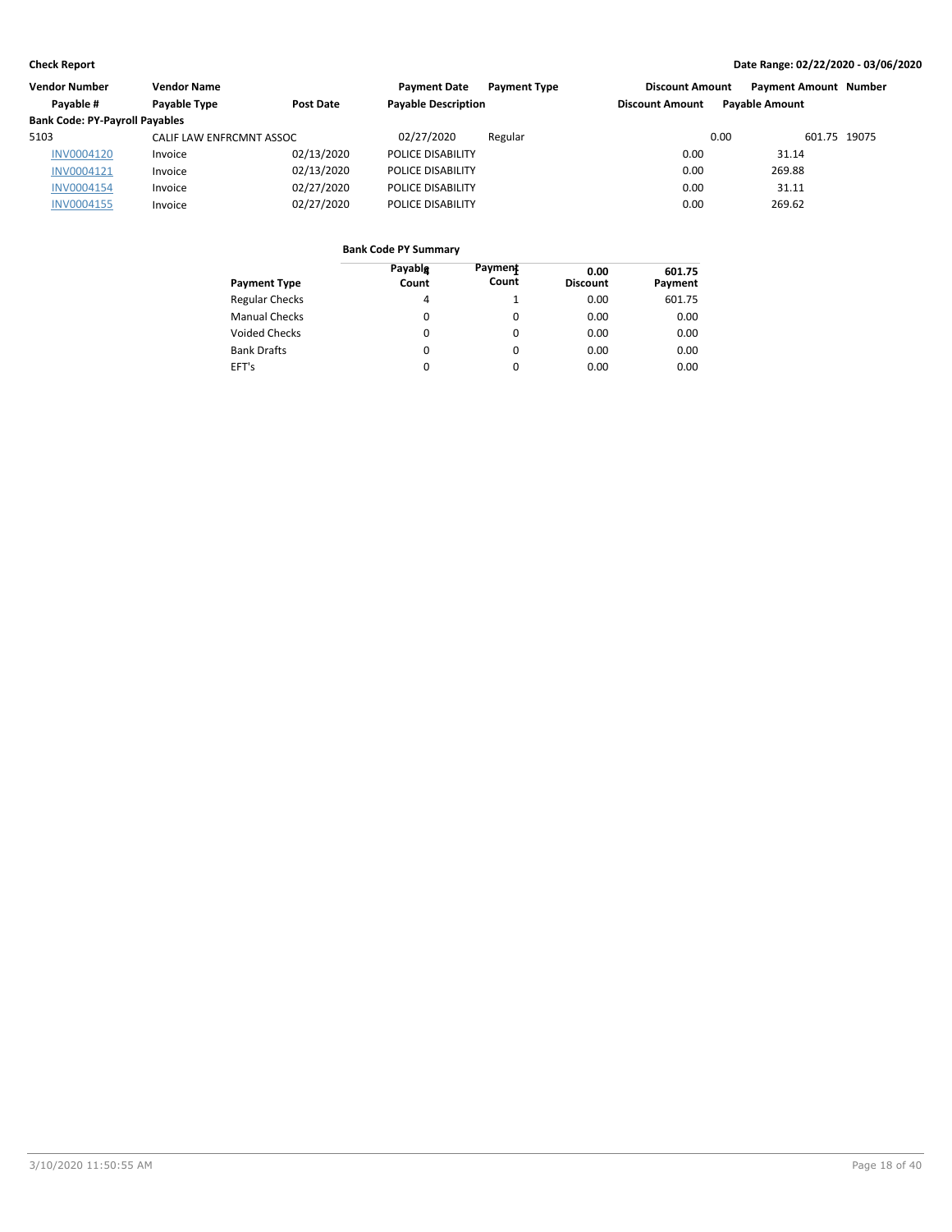| Vendor Number                         | <b>Vendor Name</b>       |            | <b>Payment Date</b>        | <b>Payment Type</b> | <b>Discount Amount</b> | <b>Payment Amount Number</b> |  |
|---------------------------------------|--------------------------|------------|----------------------------|---------------------|------------------------|------------------------------|--|
| Pavable #                             | Payable Type             | Post Date  | <b>Payable Description</b> |                     | <b>Discount Amount</b> | <b>Pavable Amount</b>        |  |
| <b>Bank Code: PY-Payroll Payables</b> |                          |            |                            |                     |                        |                              |  |
| 5103                                  | CALIF LAW ENFRCMNT ASSOC |            | 02/27/2020                 | Regular             |                        | 601.75 19075<br>0.00         |  |
| <b>INV0004120</b>                     | Invoice                  | 02/13/2020 | POLICE DISABILITY          |                     | 0.00                   | 31.14                        |  |
| INV0004121                            | Invoice                  | 02/13/2020 | POLICE DISABILITY          |                     | 0.00                   | 269.88                       |  |
| <b>INV0004154</b>                     | Invoice                  | 02/27/2020 | POLICE DISABILITY          |                     | 0.00                   | 31.11                        |  |
| INV0004155                            | Invoice                  | 02/27/2020 | POLICE DISABILITY          |                     | 0.00                   | 269.62                       |  |

| Payment Type          | Payable<br>Count | Payment<br>Count | 0.00<br><b>Discount</b> | 601.75<br>Payment |
|-----------------------|------------------|------------------|-------------------------|-------------------|
| <b>Regular Checks</b> | 4                |                  | 0.00                    | 601.75            |
| Manual Checks         | $\Omega$         | $\Omega$         | 0.00                    | 0.00              |
| <b>Voided Checks</b>  | 0                | 0                | 0.00                    | 0.00              |
| <b>Bank Drafts</b>    | $\Omega$         | 0                | 0.00                    | 0.00              |
| EFT's                 | 0                |                  | 0.00                    | 0.00              |
|                       |                  |                  |                         |                   |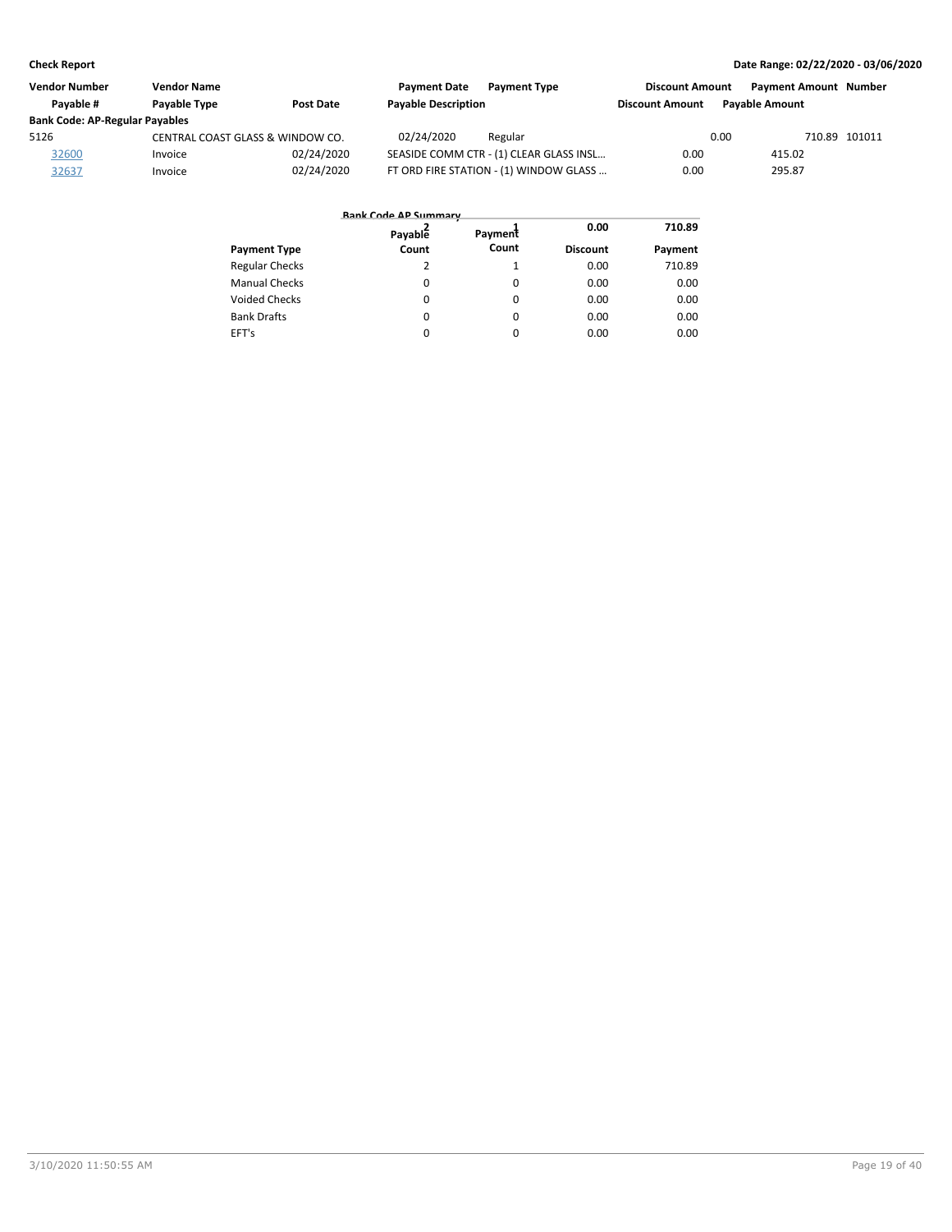| <b>Vendor Number</b>                  | <b>Vendor Name</b>               |                  | <b>Payment Date</b><br><b>Payment Type</b> | <b>Discount Amount</b> | <b>Payment Amount Number</b> |               |
|---------------------------------------|----------------------------------|------------------|--------------------------------------------|------------------------|------------------------------|---------------|
| Pavable #                             | <b>Pavable Type</b>              | <b>Post Date</b> | <b>Payable Description</b>                 | <b>Discount Amount</b> | <b>Pavable Amount</b>        |               |
| <b>Bank Code: AP-Regular Payables</b> |                                  |                  |                                            |                        |                              |               |
| 5126                                  | CENTRAL COAST GLASS & WINDOW CO. |                  | 02/24/2020<br>Regular                      |                        | 0.00                         | 710.89 101011 |
| 32600                                 | Invoice                          | 02/24/2020       | SEASIDE COMM CTR - (1) CLEAR GLASS INSL    | 0.00                   | 415.02                       |               |
| 32637                                 | Invoice                          | 02/24/2020       | FT ORD FIRE STATION - (1) WINDOW GLASS     | 0.00                   | 295.87                       |               |

|                       | <b>Bank Code AP Summary</b> |          |                 |         |
|-----------------------|-----------------------------|----------|-----------------|---------|
|                       | Payable                     | Payment  | 0.00            | 710.89  |
| <b>Payment Type</b>   | Count                       | Count    | <b>Discount</b> | Payment |
| <b>Regular Checks</b> | 2                           |          | 0.00            | 710.89  |
| <b>Manual Checks</b>  | $\Omega$                    | $\Omega$ | 0.00            | 0.00    |
| <b>Voided Checks</b>  | $\Omega$                    | $\Omega$ | 0.00            | 0.00    |
| <b>Bank Drafts</b>    | $\Omega$                    | $\Omega$ | 0.00            | 0.00    |
| EFT's                 | 0                           | $\Omega$ | 0.00            | 0.00    |
|                       |                             |          |                 |         |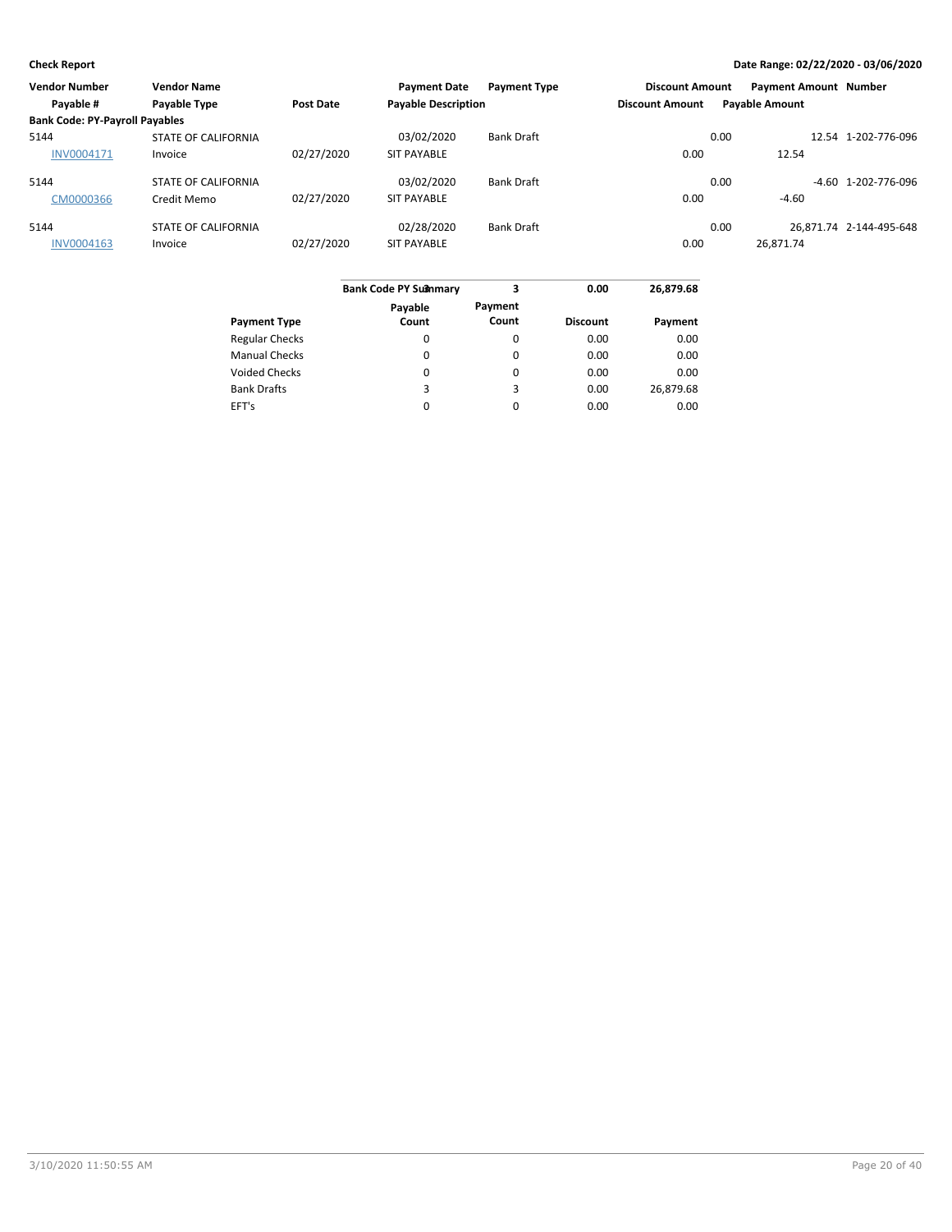| <b>Vendor Number</b>                  | <b>Vendor Name</b>         |                  | <b>Payment Date</b>        | <b>Payment Type</b> | <b>Discount Amount</b> |                       | <b>Payment Amount Number</b> |                         |
|---------------------------------------|----------------------------|------------------|----------------------------|---------------------|------------------------|-----------------------|------------------------------|-------------------------|
| Payable #                             | Payable Type               | <b>Post Date</b> | <b>Payable Description</b> |                     | <b>Discount Amount</b> | <b>Payable Amount</b> |                              |                         |
| <b>Bank Code: PY-Payroll Payables</b> |                            |                  |                            |                     |                        |                       |                              |                         |
| 5144                                  | <b>STATE OF CALIFORNIA</b> |                  | 03/02/2020                 | <b>Bank Draft</b>   |                        | 0.00                  |                              | 12.54 1-202-776-096     |
| <b>INV0004171</b>                     | Invoice                    | 02/27/2020       | <b>SIT PAYABLE</b>         |                     | 0.00                   |                       | 12.54                        |                         |
| 5144                                  | <b>STATE OF CALIFORNIA</b> |                  | 03/02/2020                 | <b>Bank Draft</b>   |                        | 0.00                  |                              | $-4.60$ 1-202-776-096   |
| CM0000366                             | Credit Memo                | 02/27/2020       | <b>SIT PAYABLE</b>         |                     | 0.00                   |                       | $-4.60$                      |                         |
| 5144                                  | <b>STATE OF CALIFORNIA</b> |                  | 02/28/2020                 | <b>Bank Draft</b>   |                        | 0.00                  |                              | 26.871.74 2-144-495-648 |
| INV0004163                            | Invoice                    | 02/27/2020       | <b>SIT PAYABLE</b>         |                     | 0.00                   |                       | 26,871.74                    |                         |

|                       | <b>Bank Code PY Su3nmary</b> | 3                | 0.00            | 26,879.68 |
|-----------------------|------------------------------|------------------|-----------------|-----------|
| <b>Payment Type</b>   | Payable<br>Count             | Payment<br>Count | <b>Discount</b> | Payment   |
| <b>Regular Checks</b> |                              | 0                | 0.00            | 0.00      |
|                       | 0                            |                  |                 |           |
| <b>Manual Checks</b>  | $\Omega$                     | $\Omega$         | 0.00            | 0.00      |
| <b>Voided Checks</b>  | 0                            | 0                | 0.00            | 0.00      |
| <b>Bank Drafts</b>    | 3                            | 3                | 0.00            | 26,879.68 |
| EFT's                 | 0                            | $\Omega$         | 0.00            | 0.00      |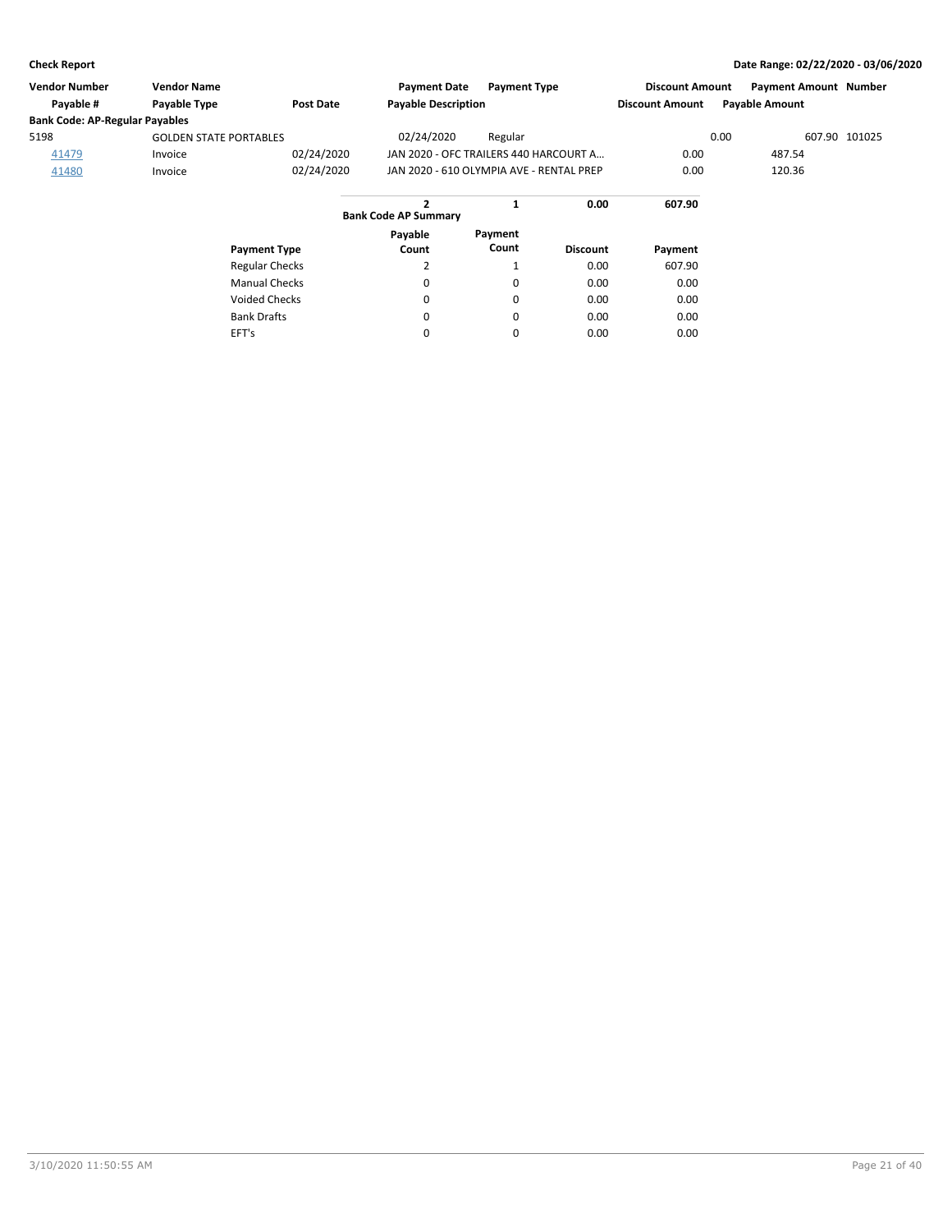| <b>Vendor Number</b>                  | <b>Vendor Name</b>            |                  | <b>Payment Date</b>                      | <b>Payment Type</b> |                 | <b>Discount Amount</b> | <b>Payment Amount Number</b> |               |
|---------------------------------------|-------------------------------|------------------|------------------------------------------|---------------------|-----------------|------------------------|------------------------------|---------------|
| Payable #                             | <b>Payable Type</b>           | <b>Post Date</b> | <b>Payable Description</b>               |                     |                 | <b>Discount Amount</b> | <b>Payable Amount</b>        |               |
| <b>Bank Code: AP-Regular Payables</b> |                               |                  |                                          |                     |                 |                        |                              |               |
| 5198                                  | <b>GOLDEN STATE PORTABLES</b> |                  | 02/24/2020                               | Regular             |                 |                        | 0.00                         | 607.90 101025 |
| 41479                                 | Invoice                       | 02/24/2020       | JAN 2020 - OFC TRAILERS 440 HARCOURT A   |                     |                 | 0.00                   | 487.54                       |               |
| 41480                                 | Invoice                       | 02/24/2020       | JAN 2020 - 610 OLYMPIA AVE - RENTAL PREP |                     |                 | 0.00                   | 120.36                       |               |
|                                       |                               |                  | <b>Bank Code AP Summary</b>              |                     | 0.00            | 607.90                 |                              |               |
|                                       |                               |                  | Pavable                                  | Payment             |                 |                        |                              |               |
|                                       | <b>Payment Type</b>           |                  | Count                                    | Count               | <b>Discount</b> | Payment                |                              |               |

| Payment Type          | Count | count | Discount | Payment |
|-----------------------|-------|-------|----------|---------|
| <b>Regular Checks</b> |       |       | 0.00     | 607.90  |
| <b>Manual Checks</b>  | 0     | 0     | 0.00     | 0.00    |
| <b>Voided Checks</b>  | 0     | 0     | 0.00     | 0.00    |
| <b>Bank Drafts</b>    | 0     | 0     | 0.00     | 0.00    |
| EFT's                 | 0     | 0     | 0.00     | 0.00    |
|                       |       |       |          |         |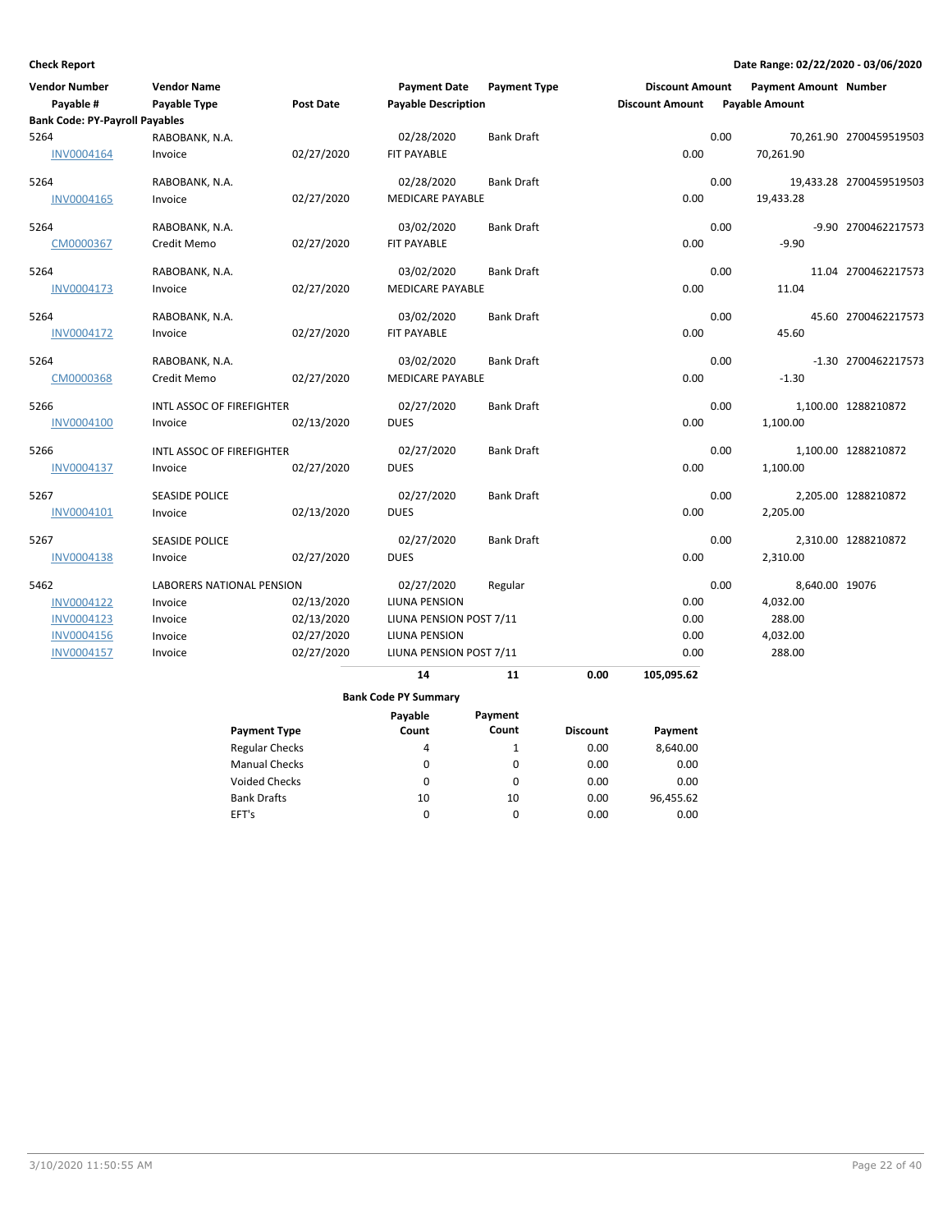| <b>Vendor Number</b>                  | <b>Vendor Name</b>        |                       | <b>Payment Date</b>         | <b>Payment Type</b> |                 | <b>Discount Amount</b> |      | <b>Payment Amount Number</b> |                         |
|---------------------------------------|---------------------------|-----------------------|-----------------------------|---------------------|-----------------|------------------------|------|------------------------------|-------------------------|
| Payable #                             | Payable Type              | <b>Post Date</b>      | <b>Payable Description</b>  |                     |                 | <b>Discount Amount</b> |      | <b>Payable Amount</b>        |                         |
| <b>Bank Code: PY-Payroll Payables</b> |                           |                       |                             |                     |                 |                        |      |                              |                         |
| 5264                                  | RABOBANK, N.A.            |                       | 02/28/2020                  | <b>Bank Draft</b>   |                 |                        | 0.00 |                              | 70,261.90 2700459519503 |
| INV0004164                            | Invoice                   | 02/27/2020            | FIT PAYABLE                 |                     |                 | 0.00                   |      | 70,261.90                    |                         |
| 5264                                  | RABOBANK, N.A.            |                       | 02/28/2020                  | <b>Bank Draft</b>   |                 |                        | 0.00 |                              | 19,433.28 2700459519503 |
| INV0004165                            | Invoice                   | 02/27/2020            | <b>MEDICARE PAYABLE</b>     |                     |                 | 0.00                   |      | 19,433.28                    |                         |
| 5264                                  | RABOBANK, N.A.            |                       | 03/02/2020                  | <b>Bank Draft</b>   |                 |                        | 0.00 |                              | -9.90 2700462217573     |
| CM0000367                             | Credit Memo               | 02/27/2020            | FIT PAYABLE                 |                     |                 | 0.00                   |      | $-9.90$                      |                         |
| 5264                                  | RABOBANK, N.A.            |                       | 03/02/2020                  | <b>Bank Draft</b>   |                 |                        | 0.00 |                              | 11.04 2700462217573     |
| <b>INV0004173</b>                     | Invoice                   | 02/27/2020            | <b>MEDICARE PAYABLE</b>     |                     |                 | 0.00                   |      | 11.04                        |                         |
| 5264                                  | RABOBANK, N.A.            |                       | 03/02/2020                  | <b>Bank Draft</b>   |                 |                        | 0.00 |                              | 45.60 2700462217573     |
| <b>INV0004172</b>                     | Invoice                   | 02/27/2020            | FIT PAYABLE                 |                     |                 | 0.00                   |      | 45.60                        |                         |
| 5264                                  | RABOBANK, N.A.            |                       | 03/02/2020                  | <b>Bank Draft</b>   |                 |                        | 0.00 |                              | -1.30 2700462217573     |
| CM0000368                             | Credit Memo               | 02/27/2020            | <b>MEDICARE PAYABLE</b>     |                     |                 | 0.00                   |      | $-1.30$                      |                         |
| 5266                                  | INTL ASSOC OF FIREFIGHTER |                       | 02/27/2020                  | <b>Bank Draft</b>   |                 |                        | 0.00 |                              | 1,100.00 1288210872     |
| <b>INV0004100</b>                     | Invoice                   | 02/13/2020            | <b>DUES</b>                 |                     |                 | 0.00                   |      | 1,100.00                     |                         |
| 5266                                  | INTL ASSOC OF FIREFIGHTER |                       | 02/27/2020                  | <b>Bank Draft</b>   |                 |                        | 0.00 |                              | 1,100.00 1288210872     |
| <b>INV0004137</b>                     | Invoice                   | 02/27/2020            | <b>DUES</b>                 |                     |                 | 0.00                   |      | 1,100.00                     |                         |
| 5267                                  | <b>SEASIDE POLICE</b>     |                       | 02/27/2020                  | <b>Bank Draft</b>   |                 |                        | 0.00 |                              | 2,205.00 1288210872     |
| INV0004101                            | Invoice                   | 02/13/2020            | <b>DUES</b>                 |                     |                 | 0.00                   |      | 2,205.00                     |                         |
| 5267                                  | <b>SEASIDE POLICE</b>     |                       | 02/27/2020                  | <b>Bank Draft</b>   |                 |                        | 0.00 |                              | 2,310.00 1288210872     |
| <b>INV0004138</b>                     | Invoice                   | 02/27/2020            | <b>DUES</b>                 |                     |                 | 0.00                   |      | 2,310.00                     |                         |
| 5462                                  | LABORERS NATIONAL PENSION |                       | 02/27/2020                  | Regular             |                 |                        | 0.00 | 8,640.00 19076               |                         |
| <b>INV0004122</b>                     | Invoice                   | 02/13/2020            | LIUNA PENSION               |                     |                 | 0.00                   |      | 4,032.00                     |                         |
| <b>INV0004123</b>                     | Invoice                   | 02/13/2020            | LIUNA PENSION POST 7/11     |                     |                 | 0.00                   |      | 288.00                       |                         |
| INV0004156                            | Invoice                   | 02/27/2020            | LIUNA PENSION               |                     |                 | 0.00                   |      | 4,032.00                     |                         |
| INV0004157                            | Invoice                   | 02/27/2020            | LIUNA PENSION POST 7/11     |                     |                 | 0.00                   |      | 288.00                       |                         |
|                                       |                           |                       | 14                          | 11                  | 0.00            | 105,095.62             |      |                              |                         |
|                                       |                           |                       | <b>Bank Code PY Summary</b> |                     |                 |                        |      |                              |                         |
|                                       |                           |                       | Payable                     | Payment             |                 |                        |      |                              |                         |
|                                       |                           | <b>Payment Type</b>   | Count                       | Count               | <b>Discount</b> | Payment                |      |                              |                         |
|                                       |                           | <b>Regular Checks</b> | 4                           | $\mathbf{1}$        | 0.00            | 8,640.00               |      |                              |                         |
|                                       |                           | <b>Manual Checks</b>  | 0                           | $\mathbf 0$         | 0.00            | 0.00                   |      |                              |                         |
|                                       |                           | <b>Voided Checks</b>  | 0                           | $\mathbf 0$         | 0.00            | 0.00                   |      |                              |                         |
|                                       |                           | <b>Bank Drafts</b>    | 10                          | 10                  | 0.00            | 96,455.62              |      |                              |                         |

 $\pmb{0}$ 

0

0.00

0.00

EFT's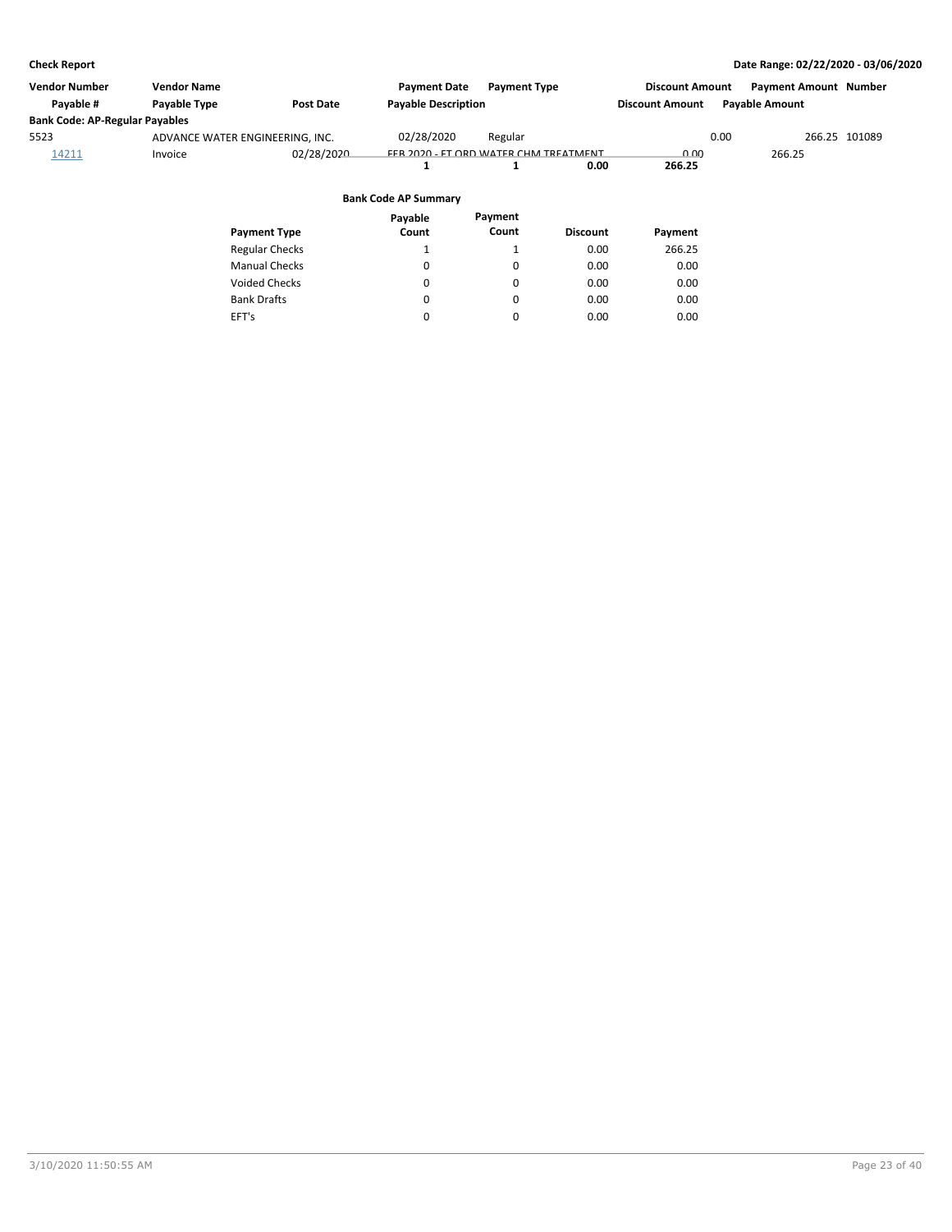| Vendor Number                         | <b>Vendor Name</b>              |                       | <b>Payment Date</b>                   | <b>Payment Type</b> |                 | <b>Discount Amount</b> |      | <b>Payment Amount Number</b> |  |
|---------------------------------------|---------------------------------|-----------------------|---------------------------------------|---------------------|-----------------|------------------------|------|------------------------------|--|
| Payable #                             | Payable Type                    | <b>Post Date</b>      | <b>Payable Description</b>            |                     |                 | <b>Discount Amount</b> |      | <b>Payable Amount</b>        |  |
| <b>Bank Code: AP-Regular Payables</b> |                                 |                       |                                       |                     |                 |                        |      |                              |  |
| 5523                                  | ADVANCE WATER ENGINEERING, INC. |                       | 02/28/2020                            | Regular             |                 |                        | 0.00 | 266.25 101089                |  |
| 14211                                 | Invoice                         | 02/28/2020            | FFR 2020 - FT ORD WATER CHM TREATMENT |                     |                 | 0.00                   |      | 266.25                       |  |
|                                       |                                 |                       |                                       |                     | 0.00            | 266.25                 |      |                              |  |
|                                       |                                 |                       | <b>Bank Code AP Summary</b>           |                     |                 |                        |      |                              |  |
|                                       |                                 |                       | Pavable                               | Payment             |                 |                        |      |                              |  |
|                                       |                                 | <b>Payment Type</b>   | Count                                 | Count               | <b>Discount</b> | Payment                |      |                              |  |
|                                       |                                 | <b>Regular Checks</b> |                                       |                     | 0.00            | 266.25                 |      |                              |  |

0.00 0.00 0.00 0.00

0.00 0.00 0.00 0.00

Manual Checks Voided Checks

Bank Drafts EFT's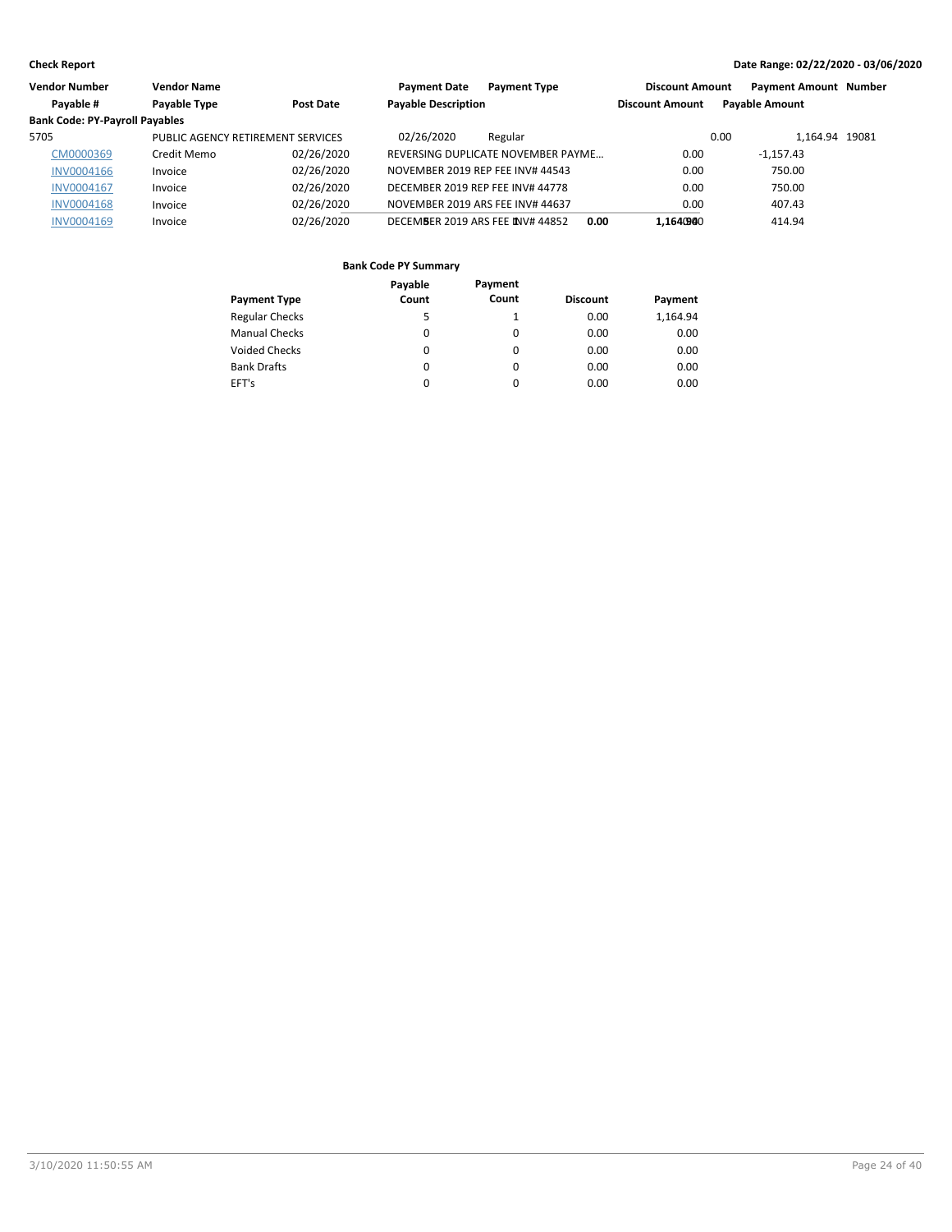| Vendor Number                         | <b>Vendor Name</b>                |            | <b>Payment Date</b><br><b>Payment Type</b> | <b>Discount Amount</b> | <b>Payment Amount Number</b> |  |
|---------------------------------------|-----------------------------------|------------|--------------------------------------------|------------------------|------------------------------|--|
| Payable #                             | Payable Type                      | Post Date  | <b>Payable Description</b>                 | <b>Discount Amount</b> | <b>Payable Amount</b>        |  |
| <b>Bank Code: PY-Payroll Payables</b> |                                   |            |                                            |                        |                              |  |
| 5705                                  | PUBLIC AGENCY RETIREMENT SERVICES |            | 02/26/2020<br>Regular                      |                        | 1.164.94 19081<br>0.00       |  |
| CM0000369                             | Credit Memo                       | 02/26/2020 | REVERSING DUPLICATE NOVEMBER PAYME         | 0.00                   | $-1.157.43$                  |  |
| INV0004166                            | Invoice                           | 02/26/2020 | NOVEMBER 2019 REP FEE INV# 44543           | 0.00                   | 750.00                       |  |
| <b>INV0004167</b>                     | Invoice                           | 02/26/2020 | DECEMBER 2019 REP FEE INV# 44778           | 0.00                   | 750.00                       |  |
| <b>INV0004168</b>                     | Invoice                           | 02/26/2020 | NOVEMBER 2019 ARS FEE INV# 44637           | 0.00                   | 407.43                       |  |
| <b>INV0004169</b>                     | Invoice                           | 02/26/2020 | DECEMBER 2019 ARS FEE INV# 44852           | 1.1640940<br>0.00      | 414.94                       |  |

|                       | Payable | Payment  |                 |          |
|-----------------------|---------|----------|-----------------|----------|
| <b>Payment Type</b>   | Count   | Count    | <b>Discount</b> | Payment  |
| <b>Regular Checks</b> | 5       |          | 0.00            | 1,164.94 |
| <b>Manual Checks</b>  | 0       | 0        | 0.00            | 0.00     |
| <b>Voided Checks</b>  | 0       | 0        | 0.00            | 0.00     |
| <b>Bank Drafts</b>    | 0       | $\Omega$ | 0.00            | 0.00     |
| EFT's                 | 0       | 0        | 0.00            | 0.00     |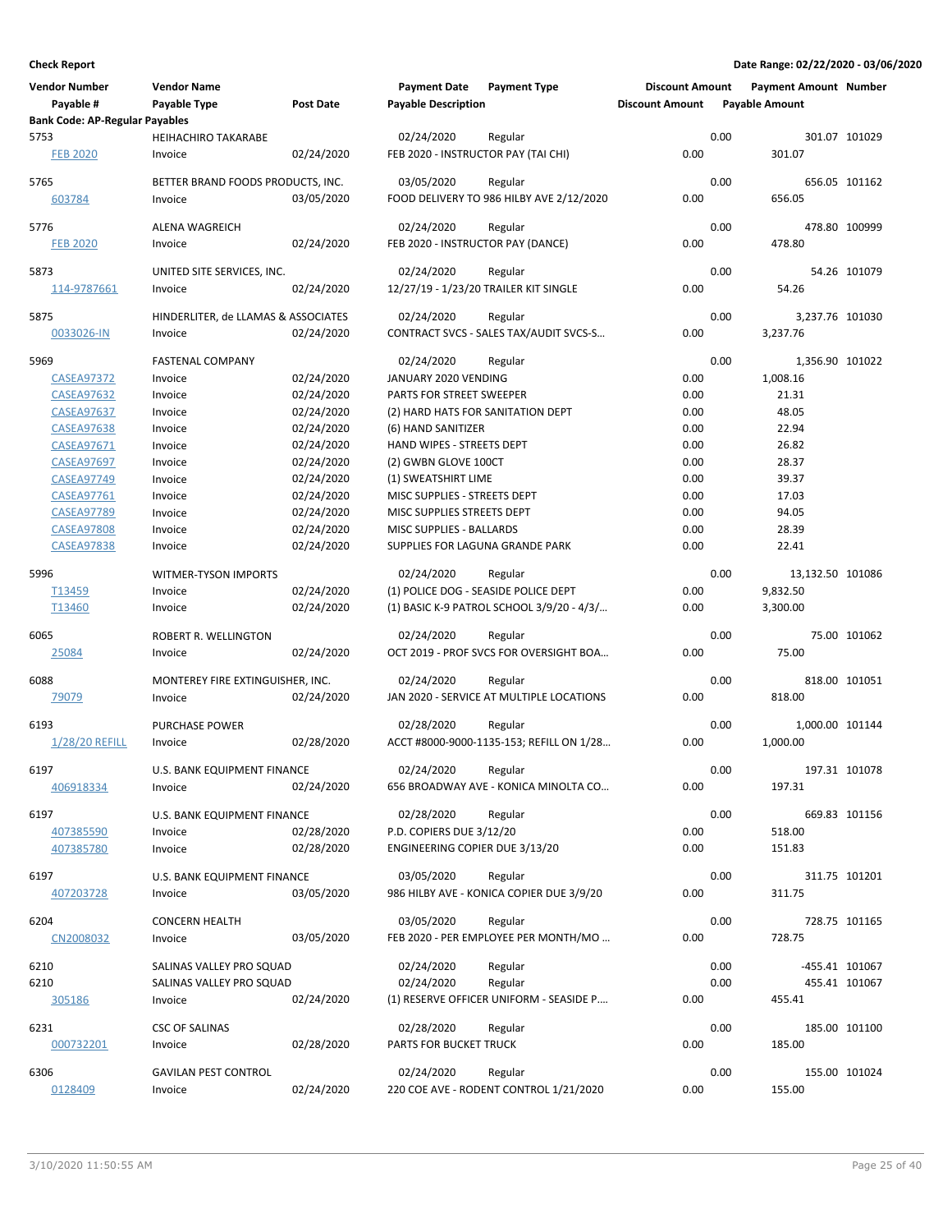| <b>Vendor Number</b><br>Payable #     | <b>Vendor Name</b><br>Payable Type    | <b>Post Date</b>         | <b>Payment Date</b><br><b>Payable Description</b>       | <b>Payment Type</b>                       | <b>Discount Amount</b><br><b>Discount Amount</b> |      | <b>Payment Amount Number</b><br><b>Payable Amount</b> |               |
|---------------------------------------|---------------------------------------|--------------------------|---------------------------------------------------------|-------------------------------------------|--------------------------------------------------|------|-------------------------------------------------------|---------------|
| <b>Bank Code: AP-Regular Payables</b> |                                       |                          |                                                         |                                           |                                                  |      |                                                       |               |
| 5753<br><b>FEB 2020</b>               | <b>HEIHACHIRO TAKARABE</b><br>Invoice | 02/24/2020               | 02/24/2020<br>FEB 2020 - INSTRUCTOR PAY (TAI CHI)       | Regular                                   | 0.00                                             | 0.00 | 301.07                                                | 301.07 101029 |
| 5765                                  | BETTER BRAND FOODS PRODUCTS, INC.     |                          | 03/05/2020                                              | Regular                                   |                                                  | 0.00 |                                                       | 656.05 101162 |
| 603784                                | Invoice                               | 03/05/2020               |                                                         | FOOD DELIVERY TO 986 HILBY AVE 2/12/2020  | 0.00                                             |      | 656.05                                                |               |
| 5776                                  | <b>ALENA WAGREICH</b>                 |                          | 02/24/2020                                              | Regular                                   |                                                  | 0.00 |                                                       | 478.80 100999 |
| <b>FEB 2020</b>                       | Invoice                               | 02/24/2020               | FEB 2020 - INSTRUCTOR PAY (DANCE)                       |                                           | 0.00                                             |      | 478.80                                                |               |
| 5873                                  | UNITED SITE SERVICES, INC.            |                          | 02/24/2020                                              | Regular                                   |                                                  | 0.00 |                                                       | 54.26 101079  |
| 114-9787661                           | Invoice                               | 02/24/2020               | 12/27/19 - 1/23/20 TRAILER KIT SINGLE                   |                                           | 0.00                                             |      | 54.26                                                 |               |
| 5875                                  | HINDERLITER, de LLAMAS & ASSOCIATES   |                          | 02/24/2020                                              | Regular                                   |                                                  | 0.00 | 3,237.76 101030                                       |               |
| 0033026-IN                            | Invoice                               | 02/24/2020               |                                                         | CONTRACT SVCS - SALES TAX/AUDIT SVCS-S    | 0.00                                             |      | 3,237.76                                              |               |
|                                       |                                       |                          |                                                         |                                           |                                                  |      |                                                       |               |
| 5969                                  | <b>FASTENAL COMPANY</b>               |                          | 02/24/2020                                              | Regular                                   |                                                  | 0.00 | 1,356.90 101022                                       |               |
| <b>CASEA97372</b>                     | Invoice                               | 02/24/2020               | JANUARY 2020 VENDING                                    |                                           | 0.00                                             |      | 1,008.16                                              |               |
| <b>CASEA97632</b>                     | Invoice                               | 02/24/2020               | PARTS FOR STREET SWEEPER                                |                                           | 0.00                                             |      | 21.31<br>48.05                                        |               |
| <b>CASEA97637</b>                     | Invoice                               | 02/24/2020<br>02/24/2020 | (2) HARD HATS FOR SANITATION DEPT<br>(6) HAND SANITIZER |                                           | 0.00<br>0.00                                     |      | 22.94                                                 |               |
| <b>CASEA97638</b><br>CASEA97671       | Invoice<br>Invoice                    | 02/24/2020               | HAND WIPES - STREETS DEPT                               |                                           | 0.00                                             |      | 26.82                                                 |               |
| <b>CASEA97697</b>                     | Invoice                               | 02/24/2020               | (2) GWBN GLOVE 100CT                                    |                                           | 0.00                                             |      | 28.37                                                 |               |
| <b>CASEA97749</b>                     | Invoice                               | 02/24/2020               | (1) SWEATSHIRT LIME                                     |                                           | 0.00                                             |      | 39.37                                                 |               |
| <b>CASEA97761</b>                     | Invoice                               | 02/24/2020               | MISC SUPPLIES - STREETS DEPT                            |                                           | 0.00                                             |      | 17.03                                                 |               |
| <b>CASEA97789</b>                     | Invoice                               | 02/24/2020               | MISC SUPPLIES STREETS DEPT                              |                                           | 0.00                                             |      | 94.05                                                 |               |
| <b>CASEA97808</b>                     | Invoice                               | 02/24/2020               | MISC SUPPLIES - BALLARDS                                |                                           | 0.00                                             |      | 28.39                                                 |               |
| <b>CASEA97838</b>                     | Invoice                               | 02/24/2020               | SUPPLIES FOR LAGUNA GRANDE PARK                         |                                           | 0.00                                             |      | 22.41                                                 |               |
|                                       |                                       |                          |                                                         |                                           |                                                  |      |                                                       |               |
| 5996                                  | <b>WITMER-TYSON IMPORTS</b>           |                          | 02/24/2020                                              | Regular                                   |                                                  | 0.00 | 13,132.50 101086                                      |               |
| T13459                                | Invoice                               | 02/24/2020               | (1) POLICE DOG - SEASIDE POLICE DEPT                    |                                           | 0.00                                             |      | 9,832.50                                              |               |
| T13460                                | Invoice                               | 02/24/2020               |                                                         | (1) BASIC K-9 PATROL SCHOOL 3/9/20 - 4/3/ | 0.00                                             |      | 3,300.00                                              |               |
| 6065                                  | ROBERT R. WELLINGTON                  |                          | 02/24/2020                                              | Regular                                   |                                                  | 0.00 |                                                       | 75.00 101062  |
| 25084                                 | Invoice                               | 02/24/2020               |                                                         | OCT 2019 - PROF SVCS FOR OVERSIGHT BOA    | 0.00                                             |      | 75.00                                                 |               |
| 6088                                  | MONTEREY FIRE EXTINGUISHER, INC.      |                          | 02/24/2020                                              | Regular                                   |                                                  | 0.00 |                                                       | 818.00 101051 |
| 79079                                 | Invoice                               | 02/24/2020               |                                                         | JAN 2020 - SERVICE AT MULTIPLE LOCATIONS  | 0.00                                             |      | 818.00                                                |               |
|                                       |                                       |                          |                                                         |                                           |                                                  |      |                                                       |               |
| 6193                                  | <b>PURCHASE POWER</b>                 |                          | 02/28/2020                                              | Regular                                   |                                                  | 0.00 | 1,000.00 101144                                       |               |
| 1/28/20 REFILL                        | Invoice                               | 02/28/2020               |                                                         | ACCT #8000-9000-1135-153; REFILL ON 1/28  | 0.00                                             |      | 1,000.00                                              |               |
| 6197                                  | U.S. BANK EQUIPMENT FINANCE           |                          | 02/24/2020                                              | Regular                                   |                                                  | 0.00 |                                                       | 197.31 101078 |
| 406918334                             | Invoice                               | 02/24/2020               |                                                         | 656 BROADWAY AVE - KONICA MINOLTA CO      | 0.00                                             |      | 197.31                                                |               |
| 6197                                  | U.S. BANK EQUIPMENT FINANCE           |                          | 02/28/2020                                              | Regular                                   |                                                  | 0.00 |                                                       | 669.83 101156 |
| 407385590                             | Invoice                               | 02/28/2020               | P.D. COPIERS DUE 3/12/20                                |                                           | 0.00                                             |      | 518.00                                                |               |
| 407385780                             | Invoice                               | 02/28/2020               | ENGINEERING COPIER DUE 3/13/20                          |                                           | 0.00                                             |      | 151.83                                                |               |
| 6197                                  | <b>U.S. BANK EQUIPMENT FINANCE</b>    |                          | 03/05/2020                                              | Regular                                   |                                                  | 0.00 |                                                       | 311.75 101201 |
| 407203728                             | Invoice                               | 03/05/2020               |                                                         | 986 HILBY AVE - KONICA COPIER DUE 3/9/20  | 0.00                                             |      | 311.75                                                |               |
|                                       |                                       |                          |                                                         |                                           |                                                  |      |                                                       |               |
| 6204                                  | CONCERN HEALTH                        |                          | 03/05/2020                                              | Regular                                   |                                                  | 0.00 |                                                       | 728.75 101165 |
| CN2008032                             | Invoice                               | 03/05/2020               |                                                         | FEB 2020 - PER EMPLOYEE PER MONTH/MO      | 0.00                                             |      | 728.75                                                |               |
| 6210                                  | SALINAS VALLEY PRO SQUAD              |                          | 02/24/2020                                              | Regular                                   |                                                  | 0.00 | -455.41 101067                                        |               |
| 6210                                  | SALINAS VALLEY PRO SQUAD              |                          | 02/24/2020                                              | Regular                                   |                                                  | 0.00 |                                                       | 455.41 101067 |
| 305186                                | Invoice                               | 02/24/2020               |                                                         | (1) RESERVE OFFICER UNIFORM - SEASIDE P   | 0.00                                             |      | 455.41                                                |               |
| 6231                                  | CSC OF SALINAS                        |                          | 02/28/2020                                              | Regular                                   |                                                  | 0.00 |                                                       | 185.00 101100 |
| 000732201                             | Invoice                               | 02/28/2020               | PARTS FOR BUCKET TRUCK                                  |                                           | 0.00                                             |      | 185.00                                                |               |
|                                       |                                       |                          |                                                         |                                           |                                                  |      |                                                       |               |
| 6306                                  | <b>GAVILAN PEST CONTROL</b>           |                          | 02/24/2020                                              | Regular                                   |                                                  | 0.00 |                                                       | 155.00 101024 |
| 0128409                               | Invoice                               | 02/24/2020               |                                                         | 220 COE AVE - RODENT CONTROL 1/21/2020    | 0.00                                             |      | 155.00                                                |               |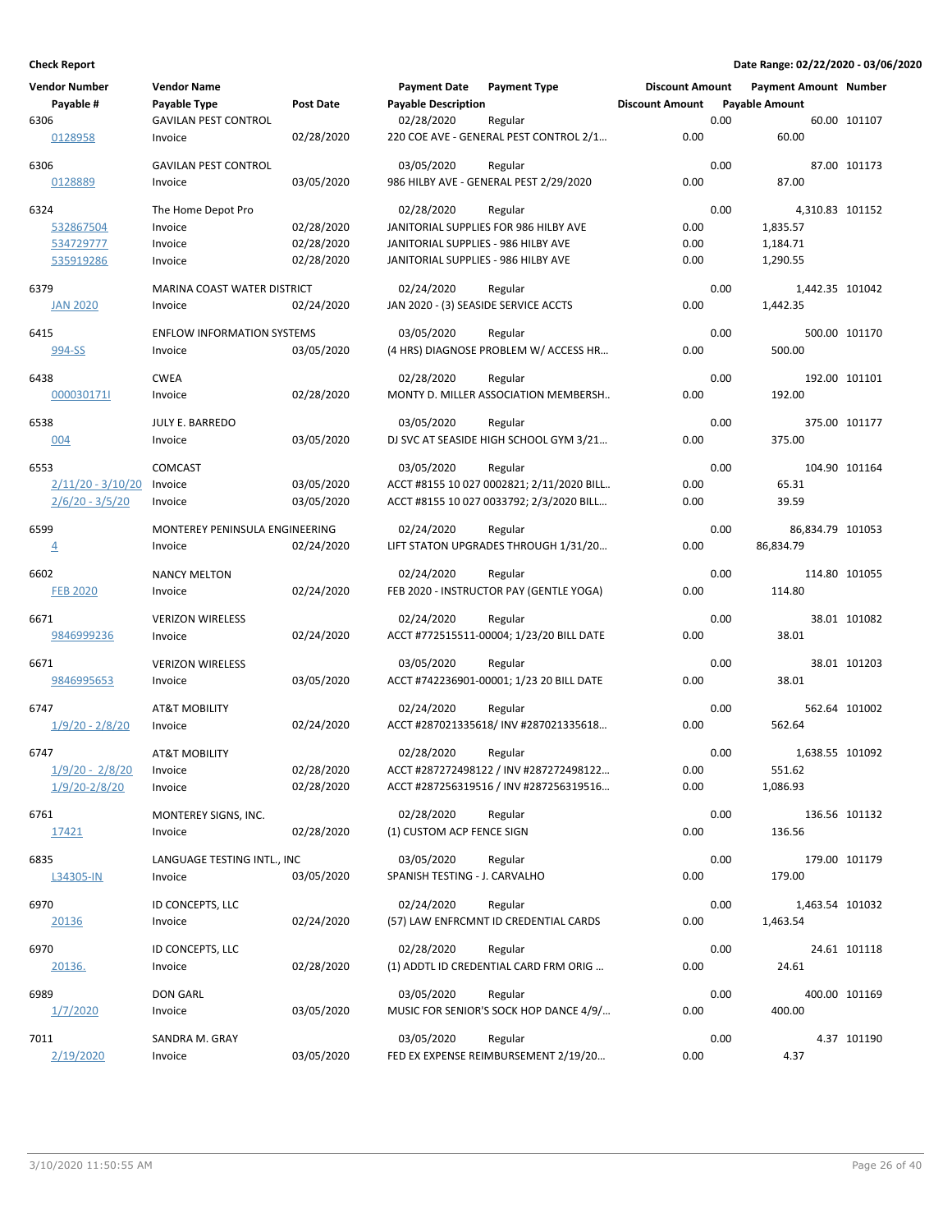| <b>Vendor Number</b>    | <b>Vendor Name</b>                 |            | <b>Payment Date</b>                  | <b>Payment Type</b>                       | <b>Discount Amount</b> |      | <b>Payment Amount Number</b> |               |
|-------------------------|------------------------------------|------------|--------------------------------------|-------------------------------------------|------------------------|------|------------------------------|---------------|
| Payable #               | Payable Type                       | Post Date  | <b>Payable Description</b>           |                                           | <b>Discount Amount</b> |      | <b>Payable Amount</b>        |               |
| 6306                    | <b>GAVILAN PEST CONTROL</b>        |            | 02/28/2020                           | Regular                                   |                        | 0.00 |                              | 60.00 101107  |
| 0128958                 | Invoice                            | 02/28/2020 |                                      | 220 COE AVE - GENERAL PEST CONTROL 2/1    | 0.00                   |      | 60.00                        |               |
| 6306                    | <b>GAVILAN PEST CONTROL</b>        |            | 03/05/2020                           | Regular                                   |                        | 0.00 |                              | 87.00 101173  |
| 0128889                 | Invoice                            | 03/05/2020 |                                      | 986 HILBY AVE - GENERAL PEST 2/29/2020    | 0.00                   |      | 87.00                        |               |
| 6324                    | The Home Depot Pro                 |            | 02/28/2020                           | Regular                                   |                        | 0.00 | 4,310.83 101152              |               |
| 532867504               | Invoice                            | 02/28/2020 |                                      | JANITORIAL SUPPLIES FOR 986 HILBY AVE     | 0.00                   |      | 1,835.57                     |               |
| 534729777               | Invoice                            | 02/28/2020 | JANITORIAL SUPPLIES - 986 HILBY AVE  |                                           | 0.00                   |      | 1,184.71                     |               |
| 535919286               | Invoice                            | 02/28/2020 | JANITORIAL SUPPLIES - 986 HILBY AVE  |                                           | 0.00                   |      | 1,290.55                     |               |
| 6379                    | <b>MARINA COAST WATER DISTRICT</b> |            | 02/24/2020                           | Regular                                   |                        | 0.00 | 1,442.35 101042              |               |
| <b>JAN 2020</b>         | Invoice                            | 02/24/2020 | JAN 2020 - (3) SEASIDE SERVICE ACCTS |                                           | 0.00                   |      | 1,442.35                     |               |
|                         |                                    |            |                                      |                                           |                        |      |                              |               |
| 6415                    | <b>ENFLOW INFORMATION SYSTEMS</b>  |            | 03/05/2020                           | Regular                                   |                        | 0.00 |                              | 500.00 101170 |
| 994-SS                  | Invoice                            | 03/05/2020 |                                      | (4 HRS) DIAGNOSE PROBLEM W/ ACCESS HR     | 0.00                   |      | 500.00                       |               |
| 6438                    | <b>CWEA</b>                        |            | 02/28/2020                           | Regular                                   |                        | 0.00 |                              | 192.00 101101 |
| 000030171               | Invoice                            | 02/28/2020 |                                      | MONTY D. MILLER ASSOCIATION MEMBERSH      | 0.00                   |      | 192.00                       |               |
| 6538                    | JULY E. BARREDO                    |            | 03/05/2020                           | Regular                                   |                        | 0.00 |                              | 375.00 101177 |
| 004                     | Invoice                            | 03/05/2020 |                                      | DJ SVC AT SEASIDE HIGH SCHOOL GYM 3/21    | 0.00                   |      | 375.00                       |               |
| 6553                    | <b>COMCAST</b>                     |            | 03/05/2020                           | Regular                                   |                        | 0.00 |                              | 104.90 101164 |
| $2/11/20 - 3/10/20$     | Invoice                            | 03/05/2020 |                                      | ACCT #8155 10 027 0002821; 2/11/2020 BILL | 0.00                   |      | 65.31                        |               |
| $2/6/20 - 3/5/20$       | Invoice                            | 03/05/2020 |                                      | ACCT #8155 10 027 0033792; 2/3/2020 BILL  | 0.00                   |      | 39.59                        |               |
| 6599                    | MONTEREY PENINSULA ENGINEERING     |            | 02/24/2020                           | Regular                                   |                        | 0.00 | 86,834.79 101053             |               |
| $\overline{4}$          | Invoice                            | 02/24/2020 |                                      | LIFT STATON UPGRADES THROUGH 1/31/20      | 0.00                   |      | 86,834.79                    |               |
|                         |                                    |            |                                      |                                           |                        |      |                              |               |
| 6602                    | <b>NANCY MELTON</b>                |            | 02/24/2020                           | Regular                                   |                        | 0.00 |                              | 114.80 101055 |
| <b>FEB 2020</b>         | Invoice                            | 02/24/2020 |                                      | FEB 2020 - INSTRUCTOR PAY (GENTLE YOGA)   | 0.00                   |      | 114.80                       |               |
| 6671                    | <b>VERIZON WIRELESS</b>            |            | 02/24/2020                           | Regular                                   |                        | 0.00 |                              | 38.01 101082  |
| 9846999236              | Invoice                            | 02/24/2020 |                                      | ACCT #772515511-00004; 1/23/20 BILL DATE  | 0.00                   |      | 38.01                        |               |
| 6671                    | <b>VERIZON WIRELESS</b>            |            | 03/05/2020                           | Regular                                   |                        | 0.00 |                              | 38.01 101203  |
| 9846995653              | Invoice                            | 03/05/2020 |                                      | ACCT #742236901-00001; 1/23 20 BILL DATE  | 0.00                   |      | 38.01                        |               |
| 6747                    | <b>AT&amp;T MOBILITY</b>           |            | 02/24/2020                           | Regular                                   |                        | 0.00 |                              | 562.64 101002 |
| <u> 1/9/20 - 2/8/20</u> | Invoice                            | 02/24/2020 |                                      | ACCT #287021335618/ INV #287021335618     | 0.00                   |      | 562.64                       |               |
| 6747                    | <b>AT&amp;T MOBILITY</b>           |            | 02/28/2020                           | Regular                                   |                        | 0.00 | 1,638.55 101092              |               |
| $1/9/20 - 2/8/20$       | Invoice                            | 02/28/2020 |                                      | ACCT #287272498122 / INV #287272498122    | 0.00                   |      | 551.62                       |               |
| $1/9/20 - 2/8/20$       | Invoice                            | 02/28/2020 |                                      | ACCT #287256319516 / INV #287256319516    | 0.00                   |      | 1,086.93                     |               |
| 6761                    | MONTEREY SIGNS, INC.               |            | 02/28/2020                           | Regular                                   |                        | 0.00 |                              | 136.56 101132 |
| 17421                   | Invoice                            | 02/28/2020 | (1) CUSTOM ACP FENCE SIGN            |                                           | 0.00                   |      | 136.56                       |               |
|                         |                                    |            |                                      |                                           |                        |      |                              |               |
| 6835                    | LANGUAGE TESTING INTL., INC        |            | 03/05/2020                           | Regular                                   |                        | 0.00 |                              | 179.00 101179 |
| L34305-IN               | Invoice                            | 03/05/2020 | SPANISH TESTING - J. CARVALHO        |                                           | 0.00                   |      | 179.00                       |               |
| 6970                    | ID CONCEPTS, LLC                   |            | 02/24/2020                           | Regular                                   |                        | 0.00 | 1,463.54 101032              |               |
| 20136                   | Invoice                            | 02/24/2020 |                                      | (57) LAW ENFRCMNT ID CREDENTIAL CARDS     | 0.00                   |      | 1,463.54                     |               |
| 6970                    | ID CONCEPTS, LLC                   |            | 02/28/2020                           | Regular                                   |                        | 0.00 |                              | 24.61 101118  |
| 20136.                  | Invoice                            | 02/28/2020 |                                      | (1) ADDTL ID CREDENTIAL CARD FRM ORIG     | 0.00                   |      | 24.61                        |               |
| 6989                    | DON GARL                           |            | 03/05/2020                           | Regular                                   |                        | 0.00 |                              | 400.00 101169 |
| 1/7/2020                | Invoice                            | 03/05/2020 |                                      | MUSIC FOR SENIOR'S SOCK HOP DANCE 4/9/    | 0.00                   |      | 400.00                       |               |
| 7011                    | SANDRA M. GRAY                     |            | 03/05/2020                           | Regular                                   |                        | 0.00 |                              |               |
| 2/19/2020               | Invoice                            | 03/05/2020 |                                      | FED EX EXPENSE REIMBURSEMENT 2/19/20      | 0.00                   |      | 4.37                         | 4.37 101190   |
|                         |                                    |            |                                      |                                           |                        |      |                              |               |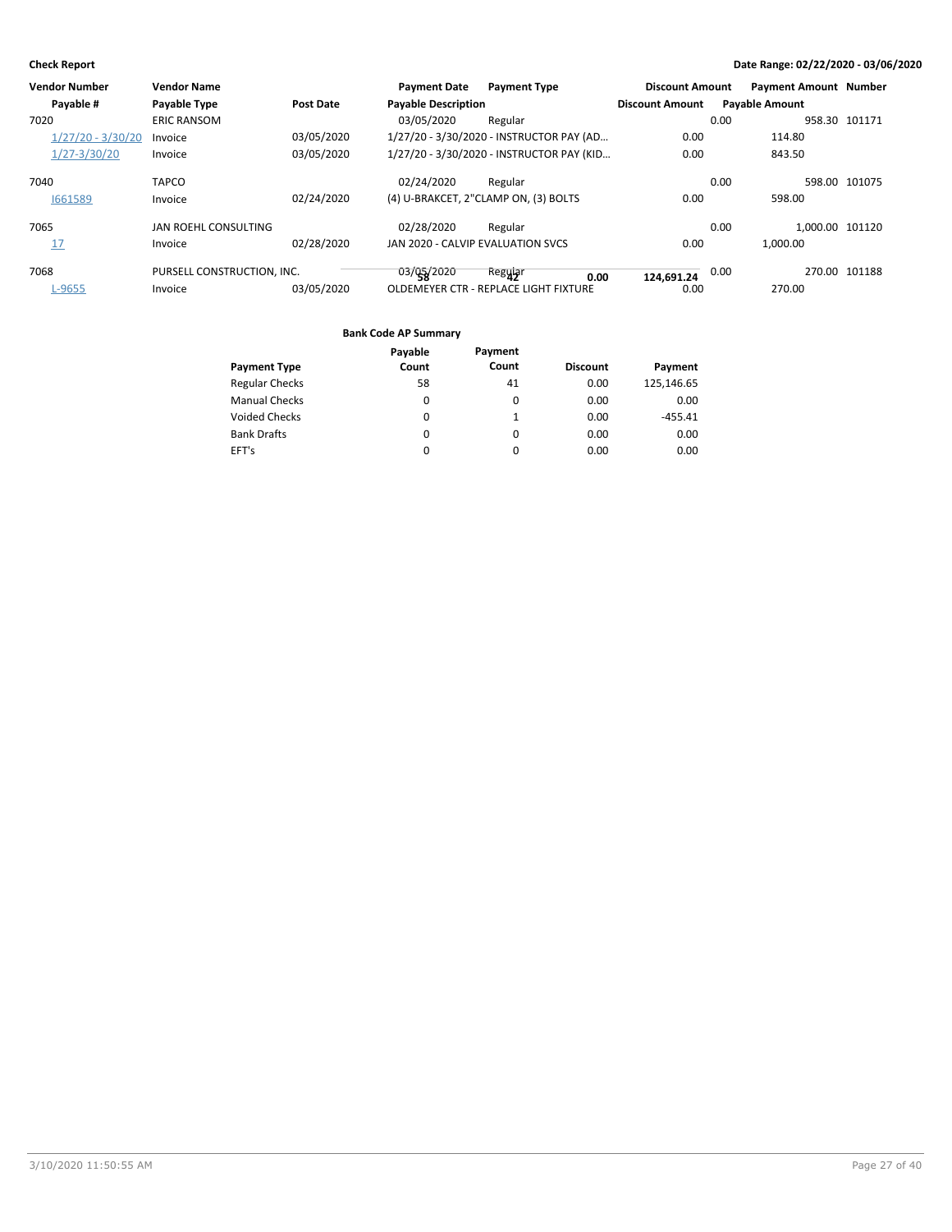| Vendor Number       | <b>Vendor Name</b>         |                  | <b>Payment Date</b>               | <b>Payment Type</b>                       | <b>Discount Amount</b> | <b>Payment Amount Number</b> |               |
|---------------------|----------------------------|------------------|-----------------------------------|-------------------------------------------|------------------------|------------------------------|---------------|
| Payable #           | Payable Type               | <b>Post Date</b> | <b>Payable Description</b>        |                                           | <b>Discount Amount</b> | <b>Pavable Amount</b>        |               |
| 7020                | <b>ERIC RANSOM</b>         |                  | 03/05/2020                        | Regular                                   |                        | 0.00                         | 958.30 101171 |
| $1/27/20 - 3/30/20$ | Invoice                    | 03/05/2020       |                                   | 1/27/20 - 3/30/2020 - INSTRUCTOR PAY (AD  | 0.00                   | 114.80                       |               |
| $1/27 - 3/30/20$    | Invoice                    | 03/05/2020       |                                   | 1/27/20 - 3/30/2020 - INSTRUCTOR PAY (KID | 0.00                   | 843.50                       |               |
| 7040                | <b>TAPCO</b>               |                  | 02/24/2020                        | Regular                                   |                        | 0.00                         | 598.00 101075 |
| 1661589             | Invoice                    | 02/24/2020       |                                   | (4) U-BRAKCET, 2"CLAMP ON, (3) BOLTS      | 0.00                   | 598.00                       |               |
| 7065                | JAN ROEHL CONSULTING       |                  | 02/28/2020                        | Regular                                   |                        | 1.000.00 101120<br>0.00      |               |
| 17                  | Invoice                    | 02/28/2020       | JAN 2020 - CALVIP EVALUATION SVCS |                                           | 0.00                   | 1.000.00                     |               |
| 7068                | PURSELL CONSTRUCTION. INC. |                  | 03/05/2020                        | Regular<br>0.00                           | $124,691.24$ 0.00      |                              | 270.00 101188 |
| L-9655              | Invoice                    | 03/05/2020       |                                   | OLDEMEYER CTR - REPLACE LIGHT FIXTURE     | 0.00                   | 270.00                       |               |

|                       | Payable  | Payment |                 |            |
|-----------------------|----------|---------|-----------------|------------|
| <b>Payment Type</b>   | Count    | Count   | <b>Discount</b> | Payment    |
| <b>Regular Checks</b> | 58       | 41      | 0.00            | 125,146.65 |
| <b>Manual Checks</b>  | 0        | 0       | 0.00            | 0.00       |
| <b>Voided Checks</b>  | $\Omega$ |         | 0.00            | $-455.41$  |
| <b>Bank Drafts</b>    | $\Omega$ | 0       | 0.00            | 0.00       |
| EFT's                 | 0        | 0       | 0.00            | 0.00       |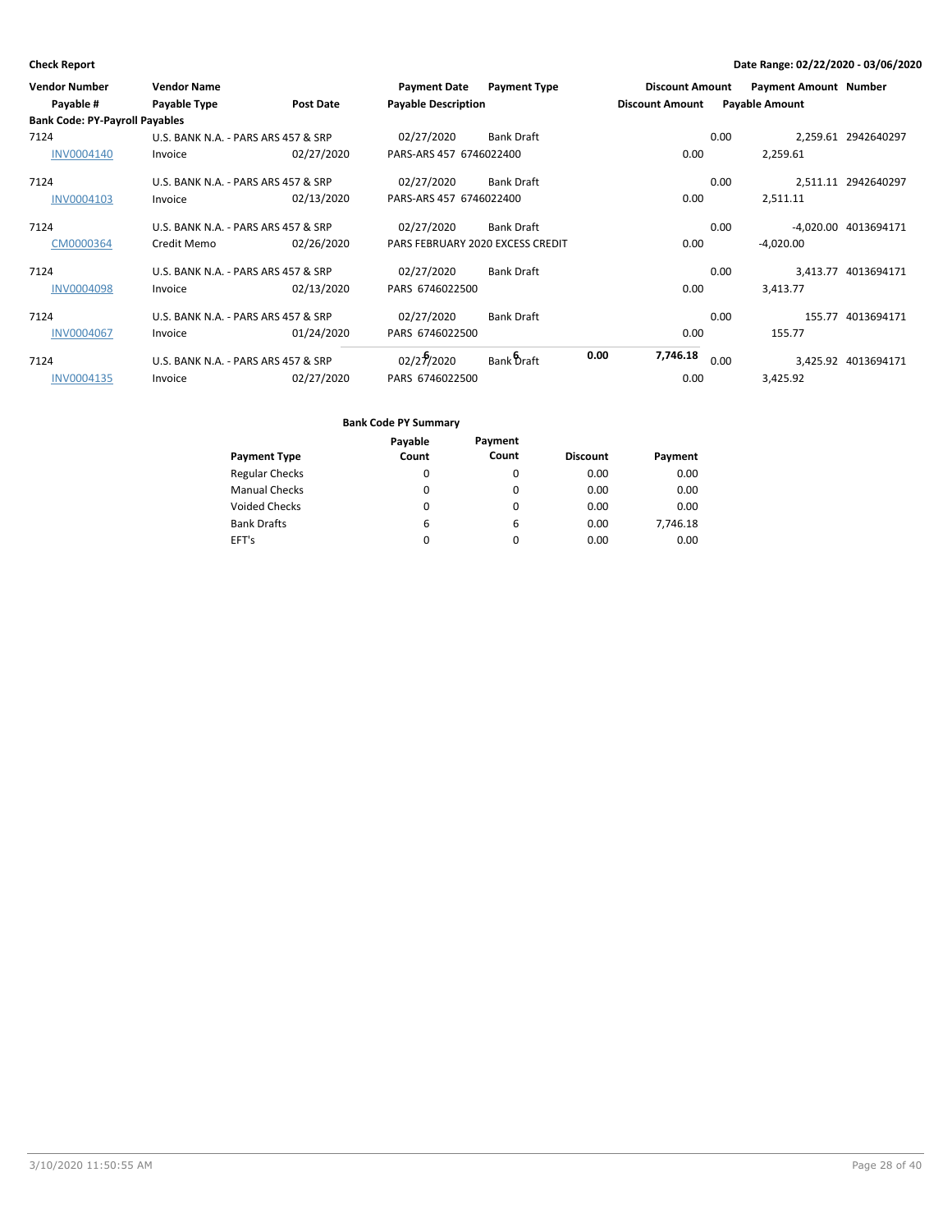| <b>Vendor Number</b><br>Payable #     | <b>Vendor Name</b><br>Payable Type  | <b>Post Date</b> | <b>Payment Date</b><br><b>Payable Description</b> | <b>Payment Type</b> |      | <b>Discount Amount</b><br><b>Discount Amount</b> |      | <b>Payment Amount Number</b><br><b>Payable Amount</b> |                      |
|---------------------------------------|-------------------------------------|------------------|---------------------------------------------------|---------------------|------|--------------------------------------------------|------|-------------------------------------------------------|----------------------|
| <b>Bank Code: PY-Payroll Payables</b> |                                     |                  |                                                   |                     |      |                                                  |      |                                                       |                      |
| 7124                                  | U.S. BANK N.A. - PARS ARS 457 & SRP |                  | 02/27/2020                                        | <b>Bank Draft</b>   |      |                                                  | 0.00 |                                                       | 2,259.61 2942640297  |
| <b>INV0004140</b>                     | Invoice                             | 02/27/2020       | PARS-ARS 457 6746022400                           |                     |      | 0.00                                             |      | 2,259.61                                              |                      |
| 7124                                  | U.S. BANK N.A. - PARS ARS 457 & SRP |                  | 02/27/2020                                        | <b>Bank Draft</b>   |      |                                                  | 0.00 |                                                       | 2,511.11 2942640297  |
| INV0004103                            | Invoice                             | 02/13/2020       | PARS-ARS 457 6746022400                           |                     |      | 0.00                                             |      | 2,511.11                                              |                      |
| 7124                                  | U.S. BANK N.A. - PARS ARS 457 & SRP |                  | 02/27/2020                                        | <b>Bank Draft</b>   |      |                                                  | 0.00 |                                                       | -4.020.00 4013694171 |
| CM0000364                             | Credit Memo                         | 02/26/2020       | PARS FEBRUARY 2020 EXCESS CREDIT                  |                     |      | 0.00                                             |      | $-4,020.00$                                           |                      |
| 7124                                  | U.S. BANK N.A. - PARS ARS 457 & SRP |                  | 02/27/2020                                        | <b>Bank Draft</b>   |      |                                                  | 0.00 |                                                       | 3,413.77 4013694171  |
| <b>INV0004098</b>                     | Invoice                             | 02/13/2020       | PARS 6746022500                                   |                     |      | 0.00                                             |      | 3,413.77                                              |                      |
| 7124                                  | U.S. BANK N.A. - PARS ARS 457 & SRP |                  | 02/27/2020                                        | <b>Bank Draft</b>   |      |                                                  | 0.00 | 155.77                                                | 4013694171           |
| <b>INV0004067</b>                     | Invoice                             | 01/24/2020       | PARS 6746022500                                   |                     |      | 0.00                                             |      | 155.77                                                |                      |
| 7124                                  | U.S. BANK N.A. - PARS ARS 457 & SRP |                  | 02/27/2020                                        | Bank Draft          | 0.00 | 7,746.18                                         | 0.00 |                                                       | 3,425.92 4013694171  |
| <b>INV0004135</b>                     | Invoice                             | 02/27/2020       | PARS 6746022500                                   |                     |      | 0.00                                             |      | 3,425.92                                              |                      |

|                       | Payable | Payment  |                 |          |
|-----------------------|---------|----------|-----------------|----------|
| <b>Payment Type</b>   | Count   | Count    | <b>Discount</b> | Payment  |
| <b>Regular Checks</b> | 0       | 0        | 0.00            | 0.00     |
| <b>Manual Checks</b>  | 0       | 0        | 0.00            | 0.00     |
| <b>Voided Checks</b>  | 0       | 0        | 0.00            | 0.00     |
| <b>Bank Drafts</b>    | 6       | 6        | 0.00            | 7,746.18 |
| EFT's                 | 0       | $\Omega$ | 0.00            | 0.00     |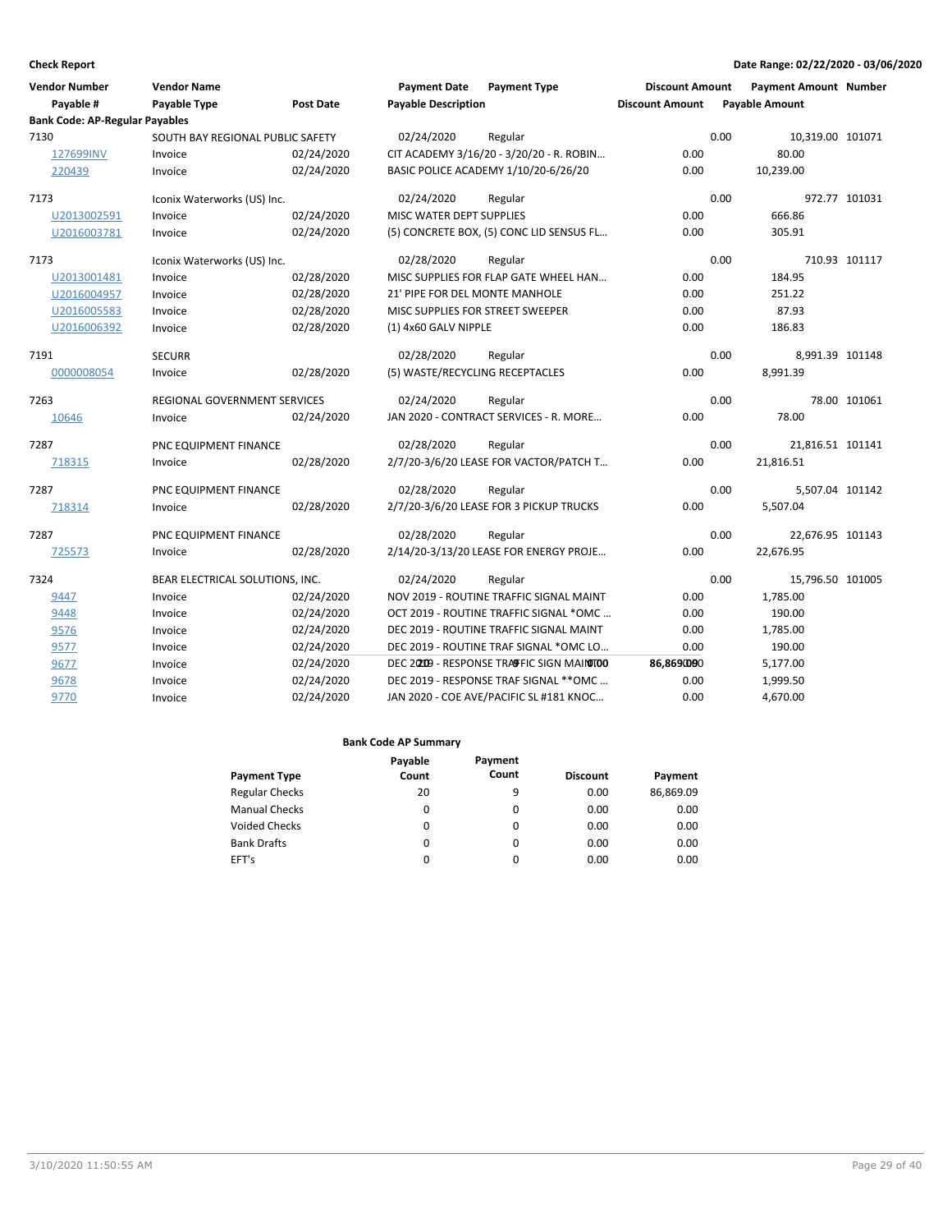| <b>Check Report</b>                   |                                  |                  |                                  |                                           |                        |      | Date Range: 02/22/2020 - 03/06/2020 |               |
|---------------------------------------|----------------------------------|------------------|----------------------------------|-------------------------------------------|------------------------|------|-------------------------------------|---------------|
| <b>Vendor Number</b>                  | <b>Vendor Name</b>               |                  | <b>Payment Date</b>              | <b>Payment Type</b>                       | <b>Discount Amount</b> |      | <b>Payment Amount Number</b>        |               |
| Payable #                             | <b>Payable Type</b>              | <b>Post Date</b> | <b>Payable Description</b>       |                                           | <b>Discount Amount</b> |      | <b>Payable Amount</b>               |               |
| <b>Bank Code: AP-Regular Payables</b> |                                  |                  |                                  |                                           |                        |      |                                     |               |
| 7130                                  | SOUTH BAY REGIONAL PUBLIC SAFETY |                  | 02/24/2020                       | Regular                                   |                        | 0.00 | 10,319.00 101071                    |               |
| 127699INV                             | Invoice                          | 02/24/2020       |                                  | CIT ACADEMY 3/16/20 - 3/20/20 - R. ROBIN  | 0.00                   |      | 80.00                               |               |
| 220439                                | Invoice                          | 02/24/2020       |                                  | BASIC POLICE ACADEMY 1/10/20-6/26/20      | 0.00                   |      | 10,239.00                           |               |
| 7173                                  | Iconix Waterworks (US) Inc.      |                  | 02/24/2020                       | Regular                                   |                        | 0.00 |                                     | 972.77 101031 |
| U2013002591                           | Invoice                          | 02/24/2020       | MISC WATER DEPT SUPPLIES         |                                           | 0.00                   |      | 666.86                              |               |
| U2016003781                           | Invoice                          | 02/24/2020       |                                  | (5) CONCRETE BOX, (5) CONC LID SENSUS FL  | 0.00                   |      | 305.91                              |               |
| 7173                                  | Iconix Waterworks (US) Inc.      |                  | 02/28/2020                       | Regular                                   |                        | 0.00 |                                     | 710.93 101117 |
| U2013001481                           | Invoice                          | 02/28/2020       |                                  | MISC SUPPLIES FOR FLAP GATE WHEEL HAN     | 0.00                   |      | 184.95                              |               |
| U2016004957                           | Invoice                          | 02/28/2020       | 21' PIPE FOR DEL MONTE MANHOLE   |                                           | 0.00                   |      | 251.22                              |               |
| U2016005583                           | Invoice                          | 02/28/2020       | MISC SUPPLIES FOR STREET SWEEPER |                                           | 0.00                   |      | 87.93                               |               |
| U2016006392                           | Invoice                          | 02/28/2020       | (1) 4x60 GALV NIPPLE             |                                           | 0.00                   |      | 186.83                              |               |
| 7191                                  | <b>SECURR</b>                    |                  | 02/28/2020                       | Regular                                   |                        | 0.00 | 8,991.39 101148                     |               |
| 0000008054                            | Invoice                          | 02/28/2020       | (5) WASTE/RECYCLING RECEPTACLES  |                                           | 0.00                   |      | 8,991.39                            |               |
| 7263                                  | REGIONAL GOVERNMENT SERVICES     |                  | 02/24/2020                       | Regular                                   |                        | 0.00 |                                     | 78.00 101061  |
| 10646                                 | Invoice                          | 02/24/2020       |                                  | JAN 2020 - CONTRACT SERVICES - R. MORE    | 0.00                   |      | 78.00                               |               |
| 7287                                  | PNC EQUIPMENT FINANCE            |                  | 02/28/2020                       | Regular                                   |                        | 0.00 | 21,816.51 101141                    |               |
| 718315                                | Invoice                          | 02/28/2020       |                                  | 2/7/20-3/6/20 LEASE FOR VACTOR/PATCH T    | 0.00                   |      | 21,816.51                           |               |
| 7287                                  | PNC EQUIPMENT FINANCE            |                  | 02/28/2020                       | Regular                                   |                        | 0.00 | 5,507.04 101142                     |               |
| 718314                                | Invoice                          | 02/28/2020       |                                  | 2/7/20-3/6/20 LEASE FOR 3 PICKUP TRUCKS   | 0.00                   |      | 5,507.04                            |               |
| 7287                                  | PNC EQUIPMENT FINANCE            |                  | 02/28/2020                       | Regular                                   |                        | 0.00 | 22,676.95 101143                    |               |
| 725573                                | Invoice                          | 02/28/2020       |                                  | 2/14/20-3/13/20 LEASE FOR ENERGY PROJE    | 0.00                   |      | 22,676.95                           |               |
| 7324                                  | BEAR ELECTRICAL SOLUTIONS, INC.  |                  | 02/24/2020                       | Regular                                   |                        | 0.00 | 15,796.50 101005                    |               |
| 9447                                  | Invoice                          | 02/24/2020       |                                  | NOV 2019 - ROUTINE TRAFFIC SIGNAL MAINT   | 0.00                   |      | 1,785.00                            |               |
| 9448                                  | Invoice                          | 02/24/2020       |                                  | OCT 2019 - ROUTINE TRAFFIC SIGNAL *OMC    | 0.00                   |      | 190.00                              |               |
| 9576                                  | Invoice                          | 02/24/2020       |                                  | DEC 2019 - ROUTINE TRAFFIC SIGNAL MAINT   | 0.00                   |      | 1,785.00                            |               |
| 9577                                  | Invoice                          | 02/24/2020       |                                  | DEC 2019 - ROUTINE TRAF SIGNAL *OMC LO    | 0.00                   |      | 190.00                              |               |
| 9677                                  | Invoice                          | 02/24/2020       |                                  | DEC 20209 - RESPONSE TRAFFIC SIGN MAINTOO | 86,869000              |      | 5,177.00                            |               |
| 9678                                  | Invoice                          | 02/24/2020       |                                  | DEC 2019 - RESPONSE TRAF SIGNAL ** OMC    | 0.00                   |      | 1,999.50                            |               |
| 9770                                  | Invoice                          | 02/24/2020       |                                  | JAN 2020 - COE AVE/PACIFIC SL #181 KNOC   | 0.00                   |      | 4,670.00                            |               |

|                       | Payable | Payment  |                 |           |
|-----------------------|---------|----------|-----------------|-----------|
| <b>Payment Type</b>   | Count   | Count    | <b>Discount</b> | Payment   |
| <b>Regular Checks</b> | 20      | 9        | 0.00            | 86,869.09 |
| <b>Manual Checks</b>  | 0       | 0        | 0.00            | 0.00      |
| <b>Voided Checks</b>  | 0       | 0        | 0.00            | 0.00      |
| <b>Bank Drafts</b>    | 0       | $\Omega$ | 0.00            | 0.00      |
| EFT's                 | 0       | 0        | 0.00            | 0.00      |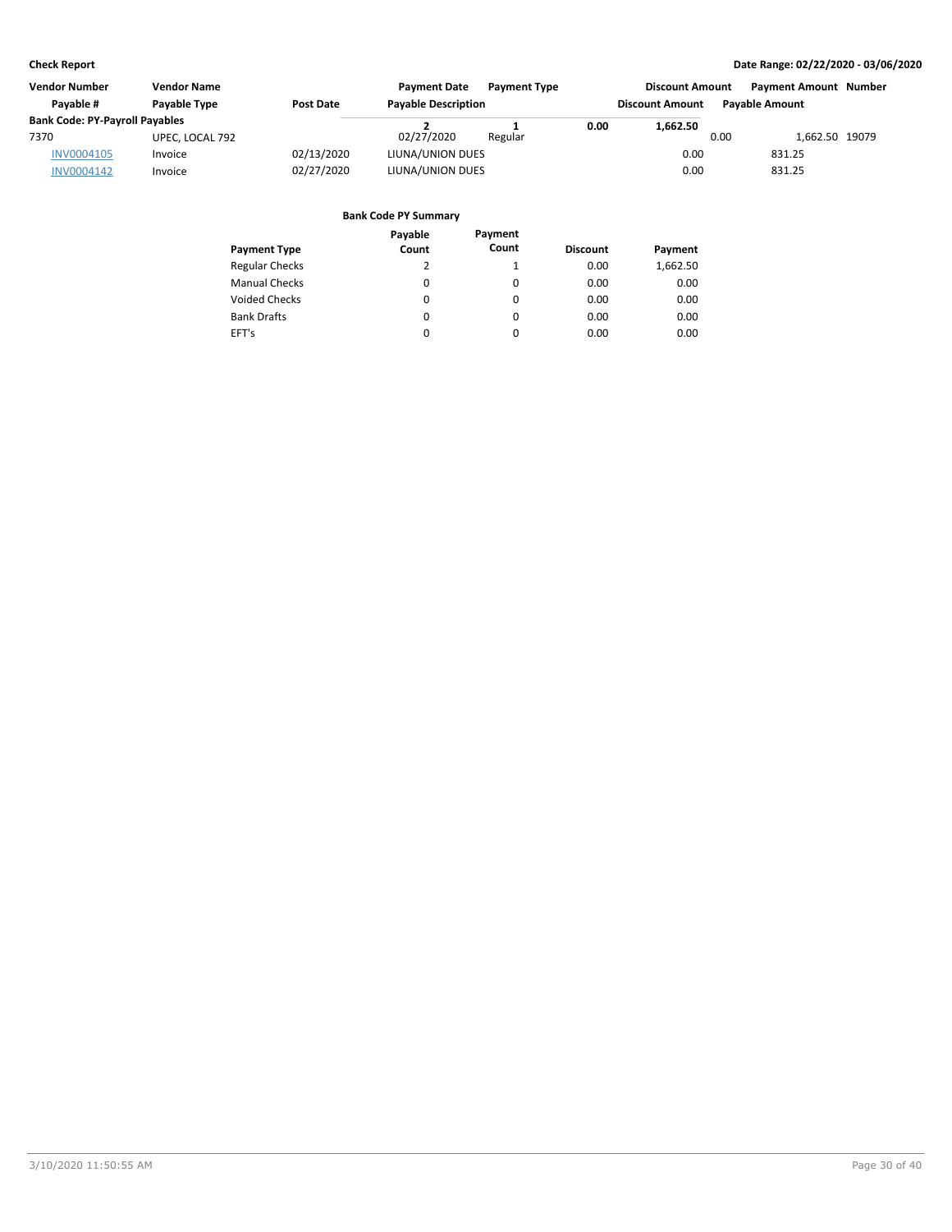| <b>Vendor Number</b><br><b>Vendor Name</b> |                 |                  | <b>Payment Date</b> | <b>Payment Type</b>        |      | <b>Discount Amount</b> | <b>Payment Amount Number</b> |                       |  |
|--------------------------------------------|-----------------|------------------|---------------------|----------------------------|------|------------------------|------------------------------|-----------------------|--|
| Pavable #                                  | Payable Type    | <b>Post Date</b> |                     | <b>Payable Description</b> |      | <b>Discount Amount</b> |                              | <b>Pavable Amount</b> |  |
| <b>Bank Code: PY-Payroll Payables</b>      |                 |                  |                     |                            | 0.00 | 1,662.50               |                              |                       |  |
| 7370                                       | UPEC, LOCAL 792 |                  | 02/27/2020          | Regular                    |      |                        | 0.00                         | 1.662.50 19079        |  |
| <b>INV0004105</b>                          | Invoice         | 02/13/2020       | LIUNA/UNION DUES    |                            |      | 0.00                   |                              | 831.25                |  |
| INV0004142                                 | Invoice         | 02/27/2020       | LIUNA/UNION DUES    |                            |      | 0.00                   |                              | 831.25                |  |

|                       | Payable | Payment |                 |          |
|-----------------------|---------|---------|-----------------|----------|
| <b>Payment Type</b>   | Count   | Count   | <b>Discount</b> | Payment  |
| <b>Regular Checks</b> | 2       | 1       | 0.00            | 1,662.50 |
| <b>Manual Checks</b>  | 0       | 0       | 0.00            | 0.00     |
| <b>Voided Checks</b>  | 0       | 0       | 0.00            | 0.00     |
| <b>Bank Drafts</b>    | 0       | 0       | 0.00            | 0.00     |
| EFT's                 | 0       | 0       | 0.00            | 0.00     |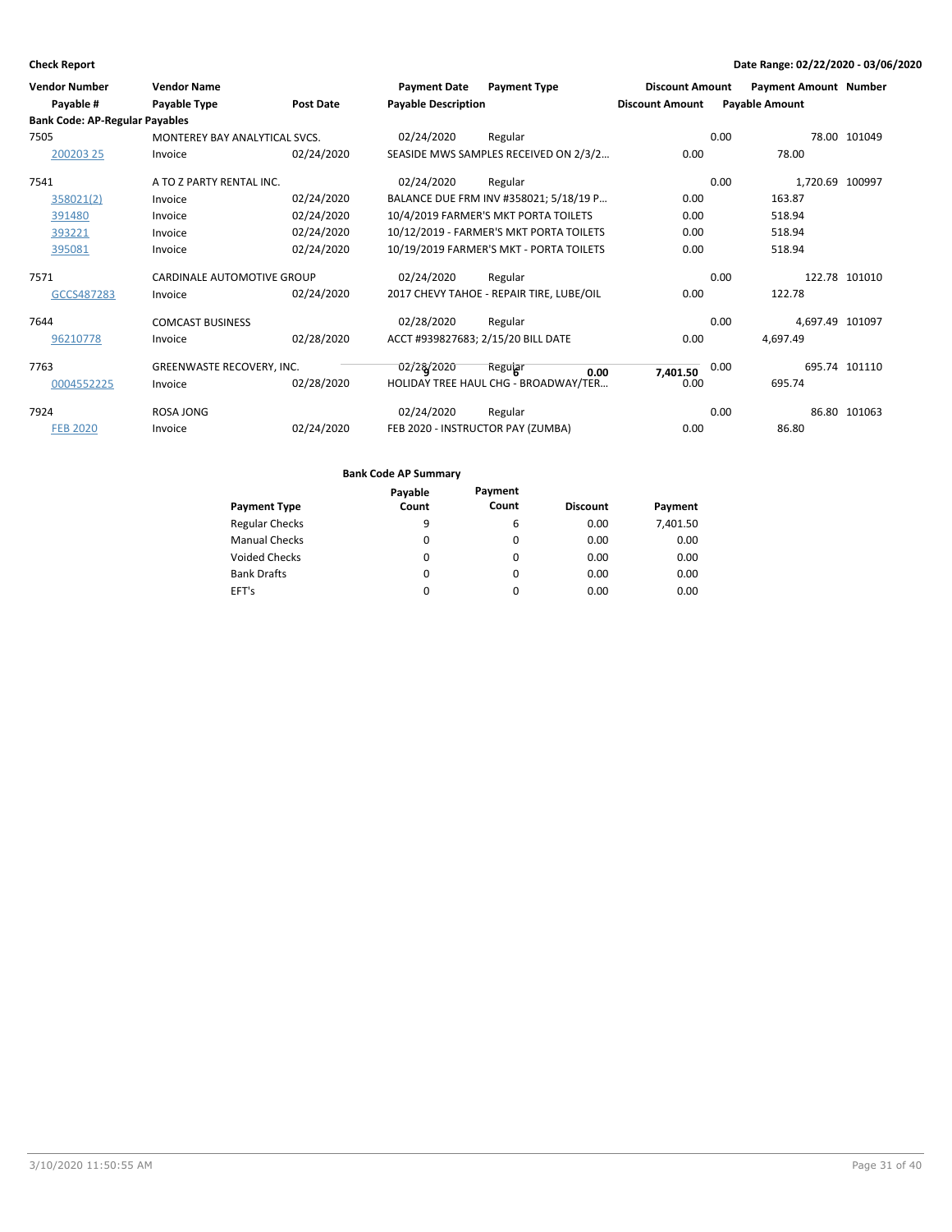| <b>Vendor Number</b><br>Payable #<br><b>Bank Code: AP-Regular Payables</b> | <b>Vendor Name</b><br>Payable Type | <b>Post Date</b> | <b>Payment Date</b><br><b>Payable Description</b> | <b>Payment Type</b>                      | <b>Discount Amount</b><br><b>Discount Amount</b> | <b>Payment Amount Number</b><br><b>Payable Amount</b> |                 |
|----------------------------------------------------------------------------|------------------------------------|------------------|---------------------------------------------------|------------------------------------------|--------------------------------------------------|-------------------------------------------------------|-----------------|
| 7505                                                                       | MONTEREY BAY ANALYTICAL SVCS.      |                  | 02/24/2020                                        | Regular                                  |                                                  | 0.00                                                  | 78.00 101049    |
| 200203 25                                                                  | Invoice                            | 02/24/2020       |                                                   | SEASIDE MWS SAMPLES RECEIVED ON 2/3/2    | 0.00                                             | 78.00                                                 |                 |
| 7541                                                                       | A TO Z PARTY RENTAL INC.           |                  | 02/24/2020                                        | Regular                                  |                                                  | 0.00                                                  | 1,720.69 100997 |
| 358021(2)                                                                  | Invoice                            | 02/24/2020       |                                                   | BALANCE DUE FRM INV #358021; 5/18/19 P   | 0.00                                             | 163.87                                                |                 |
| 391480                                                                     | Invoice                            | 02/24/2020       |                                                   | 10/4/2019 FARMER'S MKT PORTA TOILETS     | 0.00                                             | 518.94                                                |                 |
| 393221                                                                     | Invoice                            | 02/24/2020       |                                                   | 10/12/2019 - FARMER'S MKT PORTA TOILETS  | 0.00                                             | 518.94                                                |                 |
| 395081                                                                     | Invoice                            | 02/24/2020       |                                                   | 10/19/2019 FARMER'S MKT - PORTA TOILETS  | 0.00                                             | 518.94                                                |                 |
| 7571                                                                       | <b>CARDINALE AUTOMOTIVE GROUP</b>  |                  | 02/24/2020                                        | Regular                                  |                                                  | 0.00                                                  | 122.78 101010   |
| GCCS487283                                                                 | Invoice                            | 02/24/2020       |                                                   | 2017 CHEVY TAHOE - REPAIR TIRE, LUBE/OIL | 0.00                                             | 122.78                                                |                 |
| 7644                                                                       | <b>COMCAST BUSINESS</b>            |                  | 02/28/2020                                        | Regular                                  |                                                  | 0.00                                                  | 4,697.49 101097 |
| 96210778                                                                   | Invoice                            | 02/28/2020       |                                                   | ACCT #939827683; 2/15/20 BILL DATE       | 0.00                                             | 4,697.49                                              |                 |
| 7763                                                                       | GREENWASTE RECOVERY, INC.          |                  | 02/28/2020                                        | Regular<br>0.00                          | 7,401.50                                         | 0.00                                                  | 695.74 101110   |
| 0004552225                                                                 | Invoice                            | 02/28/2020       |                                                   | HOLIDAY TREE HAUL CHG - BROADWAY/TER     | 0.00                                             | 695.74                                                |                 |
| 7924                                                                       | ROSA JONG                          |                  | 02/24/2020                                        | Regular                                  |                                                  | 0.00                                                  | 86.80 101063    |
| <b>FEB 2020</b>                                                            | Invoice                            | 02/24/2020       |                                                   | FEB 2020 - INSTRUCTOR PAY (ZUMBA)        | 0.00                                             | 86.80                                                 |                 |

| Payable | Payment  |                 |          |
|---------|----------|-----------------|----------|
| Count   | Count    | <b>Discount</b> | Payment  |
| 9       | 6        | 0.00            | 7,401.50 |
| 0       | 0        | 0.00            | 0.00     |
| 0       | 0        | 0.00            | 0.00     |
| 0       | 0        | 0.00            | 0.00     |
| 0       | $\Omega$ | 0.00            | 0.00     |
|         |          |                 |          |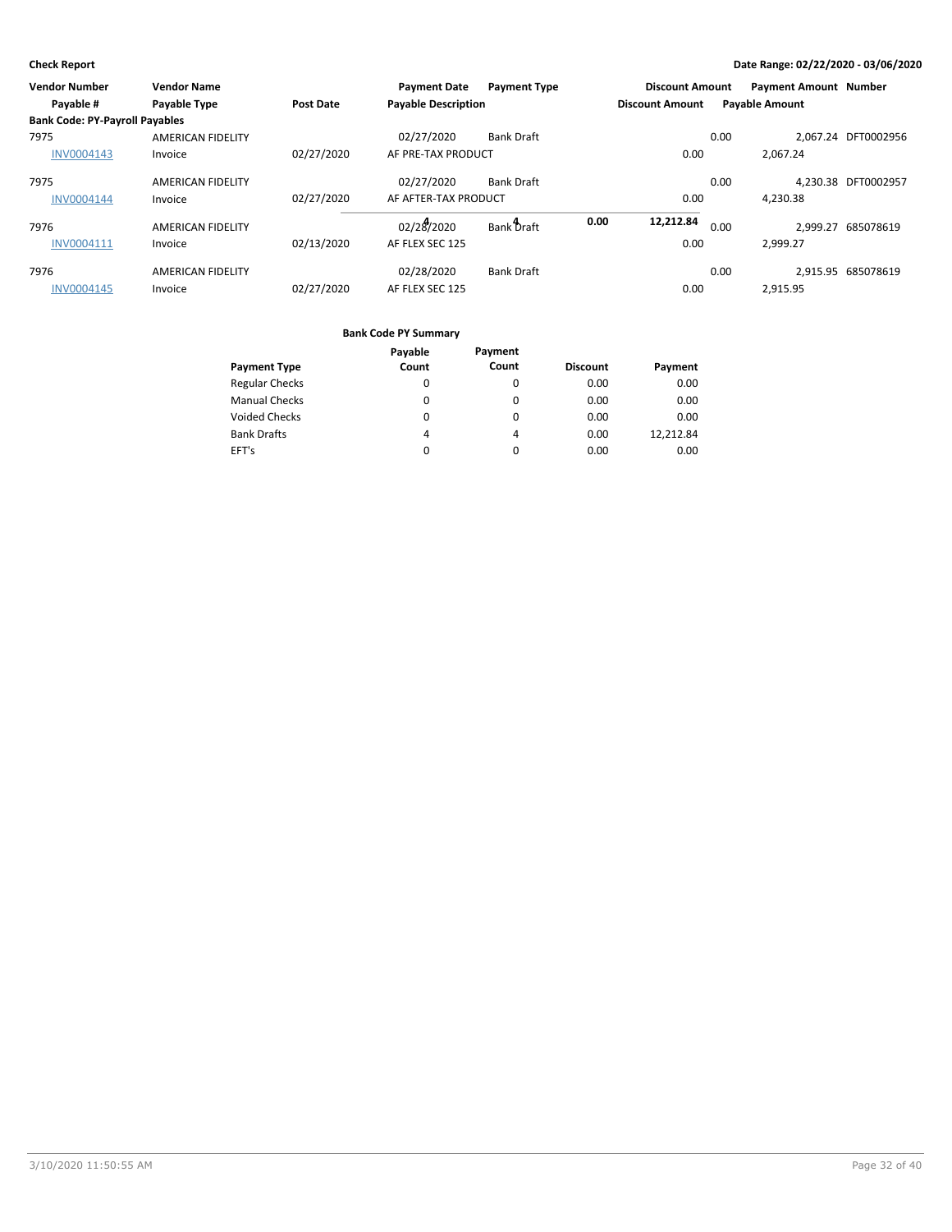| Vendor Number                         | <b>Vendor Name</b>       |                  | <b>Payment Date</b>        | <b>Payment Type</b> |      | <b>Discount Amount</b> |      | <b>Payment Amount Number</b> |                     |
|---------------------------------------|--------------------------|------------------|----------------------------|---------------------|------|------------------------|------|------------------------------|---------------------|
| Payable #                             | Payable Type             | <b>Post Date</b> | <b>Payable Description</b> |                     |      | <b>Discount Amount</b> |      | <b>Payable Amount</b>        |                     |
| <b>Bank Code: PY-Payroll Payables</b> |                          |                  |                            |                     |      |                        |      |                              |                     |
| 7975                                  | <b>AMERICAN FIDELITY</b> |                  | 02/27/2020                 | <b>Bank Draft</b>   |      |                        | 0.00 |                              | 2.067.24 DFT0002956 |
| <b>INV0004143</b>                     | Invoice                  | 02/27/2020       | AF PRE-TAX PRODUCT         |                     |      | 0.00                   |      | 2.067.24                     |                     |
| 7975                                  | <b>AMERICAN FIDELITY</b> |                  | 02/27/2020                 | <b>Bank Draft</b>   |      |                        | 0.00 |                              | 4.230.38 DFT0002957 |
| <b>INV0004144</b>                     | Invoice                  | 02/27/2020       | AF AFTER-TAX PRODUCT       |                     |      | 0.00                   |      | 4,230.38                     |                     |
| 7976                                  | <b>AMERICAN FIDELITY</b> |                  | 02/28/2020                 | Bank Draft          | 0.00 | 12,212.84              | 0.00 |                              | 2.999.27 685078619  |
| INV0004111                            | Invoice                  | 02/13/2020       | AF FLEX SEC 125            |                     |      | 0.00                   |      | 2.999.27                     |                     |
| 7976                                  | <b>AMERICAN FIDELITY</b> |                  | 02/28/2020                 | <b>Bank Draft</b>   |      |                        | 0.00 |                              | 2.915.95 685078619  |
| <b>INV0004145</b>                     | Invoice                  | 02/27/2020       | AF FLEX SEC 125            |                     |      | 0.00                   |      | 2.915.95                     |                     |

|                       | Payable | Payment  |                 |           |
|-----------------------|---------|----------|-----------------|-----------|
| <b>Payment Type</b>   | Count   | Count    | <b>Discount</b> | Payment   |
| <b>Regular Checks</b> | 0       | $\Omega$ | 0.00            | 0.00      |
| <b>Manual Checks</b>  | 0       | 0        | 0.00            | 0.00      |
| <b>Voided Checks</b>  | 0       | 0        | 0.00            | 0.00      |
| <b>Bank Drafts</b>    | 4       | 4        | 0.00            | 12.212.84 |
| EFT's                 |         | 0        | 0.00            | 0.00      |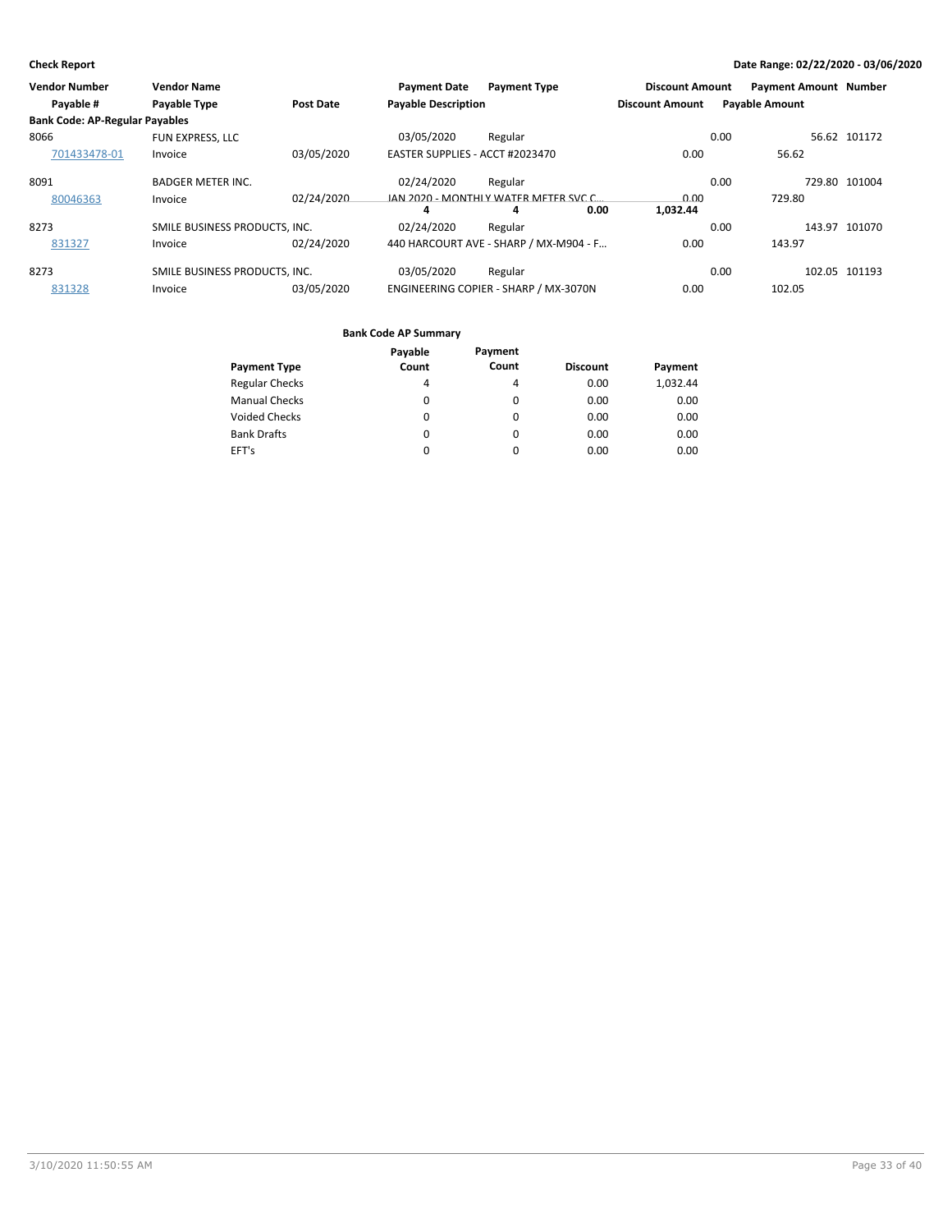| Vendor Number                         | <b>Vendor Name</b>            |                  | <b>Payment Date</b>             | <b>Payment Type</b>                    |      | <b>Discount Amount</b> |                       | <b>Payment Amount Number</b> |               |
|---------------------------------------|-------------------------------|------------------|---------------------------------|----------------------------------------|------|------------------------|-----------------------|------------------------------|---------------|
| Payable #                             | Payable Type                  | <b>Post Date</b> | <b>Payable Description</b>      |                                        |      | <b>Discount Amount</b> | <b>Payable Amount</b> |                              |               |
| <b>Bank Code: AP-Regular Payables</b> |                               |                  |                                 |                                        |      |                        |                       |                              |               |
| 8066                                  | <b>FUN EXPRESS, LLC</b>       |                  | 03/05/2020                      | Regular                                |      |                        | 0.00                  |                              | 56.62 101172  |
| 701433478-01                          | Invoice                       | 03/05/2020       | EASTER SUPPLIES - ACCT #2023470 |                                        |      | 0.00                   |                       | 56.62                        |               |
| 8091                                  | <b>BADGER METER INC.</b>      |                  | 02/24/2020                      | Regular                                |      |                        | 0.00                  |                              | 729.80 101004 |
| 80046363                              | Invoice                       | 02/24/2020       |                                 | JAN 2020 - MONTHLY WATER METER SVC C.  |      | 0.00                   |                       | 729.80                       |               |
|                                       |                               |                  | 4                               | 4                                      | 0.00 | 1.032.44               |                       |                              |               |
| 8273                                  | SMILE BUSINESS PRODUCTS, INC. |                  | 02/24/2020                      | Regular                                |      |                        | 0.00                  |                              | 143.97 101070 |
| 831327                                | Invoice                       | 02/24/2020       |                                 | 440 HARCOURT AVE - SHARP / MX-M904 - F |      | 0.00                   |                       | 143.97                       |               |
| 8273                                  | SMILE BUSINESS PRODUCTS. INC. |                  | 03/05/2020                      | Regular                                |      |                        | 0.00                  |                              | 102.05 101193 |
| 831328                                | Invoice                       | 03/05/2020       |                                 | ENGINEERING COPIER - SHARP / MX-3070N  |      | 0.00                   |                       | 102.05                       |               |

|                       | Payable  | Payment  |                 |          |
|-----------------------|----------|----------|-----------------|----------|
| <b>Payment Type</b>   | Count    | Count    | <b>Discount</b> | Payment  |
| <b>Regular Checks</b> | 4        | 4        | 0.00            | 1,032.44 |
| <b>Manual Checks</b>  | $\Omega$ | $\Omega$ | 0.00            | 0.00     |
| <b>Voided Checks</b>  | 0        | 0        | 0.00            | 0.00     |
| <b>Bank Drafts</b>    | $\Omega$ | $\Omega$ | 0.00            | 0.00     |
| EFT's                 | 0        | 0        | 0.00            | 0.00     |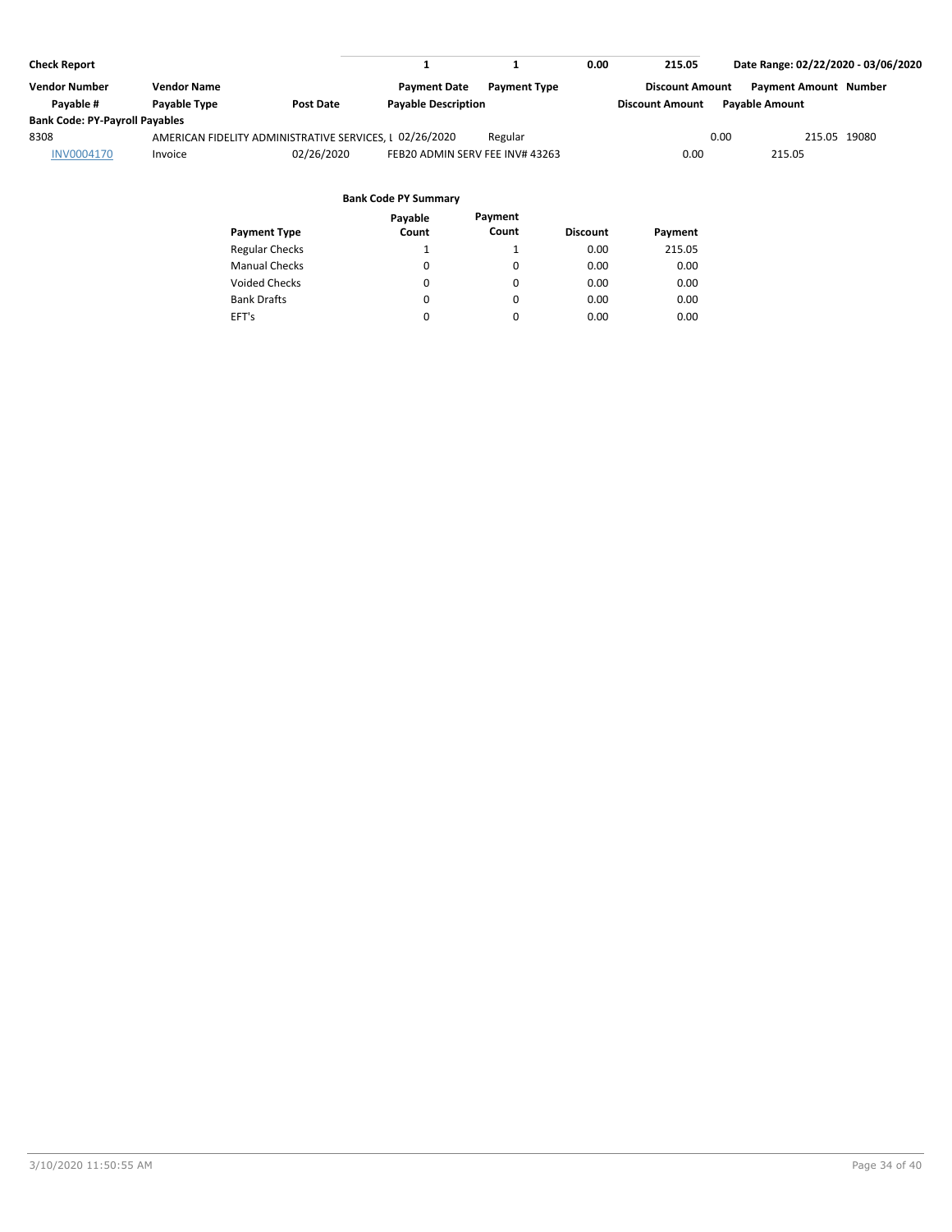| <b>Check Report</b>                   |                     |                                                         |                                 |                     | 0.00 | 215.05                 | Date Range: 02/22/2020 - 03/06/2020 |  |
|---------------------------------------|---------------------|---------------------------------------------------------|---------------------------------|---------------------|------|------------------------|-------------------------------------|--|
| <b>Vendor Number</b>                  | <b>Vendor Name</b>  |                                                         | <b>Payment Date</b>             | <b>Payment Type</b> |      | <b>Discount Amount</b> | <b>Payment Amount Number</b>        |  |
| Pavable #                             | <b>Pavable Type</b> | <b>Post Date</b>                                        | <b>Pavable Description</b>      |                     |      | <b>Discount Amount</b> | <b>Pavable Amount</b>               |  |
| <b>Bank Code: PY-Payroll Payables</b> |                     |                                                         |                                 |                     |      |                        |                                     |  |
| 8308                                  |                     | AMERICAN FIDELITY ADMINISTRATIVE SERVICES, I 02/26/2020 |                                 | Regular             |      | 0.00                   | 215.05 19080                        |  |
| <b>INV0004170</b>                     | Invoice             | 02/26/2020                                              | FEB20 ADMIN SERV FEE INV# 43263 |                     |      | 0.00                   | 215.05                              |  |
|                                       |                     |                                                         |                                 |                     |      |                        |                                     |  |

#### **Bank Code PY Summary Payable**

| <b>Payment Type</b>   | Payable<br>Count | Payment<br>Count | <b>Discount</b> | Payment |
|-----------------------|------------------|------------------|-----------------|---------|
| <b>Regular Checks</b> | $\mathbf{1}$     |                  | 0.00            | 215.05  |
| <b>Manual Checks</b>  | 0                | $\Omega$         | 0.00            | 0.00    |
| <b>Voided Checks</b>  | 0                | $\Omega$         | 0.00            | 0.00    |
| <b>Bank Drafts</b>    | 0                | $\Omega$         | 0.00            | 0.00    |
| EFT's                 | $\Omega$         | $\Omega$         | 0.00            | 0.00    |
|                       |                  |                  |                 |         |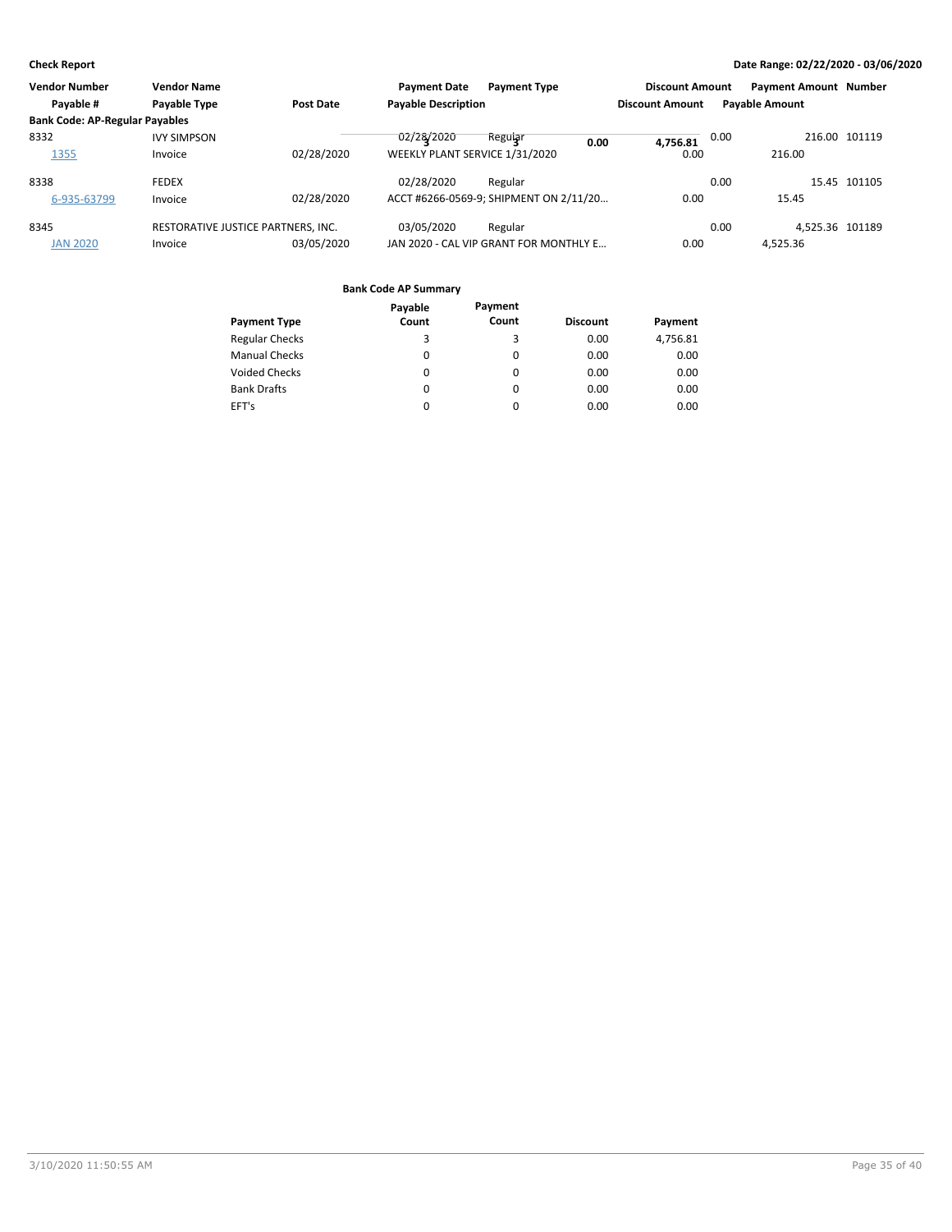| <b>Vendor Number</b><br><b>Vendor Name</b> |                  | <b>Payment Date</b><br><b>Payment Type</b> |         | <b>Discount Amount</b>                                       |                                                                                          | <b>Payment Amount Number</b> |                 |                       |
|--------------------------------------------|------------------|--------------------------------------------|---------|--------------------------------------------------------------|------------------------------------------------------------------------------------------|------------------------------|-----------------|-----------------------|
| Payable Type                               | <b>Post Date</b> |                                            |         |                                                              | <b>Discount Amount</b>                                                                   |                              |                 |                       |
| <b>Bank Code: AP-Regular Payables</b>      |                  |                                            |         |                                                              |                                                                                          |                              |                 |                       |
| <b>IVY SIMPSON</b>                         |                  | 02/28/2020                                 | Reguiar |                                                              |                                                                                          | 0.00                         |                 | 216.00 101119         |
| Invoice                                    | 02/28/2020       |                                            |         |                                                              | 0.00                                                                                     |                              | 216.00          |                       |
| <b>FEDEX</b>                               |                  | 02/28/2020                                 | Regular |                                                              |                                                                                          | 0.00                         |                 | 15.45 101105          |
| Invoice                                    | 02/28/2020       |                                            |         |                                                              | 0.00                                                                                     |                              | 15.45           |                       |
|                                            |                  | 03/05/2020                                 | Regular |                                                              |                                                                                          | 0.00                         | 4.525.36 101189 |                       |
| Invoice                                    | 03/05/2020       |                                            |         |                                                              | 0.00                                                                                     |                              | 4,525.36        |                       |
|                                            |                  | RESTORATIVE JUSTICE PARTNERS, INC.         |         | <b>Payable Description</b><br>WEEKLY PLANT SERVICE 1/31/2020 | 0.00<br>ACCT #6266-0569-9; SHIPMENT ON 2/11/20<br>JAN 2020 - CAL VIP GRANT FOR MONTHLY E | 4.756.81                     |                 | <b>Payable Amount</b> |

|                       | Payable  | Payment |                 |          |
|-----------------------|----------|---------|-----------------|----------|
| <b>Payment Type</b>   | Count    | Count   | <b>Discount</b> | Payment  |
| <b>Regular Checks</b> | 3        | 3       | 0.00            | 4,756.81 |
| <b>Manual Checks</b>  | $\Omega$ | 0       | 0.00            | 0.00     |
| <b>Voided Checks</b>  | 0        | 0       | 0.00            | 0.00     |
| <b>Bank Drafts</b>    | 0        | 0       | 0.00            | 0.00     |
| EFT's                 | 0        | 0       | 0.00            | 0.00     |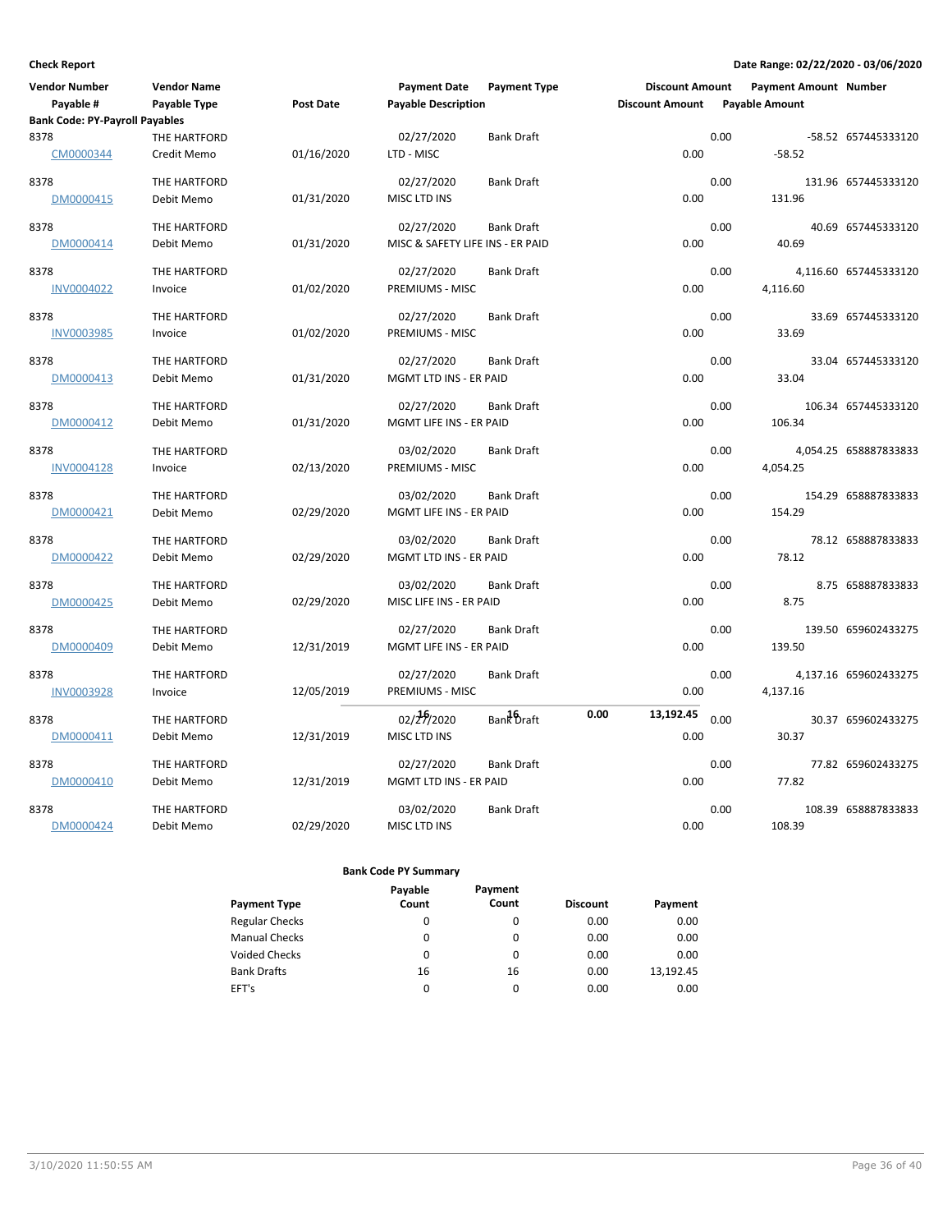| <b>Vendor Number</b>                  | <b>Vendor Name</b> |                  | <b>Payment Date</b>              | <b>Payment Type</b> | <b>Discount Amount</b> |      | <b>Payment Amount Number</b> |                       |
|---------------------------------------|--------------------|------------------|----------------------------------|---------------------|------------------------|------|------------------------------|-----------------------|
| Payable #                             | Payable Type       | <b>Post Date</b> | <b>Payable Description</b>       |                     | <b>Discount Amount</b> |      | <b>Payable Amount</b>        |                       |
| <b>Bank Code: PY-Payroll Payables</b> |                    |                  |                                  |                     |                        |      |                              |                       |
| 8378                                  | THE HARTFORD       |                  | 02/27/2020                       | <b>Bank Draft</b>   |                        | 0.00 |                              | -58.52 657445333120   |
| CM0000344                             | Credit Memo        | 01/16/2020       | LTD - MISC                       |                     | 0.00                   |      | $-58.52$                     |                       |
| 8378                                  | THE HARTFORD       |                  | 02/27/2020                       | <b>Bank Draft</b>   |                        | 0.00 |                              | 131.96 657445333120   |
| DM0000415                             | Debit Memo         | 01/31/2020       | MISC LTD INS                     |                     | 0.00                   |      | 131.96                       |                       |
| 8378                                  | THE HARTFORD       |                  | 02/27/2020                       | <b>Bank Draft</b>   |                        | 0.00 |                              | 40.69 657445333120    |
| DM0000414                             | Debit Memo         | 01/31/2020       | MISC & SAFETY LIFE INS - ER PAID |                     | 0.00                   |      | 40.69                        |                       |
| 8378                                  | THE HARTFORD       |                  | 02/27/2020                       | <b>Bank Draft</b>   |                        | 0.00 |                              | 4,116.60 657445333120 |
| INV0004022                            | Invoice            | 01/02/2020       | PREMIUMS - MISC                  |                     | 0.00                   |      | 4,116.60                     |                       |
| 8378                                  | THE HARTFORD       |                  | 02/27/2020                       | <b>Bank Draft</b>   |                        | 0.00 |                              | 33.69 657445333120    |
| <b>INV0003985</b>                     | Invoice            | 01/02/2020       | PREMIUMS - MISC                  |                     | 0.00                   |      | 33.69                        |                       |
| 8378                                  | THE HARTFORD       |                  | 02/27/2020                       | <b>Bank Draft</b>   |                        | 0.00 |                              | 33.04 657445333120    |
| DM0000413                             | Debit Memo         | 01/31/2020       | MGMT LTD INS - ER PAID           |                     | 0.00                   |      | 33.04                        |                       |
| 8378                                  | THE HARTFORD       |                  | 02/27/2020                       | <b>Bank Draft</b>   |                        | 0.00 |                              | 106.34 657445333120   |
| DM0000412                             | Debit Memo         | 01/31/2020       | MGMT LIFE INS - ER PAID          |                     | 0.00                   |      | 106.34                       |                       |
| 8378                                  | THE HARTFORD       |                  | 03/02/2020                       | <b>Bank Draft</b>   |                        | 0.00 |                              | 4,054.25 658887833833 |
| INV0004128                            | Invoice            | 02/13/2020       | PREMIUMS - MISC                  |                     | 0.00                   |      | 4,054.25                     |                       |
| 8378                                  | THE HARTFORD       |                  | 03/02/2020                       | <b>Bank Draft</b>   |                        | 0.00 |                              | 154.29 658887833833   |
| DM0000421                             | Debit Memo         | 02/29/2020       | MGMT LIFE INS - ER PAID          |                     | 0.00                   |      | 154.29                       |                       |
| 8378                                  | THE HARTFORD       |                  | 03/02/2020                       | <b>Bank Draft</b>   |                        | 0.00 |                              | 78.12 658887833833    |
| DM0000422                             | Debit Memo         | 02/29/2020       | MGMT LTD INS - ER PAID           |                     | 0.00                   |      | 78.12                        |                       |
| 8378                                  | THE HARTFORD       |                  | 03/02/2020                       | <b>Bank Draft</b>   |                        | 0.00 |                              | 8.75 658887833833     |
| DM0000425                             | Debit Memo         | 02/29/2020       | MISC LIFE INS - ER PAID          |                     | 0.00                   |      | 8.75                         |                       |
| 8378                                  | THE HARTFORD       |                  | 02/27/2020                       | <b>Bank Draft</b>   |                        | 0.00 |                              | 139.50 659602433275   |
| DM0000409                             | Debit Memo         | 12/31/2019       | MGMT LIFE INS - ER PAID          |                     | 0.00                   |      | 139.50                       |                       |
| 8378                                  | THE HARTFORD       |                  | 02/27/2020                       | <b>Bank Draft</b>   |                        | 0.00 |                              | 4,137.16 659602433275 |
| <b>INV0003928</b>                     | Invoice            | 12/05/2019       | PREMIUMS - MISC                  |                     | 0.00                   |      | 4,137.16                     |                       |
| 8378                                  | THE HARTFORD       |                  | 02/29/2020                       | Bank Draft          | 0.00<br>13,192.45      | 0.00 |                              | 30.37 659602433275    |
| DM0000411                             | Debit Memo         | 12/31/2019       | MISC LTD INS                     |                     | 0.00                   |      | 30.37                        |                       |
| 8378                                  | THE HARTFORD       |                  | 02/27/2020                       | <b>Bank Draft</b>   |                        | 0.00 |                              | 77.82 659602433275    |
| DM0000410                             | Debit Memo         | 12/31/2019       | MGMT LTD INS - ER PAID           |                     | 0.00                   |      | 77.82                        |                       |
| 8378                                  | THE HARTFORD       |                  | 03/02/2020                       | <b>Bank Draft</b>   |                        | 0.00 |                              | 108.39 658887833833   |
| DM0000424                             | Debit Memo         | 02/29/2020       | MISC LTD INS                     |                     | 0.00                   |      | 108.39                       |                       |

| <b>Payment Type</b>   | Payable<br>Count | Payment<br>Count | <b>Discount</b> | Payment   |
|-----------------------|------------------|------------------|-----------------|-----------|
| <b>Regular Checks</b> | 0                | 0                | 0.00            | 0.00      |
| <b>Manual Checks</b>  | 0                | 0                | 0.00            | 0.00      |
| <b>Voided Checks</b>  | 0                | 0                | 0.00            | 0.00      |
| <b>Bank Drafts</b>    | 16               | 16               | 0.00            | 13,192.45 |
| EFT's                 | 0                | 0                | 0.00            | 0.00      |
|                       |                  |                  |                 |           |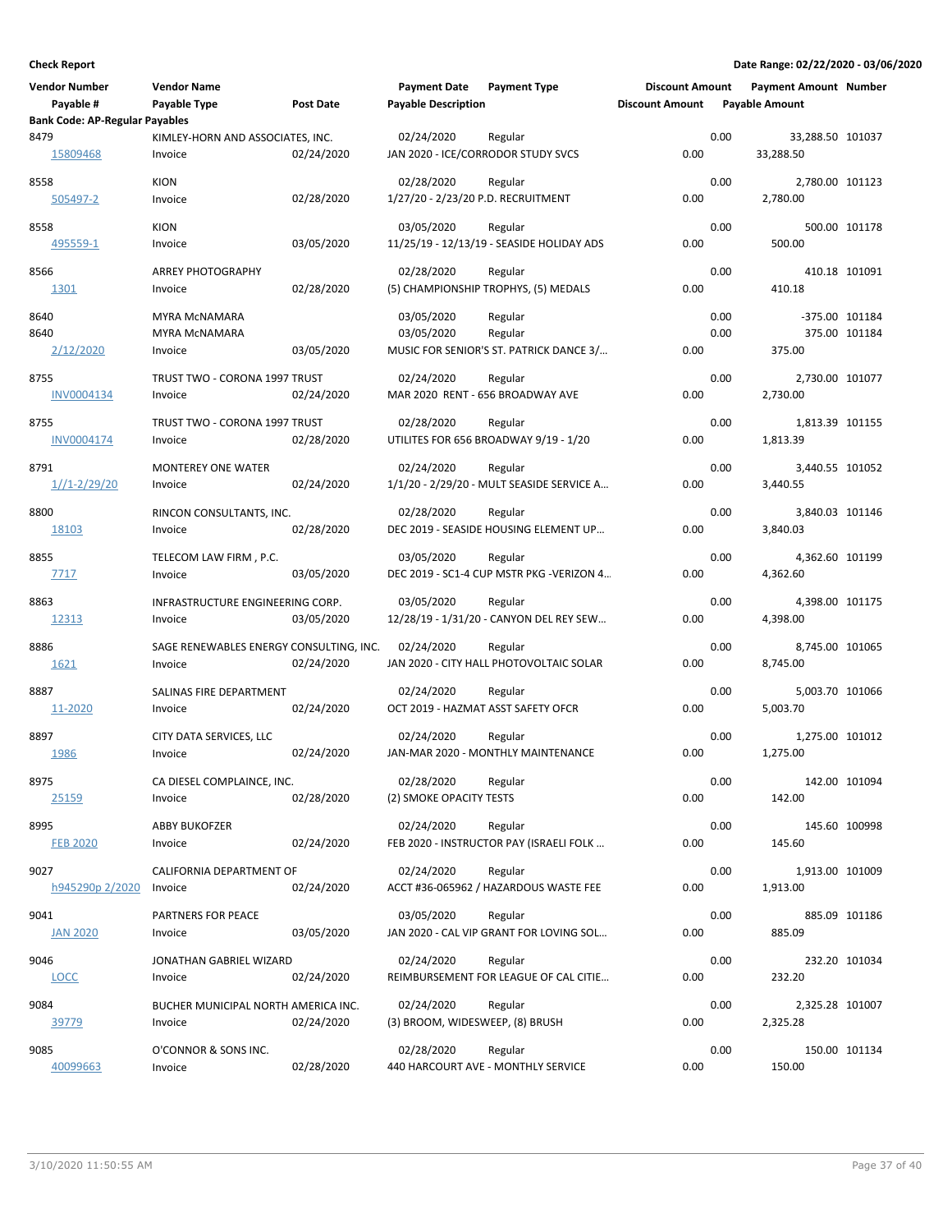| <b>Vendor Number</b>                  | <b>Vendor Name</b>                      |            | <b>Payment Date</b>                | <b>Payment Type</b>                                 | <b>Discount Amount</b> |      | <b>Payment Amount Number</b> |               |
|---------------------------------------|-----------------------------------------|------------|------------------------------------|-----------------------------------------------------|------------------------|------|------------------------------|---------------|
| Payable #                             | Payable Type                            | Post Date  | <b>Payable Description</b>         |                                                     | <b>Discount Amount</b> |      | <b>Payable Amount</b>        |               |
| <b>Bank Code: AP-Regular Payables</b> |                                         |            |                                    |                                                     |                        |      |                              |               |
| 8479                                  | KIMLEY-HORN AND ASSOCIATES, INC.        |            | 02/24/2020                         | Regular                                             |                        | 0.00 | 33,288.50 101037             |               |
| 15809468                              | Invoice                                 | 02/24/2020 | JAN 2020 - ICE/CORRODOR STUDY SVCS |                                                     | 0.00                   |      | 33,288.50                    |               |
| 8558                                  | <b>KION</b>                             |            | 02/28/2020                         | Regular                                             |                        | 0.00 | 2,780.00 101123              |               |
| 505497-2                              | Invoice                                 | 02/28/2020 | 1/27/20 - 2/23/20 P.D. RECRUITMENT |                                                     | 0.00                   |      | 2,780.00                     |               |
|                                       |                                         |            |                                    |                                                     |                        |      |                              |               |
| 8558                                  | <b>KION</b>                             |            | 03/05/2020                         | Regular                                             |                        | 0.00 |                              | 500.00 101178 |
| 495559-1                              | Invoice                                 | 03/05/2020 |                                    | 11/25/19 - 12/13/19 - SEASIDE HOLIDAY ADS           | 0.00                   |      | 500.00                       |               |
| 8566                                  | <b>ARREY PHOTOGRAPHY</b>                |            | 02/28/2020                         | Regular                                             |                        | 0.00 | 410.18 101091                |               |
| 1301                                  | Invoice                                 | 02/28/2020 |                                    | (5) CHAMPIONSHIP TROPHYS, (5) MEDALS                | 0.00                   |      | 410.18                       |               |
|                                       |                                         |            |                                    |                                                     |                        |      |                              |               |
| 8640                                  | <b>MYRA MCNAMARA</b>                    |            | 03/05/2020                         | Regular                                             |                        | 0.00 | -375.00 101184               |               |
| 8640                                  | MYRA MCNAMARA                           |            | 03/05/2020                         | Regular                                             |                        | 0.00 |                              | 375.00 101184 |
| 2/12/2020                             | Invoice                                 | 03/05/2020 |                                    | MUSIC FOR SENIOR'S ST. PATRICK DANCE 3/             | 0.00                   |      | 375.00                       |               |
| 8755                                  | TRUST TWO - CORONA 1997 TRUST           |            | 02/24/2020                         | Regular                                             |                        | 0.00 | 2,730.00 101077              |               |
| <b>INV0004134</b>                     | Invoice                                 | 02/24/2020 | MAR 2020 RENT - 656 BROADWAY AVE   |                                                     | 0.00                   |      | 2,730.00                     |               |
|                                       |                                         |            |                                    |                                                     |                        |      |                              |               |
| 8755                                  | TRUST TWO - CORONA 1997 TRUST           |            | 02/28/2020                         | Regular                                             |                        | 0.00 | 1,813.39 101155              |               |
| INV0004174                            | Invoice                                 | 02/28/2020 |                                    | UTILITES FOR 656 BROADWAY 9/19 - 1/20               | 0.00                   |      | 1,813.39                     |               |
| 8791                                  | <b>MONTEREY ONE WATER</b>               |            | 02/24/2020                         | Regular                                             |                        | 0.00 | 3,440.55 101052              |               |
| $1/1 - 2/29/20$                       | Invoice                                 | 02/24/2020 |                                    | 1/1/20 - 2/29/20 - MULT SEASIDE SERVICE A           | 0.00                   |      | 3,440.55                     |               |
|                                       |                                         |            |                                    |                                                     |                        |      |                              |               |
| 8800                                  | RINCON CONSULTANTS, INC.                |            | 02/28/2020                         | Regular                                             |                        | 0.00 | 3,840.03 101146              |               |
| 18103                                 | Invoice                                 | 02/28/2020 |                                    | DEC 2019 - SEASIDE HOUSING ELEMENT UP               | 0.00                   |      | 3,840.03                     |               |
| 8855                                  | TELECOM LAW FIRM, P.C.                  |            | 03/05/2020                         |                                                     |                        | 0.00 | 4,362.60 101199              |               |
| 7717                                  | Invoice                                 | 03/05/2020 |                                    | Regular<br>DEC 2019 - SC1-4 CUP MSTR PKG -VERIZON 4 | 0.00                   |      | 4,362.60                     |               |
|                                       |                                         |            |                                    |                                                     |                        |      |                              |               |
| 8863                                  | INFRASTRUCTURE ENGINEERING CORP.        |            | 03/05/2020                         | Regular                                             |                        | 0.00 | 4,398.00 101175              |               |
| 12313                                 | Invoice                                 | 03/05/2020 |                                    | 12/28/19 - 1/31/20 - CANYON DEL REY SEW             | 0.00                   |      | 4,398.00                     |               |
|                                       |                                         |            |                                    |                                                     |                        |      |                              |               |
| 8886                                  | SAGE RENEWABLES ENERGY CONSULTING, INC. |            | 02/24/2020                         | Regular                                             |                        | 0.00 | 8,745.00 101065              |               |
| 1621                                  | Invoice                                 | 02/24/2020 |                                    | JAN 2020 - CITY HALL PHOTOVOLTAIC SOLAR             | 0.00                   |      | 8,745.00                     |               |
| 8887                                  | SALINAS FIRE DEPARTMENT                 |            | 02/24/2020                         | Regular                                             |                        | 0.00 | 5,003.70 101066              |               |
| 11-2020                               | Invoice                                 | 02/24/2020 | OCT 2019 - HAZMAT ASST SAFETY OFCR |                                                     | 0.00                   |      | 5,003.70                     |               |
|                                       |                                         |            |                                    |                                                     |                        |      |                              |               |
| 8897                                  | CITY DATA SERVICES, LLC                 |            | 02/24/2020                         | Regular                                             |                        | 0.00 | 1,275.00 101012              |               |
| 1986                                  | Invoice                                 | 02/24/2020 |                                    | JAN-MAR 2020 - MONTHLY MAINTENANCE                  | 0.00                   |      | 1,275.00                     |               |
| 8975                                  | CA DIESEL COMPLAINCE, INC.              |            | 02/28/2020                         | Regular                                             |                        | 0.00 | 142.00 101094                |               |
| 25159                                 | Invoice                                 | 02/28/2020 | (2) SMOKE OPACITY TESTS            |                                                     | 0.00                   |      | 142.00                       |               |
|                                       |                                         |            |                                    |                                                     |                        |      |                              |               |
| 8995                                  | <b>ABBY BUKOFZER</b>                    |            | 02/24/2020                         | Regular                                             |                        | 0.00 | 145.60 100998                |               |
| <b>FEB 2020</b>                       | Invoice                                 | 02/24/2020 |                                    | FEB 2020 - INSTRUCTOR PAY (ISRAELI FOLK             | 0.00                   |      | 145.60                       |               |
| 9027                                  | CALIFORNIA DEPARTMENT OF                |            | 02/24/2020                         | Regular                                             |                        | 0.00 | 1,913.00 101009              |               |
| h945290p 2/2020                       | Invoice                                 | 02/24/2020 |                                    | ACCT #36-065962 / HAZARDOUS WASTE FEE               | 0.00                   |      | 1,913.00                     |               |
|                                       |                                         |            |                                    |                                                     |                        |      |                              |               |
| 9041                                  | PARTNERS FOR PEACE                      |            | 03/05/2020                         | Regular                                             |                        | 0.00 |                              | 885.09 101186 |
| <b>JAN 2020</b>                       | Invoice                                 | 03/05/2020 |                                    | JAN 2020 - CAL VIP GRANT FOR LOVING SOL             | 0.00                   |      | 885.09                       |               |
| 9046                                  | JONATHAN GABRIEL WIZARD                 |            | 02/24/2020                         | Regular                                             |                        | 0.00 |                              | 232.20 101034 |
| <b>LOCC</b>                           | Invoice                                 | 02/24/2020 |                                    | REIMBURSEMENT FOR LEAGUE OF CAL CITIE               | 0.00                   |      | 232.20                       |               |
|                                       |                                         |            |                                    |                                                     |                        |      |                              |               |
| 9084                                  | BUCHER MUNICIPAL NORTH AMERICA INC.     |            | 02/24/2020                         | Regular                                             |                        | 0.00 | 2,325.28 101007              |               |
| 39779                                 | Invoice                                 | 02/24/2020 | (3) BROOM, WIDESWEEP, (8) BRUSH    |                                                     | 0.00                   |      | 2,325.28                     |               |
| 9085                                  | O'CONNOR & SONS INC.                    |            | 02/28/2020                         | Regular                                             |                        | 0.00 |                              | 150.00 101134 |
| 40099663                              | Invoice                                 | 02/28/2020 |                                    | 440 HARCOURT AVE - MONTHLY SERVICE                  | 0.00                   |      | 150.00                       |               |
|                                       |                                         |            |                                    |                                                     |                        |      |                              |               |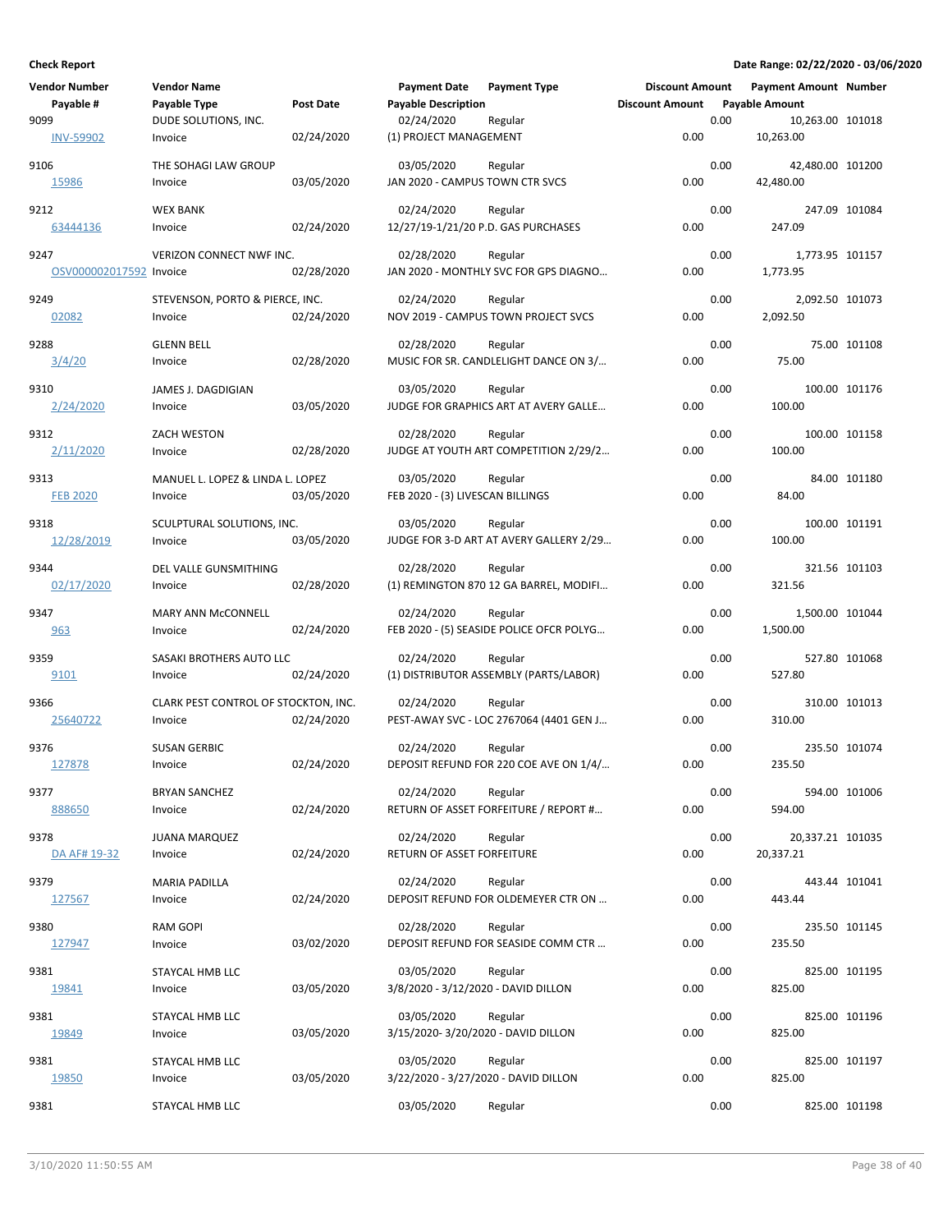| <b>Vendor Number</b>            | <b>Vendor Name</b>                              |            | <b>Payment Date</b>                                | <b>Payment Type</b>                                 | <b>Discount Amount</b> |      | <b>Payment Amount Number</b>  |               |
|---------------------------------|-------------------------------------------------|------------|----------------------------------------------------|-----------------------------------------------------|------------------------|------|-------------------------------|---------------|
| Payable #                       | Payable Type                                    | Post Date  | <b>Payable Description</b>                         |                                                     | <b>Discount Amount</b> |      | <b>Payable Amount</b>         |               |
| 9099<br><b>INV-59902</b>        | DUDE SOLUTIONS, INC.<br>Invoice                 | 02/24/2020 | 02/24/2020<br>(1) PROJECT MANAGEMENT               | Regular                                             | 0.00                   | 0.00 | 10,263.00 101018<br>10,263.00 |               |
| 9106<br>15986                   | THE SOHAGI LAW GROUP<br>Invoice                 | 03/05/2020 | 03/05/2020<br>JAN 2020 - CAMPUS TOWN CTR SVCS      | Regular                                             | 0.00                   | 0.00 | 42,480.00 101200<br>42,480.00 |               |
| 9212                            | <b>WEX BANK</b>                                 | 02/24/2020 | 02/24/2020<br>12/27/19-1/21/20 P.D. GAS PURCHASES  | Regular                                             | 0.00                   | 0.00 | 247.09                        | 247.09 101084 |
| 63444136                        | Invoice                                         |            |                                                    |                                                     |                        |      |                               |               |
| 9247<br>OSV000002017592 Invoice | VERIZON CONNECT NWF INC.                        | 02/28/2020 | 02/28/2020                                         | Regular<br>JAN 2020 - MONTHLY SVC FOR GPS DIAGNO    | 0.00                   | 0.00 | 1,773.95 101157<br>1,773.95   |               |
| 9249<br>02082                   | STEVENSON, PORTO & PIERCE, INC.<br>Invoice      | 02/24/2020 | 02/24/2020                                         | Regular<br>NOV 2019 - CAMPUS TOWN PROJECT SVCS      | 0.00                   | 0.00 | 2,092.50 101073<br>2,092.50   |               |
| 9288                            | <b>GLENN BELL</b>                               |            | 02/28/2020                                         | Regular                                             |                        | 0.00 |                               | 75.00 101108  |
| 3/4/20                          | Invoice                                         | 02/28/2020 |                                                    | MUSIC FOR SR. CANDLELIGHT DANCE ON 3/               | 0.00                   |      | 75.00                         |               |
| 9310<br>2/24/2020               | JAMES J. DAGDIGIAN<br>Invoice                   | 03/05/2020 | 03/05/2020                                         | Regular<br>JUDGE FOR GRAPHICS ART AT AVERY GALLE    | 0.00                   | 0.00 | 100.00                        | 100.00 101176 |
| 9312<br>2/11/2020               | ZACH WESTON<br>Invoice                          | 02/28/2020 | 02/28/2020                                         | Regular<br>JUDGE AT YOUTH ART COMPETITION 2/29/2    | 0.00                   | 0.00 | 100.00                        | 100.00 101158 |
| 9313<br><b>FEB 2020</b>         | MANUEL L. LOPEZ & LINDA L. LOPEZ<br>Invoice     | 03/05/2020 | 03/05/2020<br>FEB 2020 - (3) LIVESCAN BILLINGS     | Regular                                             | 0.00                   | 0.00 | 84.00                         | 84.00 101180  |
| 9318<br>12/28/2019              | SCULPTURAL SOLUTIONS, INC.<br>Invoice           | 03/05/2020 | 03/05/2020                                         | Regular<br>JUDGE FOR 3-D ART AT AVERY GALLERY 2/29  | 0.00                   | 0.00 | 100.00                        | 100.00 101191 |
| 9344<br>02/17/2020              | DEL VALLE GUNSMITHING<br>Invoice                | 02/28/2020 | 02/28/2020                                         | Regular<br>(1) REMINGTON 870 12 GA BARREL, MODIFI   | 0.00                   | 0.00 | 321.56                        | 321.56 101103 |
| 9347<br>963                     | MARY ANN McCONNELL<br>Invoice                   | 02/24/2020 | 02/24/2020                                         | Regular<br>FEB 2020 - (5) SEASIDE POLICE OFCR POLYG | 0.00                   | 0.00 | 1,500.00 101044<br>1,500.00   |               |
| 9359<br>9101                    | SASAKI BROTHERS AUTO LLC<br>Invoice             | 02/24/2020 | 02/24/2020                                         | Regular<br>(1) DISTRIBUTOR ASSEMBLY (PARTS/LABOR)   | 0.00                   | 0.00 | 527.80                        | 527.80 101068 |
| 9366<br>25640722                | CLARK PEST CONTROL OF STOCKTON, INC.<br>Invoice | 02/24/2020 | 02/24/2020                                         | Regular<br>PEST-AWAY SVC - LOC 2767064 (4401 GEN J  | 0.00                   | 0.00 | 310.00                        | 310.00 101013 |
| 9376<br>127878                  | <b>SUSAN GERBIC</b><br>Invoice                  | 02/24/2020 | 02/24/2020                                         | Regular<br>DEPOSIT REFUND FOR 220 COE AVE ON 1/4/   | 0.00                   | 0.00 | 235.50                        | 235.50 101074 |
| 9377<br>888650                  | <b>BRYAN SANCHEZ</b><br>Invoice                 | 02/24/2020 | 02/24/2020                                         | Regular<br>RETURN OF ASSET FORFEITURE / REPORT #    | 0.00                   | 0.00 | 594.00                        | 594.00 101006 |
| 9378<br>DA AF# 19-32            | <b>JUANA MARQUEZ</b><br>Invoice                 | 02/24/2020 | 02/24/2020<br>RETURN OF ASSET FORFEITURE           | Regular                                             | 0.00                   | 0.00 | 20,337.21 101035<br>20,337.21 |               |
| 9379<br>127567                  | <b>MARIA PADILLA</b><br>Invoice                 | 02/24/2020 | 02/24/2020                                         | Regular<br>DEPOSIT REFUND FOR OLDEMEYER CTR ON      | 0.00                   | 0.00 | 443.44                        | 443.44 101041 |
| 9380<br>127947                  | <b>RAM GOPI</b><br>Invoice                      | 03/02/2020 | 02/28/2020                                         | Regular<br>DEPOSIT REFUND FOR SEASIDE COMM CTR      | 0.00                   | 0.00 | 235.50                        | 235.50 101145 |
| 9381<br>19841                   | STAYCAL HMB LLC<br>Invoice                      | 03/05/2020 | 03/05/2020<br>3/8/2020 - 3/12/2020 - DAVID DILLON  | Regular                                             | 0.00                   | 0.00 | 825.00                        | 825.00 101195 |
| 9381<br>19849                   | STAYCAL HMB LLC<br>Invoice                      | 03/05/2020 | 03/05/2020<br>3/15/2020-3/20/2020 - DAVID DILLON   | Regular                                             | 0.00                   | 0.00 | 825.00                        | 825.00 101196 |
| 9381<br>19850                   | STAYCAL HMB LLC<br>Invoice                      | 03/05/2020 | 03/05/2020<br>3/22/2020 - 3/27/2020 - DAVID DILLON | Regular                                             | 0.00                   | 0.00 | 825.00                        | 825.00 101197 |
| 9381                            | STAYCAL HMB LLC                                 |            | 03/05/2020                                         | Regular                                             |                        | 0.00 |                               | 825.00 101198 |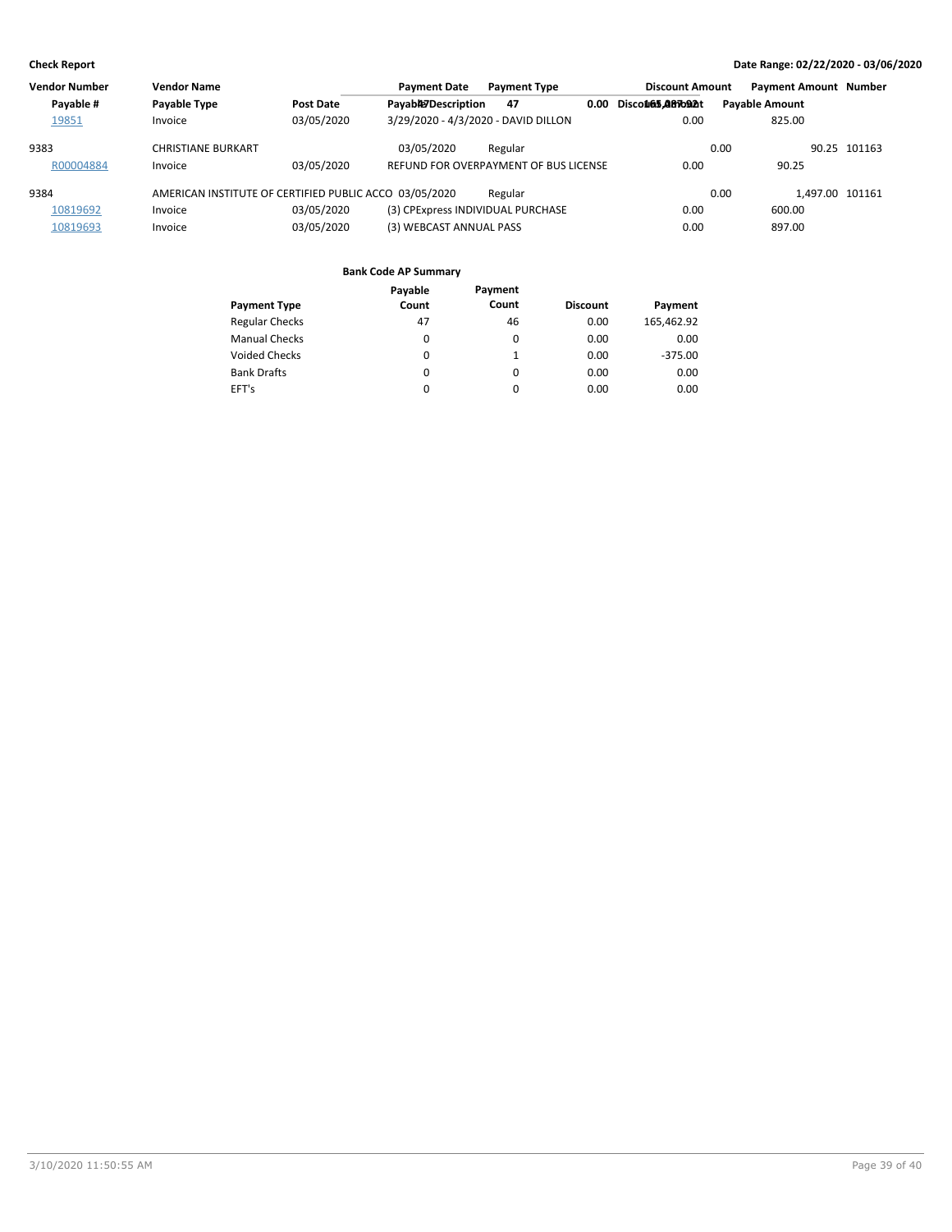| <b>Vendor Number</b> | <b>Vendor Name</b>                                     |            | <b>Payment Date</b>                 | <b>Payment Type</b>                   |      | <b>Discount Amount</b>    |                       | <b>Payment Amount Number</b> |              |
|----------------------|--------------------------------------------------------|------------|-------------------------------------|---------------------------------------|------|---------------------------|-----------------------|------------------------------|--------------|
| Payable #            | Payable Type                                           | Post Date  | Payab#JDescription                  | 47                                    | 0.00 | Disco <b>@65.Q87o92</b> t | <b>Pavable Amount</b> |                              |              |
| 19851                | Invoice                                                | 03/05/2020 | 3/29/2020 - 4/3/2020 - DAVID DILLON |                                       |      | 0.00                      |                       | 825.00                       |              |
| 9383                 | <b>CHRISTIANE BURKART</b>                              |            | 03/05/2020                          | Regular                               |      |                           | 0.00                  |                              | 90.25 101163 |
| R00004884            | Invoice                                                | 03/05/2020 |                                     | REFUND FOR OVERPAYMENT OF BUS LICENSE |      | 0.00                      |                       | 90.25                        |              |
| 9384                 | AMERICAN INSTITUTE OF CERTIFIED PUBLIC ACCO 03/05/2020 |            |                                     | Regular                               |      |                           | 0.00                  | 1.497.00 101161              |              |
| 10819692             | Invoice                                                | 03/05/2020 | (3) CPExpress INDIVIDUAL PURCHASE   |                                       |      | 0.00                      |                       | 600.00                       |              |
| 10819693             | Invoice                                                | 03/05/2020 | (3) WEBCAST ANNUAL PASS             |                                       |      | 0.00                      |                       | 897.00                       |              |

|                       | Payable  | Payment |                 |            |
|-----------------------|----------|---------|-----------------|------------|
| <b>Payment Type</b>   | Count    | Count   | <b>Discount</b> | Payment    |
| <b>Regular Checks</b> | 47       | 46      | 0.00            | 165,462.92 |
| <b>Manual Checks</b>  | 0        | 0       | 0.00            | 0.00       |
| Voided Checks         | $\Omega$ |         | 0.00            | $-375.00$  |
| <b>Bank Drafts</b>    | 0        | 0       | 0.00            | 0.00       |
| EFT's                 | 0        | 0       | 0.00            | 0.00       |